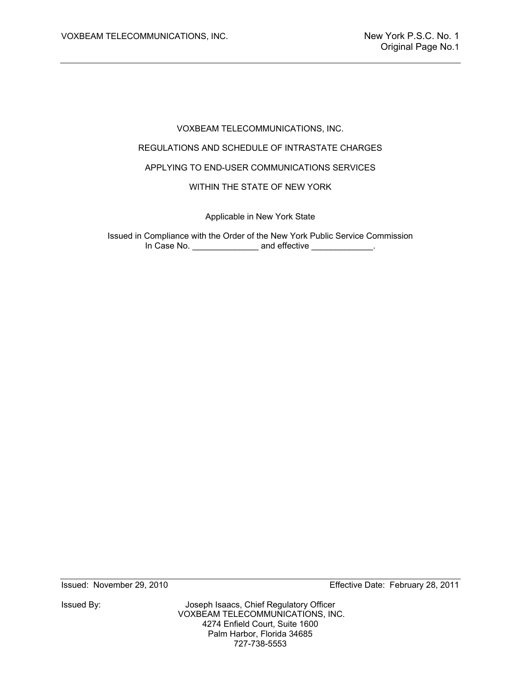# VOXBEAM TELECOMMUNICATIONS, INC. REGULATIONS AND SCHEDULE OF INTRASTATE CHARGES APPLYING TO END-USER COMMUNICATIONS SERVICES WITHIN THE STATE OF NEW YORK

Applicable in New York State

Issued in Compliance with the Order of the New York Public Service Commission In Case No. \_\_\_\_\_\_\_\_\_\_\_\_\_\_\_\_\_\_\_ and effective \_\_\_\_\_\_\_\_\_\_\_\_\_\_.

Issued: November 29, 2010 Effective Date: February 28, 2011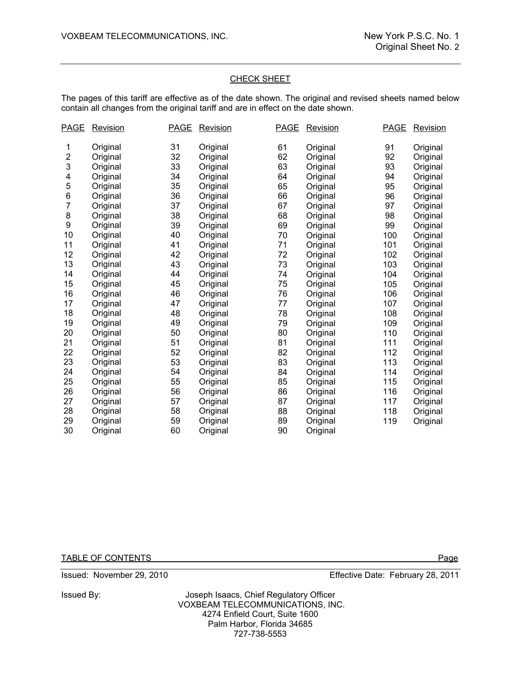#### CHECK SHEET

The pages of this tariff are effective as of the date shown. The original and revised sheets named below contain all changes from the original tariff and are in effect on the date shown.

| <u>PAGE</u>             | <b>Revision</b> | <b>PAGE</b> | Revision | <b>PAGE</b> | <b>Revision</b> | <b>PAGE</b> | <b>Revision</b> |
|-------------------------|-----------------|-------------|----------|-------------|-----------------|-------------|-----------------|
| 1                       | Original        | 31          | Original | 61          | Original        | 91          | Original        |
| $\overline{\mathbf{c}}$ | Original        | 32          | Original | 62          | Original        | 92          | Original        |
| 3                       | Original        | 33          | Original | 63          | Original        | 93          | Original        |
| 4                       | Original        | 34          | Original | 64          | Original        | 94          | Original        |
| 5                       | Original        | 35          | Original | 65          | Original        | 95          | Original        |
| 6                       | Original        | 36          | Original | 66          | Original        | 96          | Original        |
| 7                       | Original        | 37          | Original | 67          | Original        | 97          | Original        |
| 8                       | Original        | 38          | Original | 68          | Original        | 98          | Original        |
| 9                       | Original        | 39          | Original | 69          | Original        | 99          | Original        |
| 10                      | Original        | 40          | Original | 70          | Original        | 100         | Original        |
| 11                      | Original        | 41          | Original | 71          | Original        | 101         | Original        |
| 12                      | Original        | 42          | Original | 72          | Original        | 102         | Original        |
| 13                      | Original        | 43          | Original | 73          | Original        | 103         | Original        |
| 14                      | Original        | 44          | Original | 74          | Original        | 104         | Original        |
| 15                      | Original        | 45          | Original | 75          | Original        | 105         | Original        |
| 16                      | Original        | 46          | Original | 76          | Original        | 106         | Original        |
| 17                      | Original        | 47          | Original | 77          | Original        | 107         | Original        |
| 18                      | Original        | 48          | Original | 78          | Original        | 108         | Original        |
| 19                      | Original        | 49          | Original | 79          | Original        | 109         | Original        |
| 20                      | Original        | 50          | Original | 80          | Original        | 110         | Original        |
| 21                      | Original        | 51          | Original | 81          | Original        | 111         | Original        |
| 22                      | Original        | 52          | Original | 82          | Original        | 112         | Original        |
| 23                      | Original        | 53          | Original | 83          | Original        | 113         | Original        |
| 24                      | Original        | 54          | Original | 84          | Original        | 114         | Original        |
| 25                      | Original        | 55          | Original | 85          | Original        | 115         | Original        |
| 26                      | Original        | 56          | Original | 86          | Original        | 116         | Original        |
| 27                      | Original        | 57          | Original | 87          | Original        | 117         | Original        |
| 28                      | Original        | 58          | Original | 88          | Original        | 118         | Original        |
| 29                      | Original        | 59          | Original | 89          | Original        | 119         | Original        |
| 30                      | Original        | 60          | Original | 90          | Original        |             |                 |

TABLE OF CONTENTS Page

Issued: November 29, 2010 Effective Date: February 28, 2011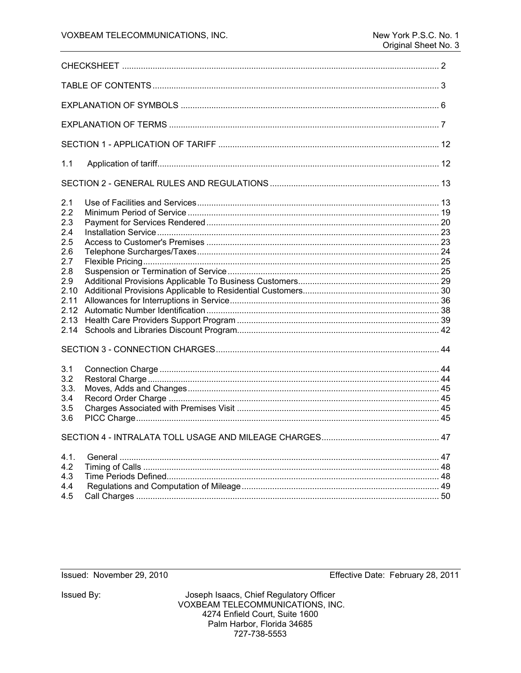| 1.1                                                                                                 |    |  |  |  |
|-----------------------------------------------------------------------------------------------------|----|--|--|--|
|                                                                                                     |    |  |  |  |
| 2.1<br>2.2<br>2.3<br>2.4<br>2.5<br>2.6<br>2.7<br>2.8<br>2.9<br>2.10<br>2.11<br>2.12<br>2.13<br>2.14 |    |  |  |  |
| 3.1<br>3.2<br>3.3.<br>3.4<br>3.5<br>3.6                                                             |    |  |  |  |
| SECTION 4 - INTRALATA TOLL USAGE AND MILEAGE CHARGES                                                | 47 |  |  |  |
| 4.1.<br>4.2<br>4.3<br>4.4<br>4.5                                                                    |    |  |  |  |

## Issued: November 29, 2010

Effective Date: February 28, 2011

Issued By: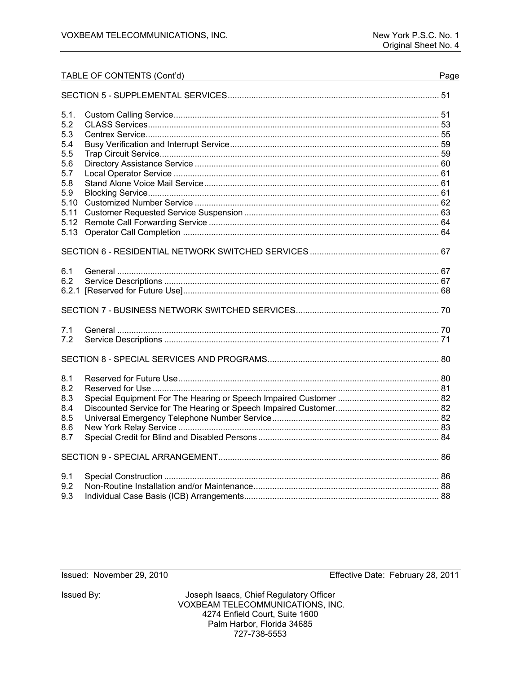|       | TABLE OF CONTENTS (Cont'd) | Page |
|-------|----------------------------|------|
|       |                            |      |
| 5.1.  |                            |      |
| 5.2   |                            |      |
| 5.3   |                            |      |
| 5.4   |                            |      |
| 5.5   |                            |      |
| 5.6   |                            |      |
| 5.7   |                            |      |
| 5.8   |                            |      |
| 5.9   |                            |      |
| 5.10  |                            |      |
| 5.11  |                            |      |
| 5.12  |                            |      |
| 5.13  |                            |      |
|       |                            |      |
| 6.1   |                            |      |
| 6.2   |                            |      |
| 6.2.1 |                            |      |
|       |                            |      |
| 7.1   |                            |      |
| 7.2   |                            |      |
|       |                            |      |
|       |                            |      |
|       |                            |      |
| 8.1   |                            |      |
| 8.2   |                            |      |
| 8.3   |                            |      |
| 8.4   |                            |      |
| 8.5   |                            |      |
| 8.6   |                            |      |
| 8.7   |                            |      |
|       |                            |      |
| 9.1   |                            |      |
| 9.2   |                            |      |
| 9.3   |                            |      |
|       |                            |      |

Issued: November 29, 2010

Issued By:

Joseph Isaacs, Chief Regulatory Officer VOXBEAM TELECOMMUNICATIONS, INC. 4274 Enfield Court, Suite 1600 Palm Harbor, Florida 34685 727-738-5553

Effective Date: February 28, 2011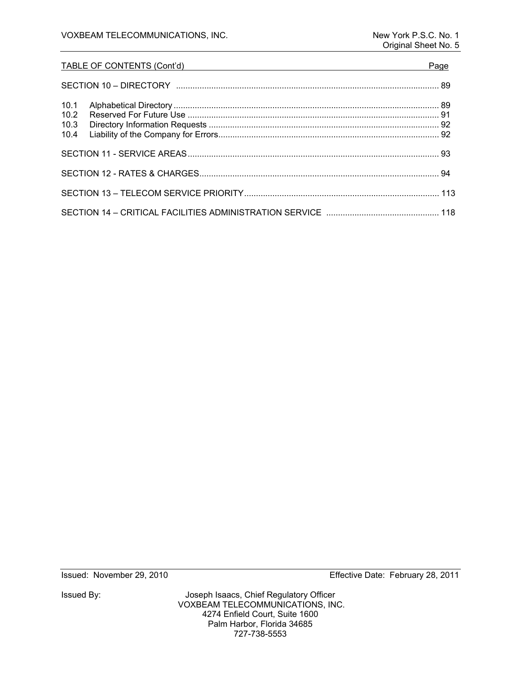## TABLE OF CONTENTS (Cont'd) Page SECTION 10 – DIRECTORY ................................................................................................................ 89 10.1 Alphabetical Directory ................................................................................................................. 89 10.2 Reserved For Future Use ........................................................................................................... 91 10.3 Directory Information Requests .................................................................................................. 92 10.4 Liability of the Company for Errors .............................................................................................. 92 SECTION 11 - SERVICE AREAS ........................................................................................................... 93 SECTION 12 - RATES & CHARGES ...................................................................................................... 94

Issued By: Joseph Isaacs, Chief Regulatory Officer VOXBEAM TELECOMMUNICATIONS, INC. 4274 Enfield Court, Suite 1600 Palm Harbor, Florida 34685 727-738-5553

Issued: November 29, 2010 Effective Date: February 28, 2011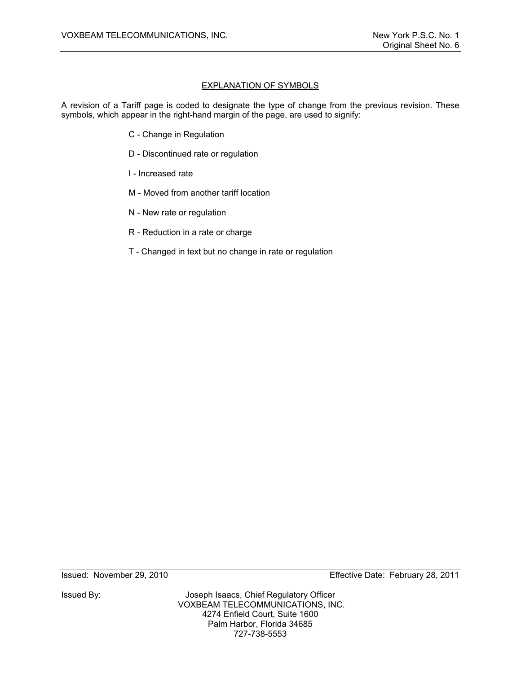## EXPLANATION OF SYMBOLS

A revision of a Tariff page is coded to designate the type of change from the previous revision. These symbols, which appear in the right-hand margin of the page, are used to signify:

- C Change in Regulation
- D Discontinued rate or regulation
- I Increased rate
- M Moved from another tariff location
- N New rate or regulation
- R Reduction in a rate or charge
- T Changed in text but no change in rate or regulation

Issued By: Joseph Isaacs, Chief Regulatory Officer VOXBEAM TELECOMMUNICATIONS, INC. 4274 Enfield Court, Suite 1600 Palm Harbor, Florida 34685 727-738-5553

Issued: November 29, 2010 Effective Date: February 28, 2011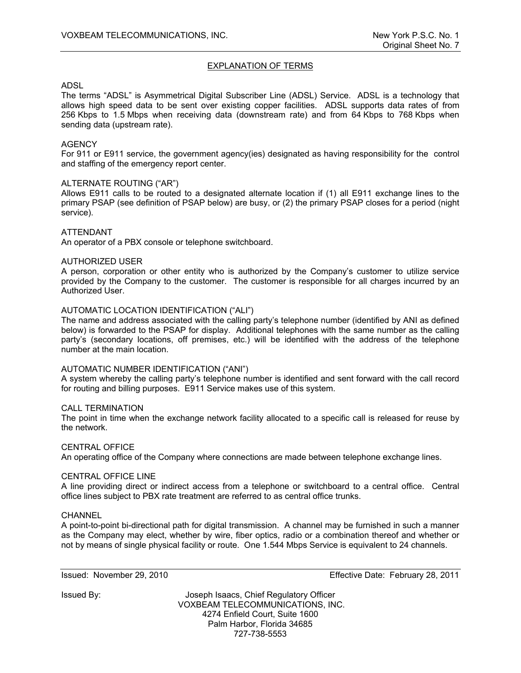## EXPLANATION OF TERMS

#### ADSL

The terms "ADSL" is Asymmetrical Digital Subscriber Line (ADSL) Service. ADSL is a technology that allows high speed data to be sent over existing copper facilities. ADSL supports data rates of from 256 Kbps to 1.5 Mbps when receiving data (downstream rate) and from 64 Kbps to 768 Kbps when sending data (upstream rate).

#### **AGENCY**

For 911 or E911 service, the government agency(ies) designated as having responsibility for the control and staffing of the emergency report center.

#### ALTERNATE ROUTING ("AR")

Allows E911 calls to be routed to a designated alternate location if (1) all E911 exchange lines to the primary PSAP (see definition of PSAP below) are busy, or (2) the primary PSAP closes for a period (night service).

#### ATTENDANT

An operator of a PBX console or telephone switchboard.

#### AUTHORIZED USER

A person, corporation or other entity who is authorized by the Company's customer to utilize service provided by the Company to the customer. The customer is responsible for all charges incurred by an Authorized User.

#### AUTOMATIC LOCATION IDENTIFICATION ("ALI")

The name and address associated with the calling party's telephone number (identified by ANI as defined below) is forwarded to the PSAP for display. Additional telephones with the same number as the calling party's (secondary locations, off premises, etc.) will be identified with the address of the telephone number at the main location.

#### AUTOMATIC NUMBER IDENTIFICATION ("ANI")

A system whereby the calling party's telephone number is identified and sent forward with the call record for routing and billing purposes. E911 Service makes use of this system.

#### CALL TERMINATION

The point in time when the exchange network facility allocated to a specific call is released for reuse by the network.

#### CENTRAL OFFICE

An operating office of the Company where connections are made between telephone exchange lines.

#### CENTRAL OFFICE LINE

A line providing direct or indirect access from a telephone or switchboard to a central office. Central office lines subject to PBX rate treatment are referred to as central office trunks.

#### **CHANNEL**

A point-to-point bi-directional path for digital transmission. A channel may be furnished in such a manner as the Company may elect, whether by wire, fiber optics, radio or a combination thereof and whether or not by means of single physical facility or route. One 1.544 Mbps Service is equivalent to 24 channels.

Issued: November 29, 2010 Effective Date: February 28, 2011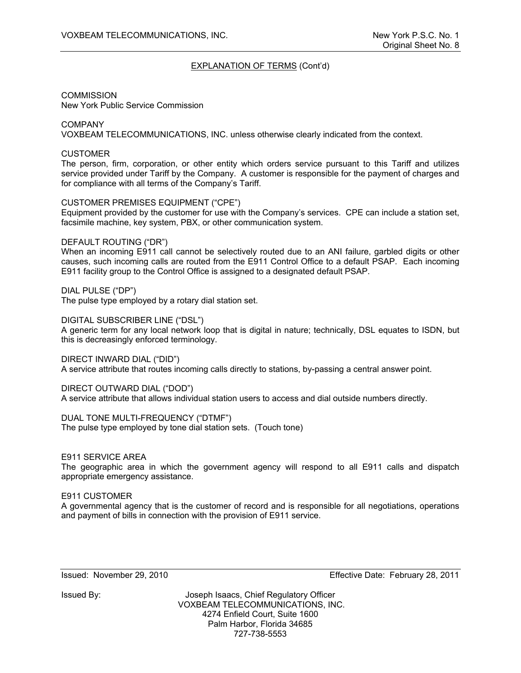**COMMISSION** New York Public Service Commission

COMPANY VOXBEAM TELECOMMUNICATIONS, INC. unless otherwise clearly indicated from the context.

## **CUSTOMER**

The person, firm, corporation, or other entity which orders service pursuant to this Tariff and utilizes service provided under Tariff by the Company. A customer is responsible for the payment of charges and for compliance with all terms of the Company's Tariff.

#### CUSTOMER PREMISES EQUIPMENT ("CPE")

Equipment provided by the customer for use with the Company's services. CPE can include a station set, facsimile machine, key system, PBX, or other communication system.

#### DEFAULT ROUTING ("DR")

When an incoming E911 call cannot be selectively routed due to an ANI failure, garbled digits or other causes, such incoming calls are routed from the E911 Control Office to a default PSAP. Each incoming E911 facility group to the Control Office is assigned to a designated default PSAP.

DIAL PULSE ("DP")

The pulse type employed by a rotary dial station set.

DIGITAL SUBSCRIBER LINE ("DSL")

A generic term for any local network loop that is digital in nature; technically, DSL equates to ISDN, but this is decreasingly enforced terminology.

DIRECT INWARD DIAL ("DID")

A service attribute that routes incoming calls directly to stations, by-passing a central answer point.

DIRECT OUTWARD DIAL ("DOD")

A service attribute that allows individual station users to access and dial outside numbers directly.

DUAL TONE MULTI-FREQUENCY ("DTMF") The pulse type employed by tone dial station sets. (Touch tone)

#### E911 SERVICE AREA

The geographic area in which the government agency will respond to all E911 calls and dispatch appropriate emergency assistance.

#### E911 CUSTOMER

A governmental agency that is the customer of record and is responsible for all negotiations, operations and payment of bills in connection with the provision of E911 service.

Issued: November 29, 2010 Effective Date: February 28, 2011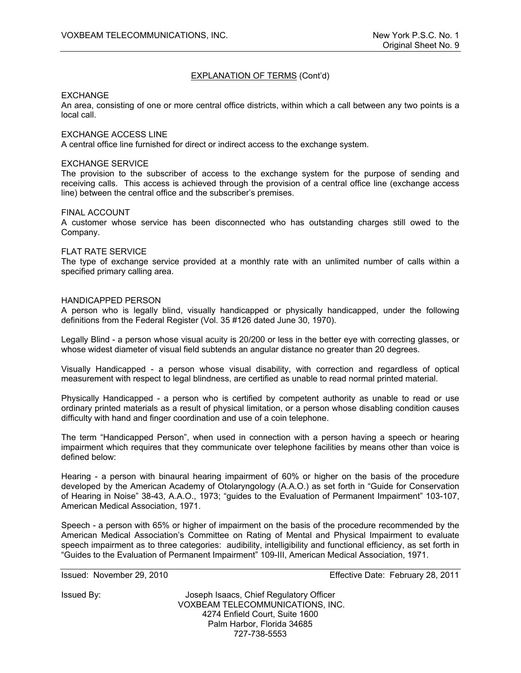#### EXCHANGE

An area, consisting of one or more central office districts, within which a call between any two points is a local call.

#### EXCHANGE ACCESS LINE

A central office line furnished for direct or indirect access to the exchange system.

#### EXCHANGE SERVICE

The provision to the subscriber of access to the exchange system for the purpose of sending and receiving calls. This access is achieved through the provision of a central office line (exchange access line) between the central office and the subscriber's premises.

#### FINAL ACCOUNT

A customer whose service has been disconnected who has outstanding charges still owed to the Company.

#### FLAT RATE SERVICE

The type of exchange service provided at a monthly rate with an unlimited number of calls within a specified primary calling area.

#### HANDICAPPED PERSON

A person who is legally blind, visually handicapped or physically handicapped, under the following definitions from the Federal Register (Vol. 35 #126 dated June 30, 1970).

Legally Blind - a person whose visual acuity is 20/200 or less in the better eye with correcting glasses, or whose widest diameter of visual field subtends an angular distance no greater than 20 degrees.

Visually Handicapped - a person whose visual disability, with correction and regardless of optical measurement with respect to legal blindness, are certified as unable to read normal printed material.

Physically Handicapped - a person who is certified by competent authority as unable to read or use ordinary printed materials as a result of physical limitation, or a person whose disabling condition causes difficulty with hand and finger coordination and use of a coin telephone.

The term "Handicapped Person", when used in connection with a person having a speech or hearing impairment which requires that they communicate over telephone facilities by means other than voice is defined below:

Hearing - a person with binaural hearing impairment of 60% or higher on the basis of the procedure developed by the American Academy of Otolaryngology (A.A.O.) as set forth in "Guide for Conservation of Hearing in Noise" 38-43, A.A.O., 1973; "guides to the Evaluation of Permanent Impairment" 103-107, American Medical Association, 1971.

Speech - a person with 65% or higher of impairment on the basis of the procedure recommended by the American Medical Association's Committee on Rating of Mental and Physical Impairment to evaluate speech impairment as to three categories: audibility, intelligibility and functional efficiency, as set forth in "Guides to the Evaluation of Permanent Impairment" 109-III, American Medical Association, 1971.

Issued: November 29, 2010 Effective Date: February 28, 2011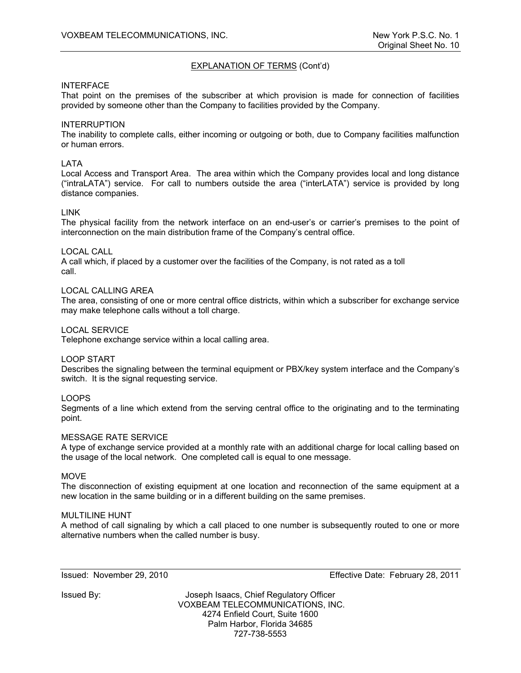## INTERFACE

That point on the premises of the subscriber at which provision is made for connection of facilities provided by someone other than the Company to facilities provided by the Company.

## INTERRUPTION

The inability to complete calls, either incoming or outgoing or both, due to Company facilities malfunction or human errors.

## LATA

Local Access and Transport Area. The area within which the Company provides local and long distance ("intraLATA") service. For call to numbers outside the area ("interLATA") service is provided by long distance companies.

#### LINK

The physical facility from the network interface on an end-user's or carrier's premises to the point of interconnection on the main distribution frame of the Company's central office.

#### LOCAL CALL

A call which, if placed by a customer over the facilities of the Company, is not rated as a toll call.

#### LOCAL CALLING AREA

The area, consisting of one or more central office districts, within which a subscriber for exchange service may make telephone calls without a toll charge.

#### LOCAL SERVICE

Telephone exchange service within a local calling area.

#### LOOP START

Describes the signaling between the terminal equipment or PBX/key system interface and the Company's switch. It is the signal requesting service.

#### LOOPS

Segments of a line which extend from the serving central office to the originating and to the terminating point.

#### MESSAGE RATE SERVICE

A type of exchange service provided at a monthly rate with an additional charge for local calling based on the usage of the local network. One completed call is equal to one message.

#### **MOVE**

The disconnection of existing equipment at one location and reconnection of the same equipment at a new location in the same building or in a different building on the same premises.

#### MULTILINE HUNT

A method of call signaling by which a call placed to one number is subsequently routed to one or more alternative numbers when the called number is busy.

Issued: November 29, 2010 Effective Date: February 28, 2011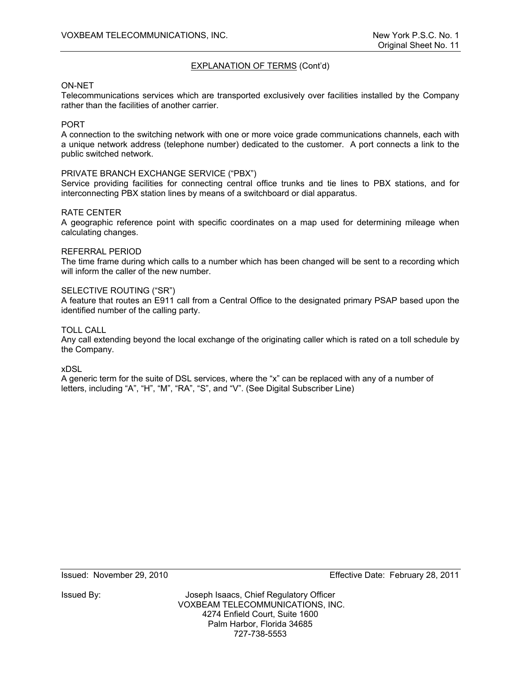#### ON-NET

Telecommunications services which are transported exclusively over facilities installed by the Company rather than the facilities of another carrier.

#### **PORT**

A connection to the switching network with one or more voice grade communications channels, each with a unique network address (telephone number) dedicated to the customer. A port connects a link to the public switched network.

#### PRIVATE BRANCH EXCHANGE SERVICE ("PBX")

Service providing facilities for connecting central office trunks and tie lines to PBX stations, and for interconnecting PBX station lines by means of a switchboard or dial apparatus.

#### RATE CENTER

A geographic reference point with specific coordinates on a map used for determining mileage when calculating changes.

#### REFERRAL PERIOD

The time frame during which calls to a number which has been changed will be sent to a recording which will inform the caller of the new number.

## SELECTIVE ROUTING ("SR")

A feature that routes an E911 call from a Central Office to the designated primary PSAP based upon the identified number of the calling party.

#### TOLL CALL

Any call extending beyond the local exchange of the originating caller which is rated on a toll schedule by the Company.

xDSL

A generic term for the suite of DSL services, where the "x" can be replaced with any of a number of letters, including "A", "H", "M", "RA", "S", and "V". (See Digital Subscriber Line)

Issued: November 29, 2010 Effective Date: February 28, 2011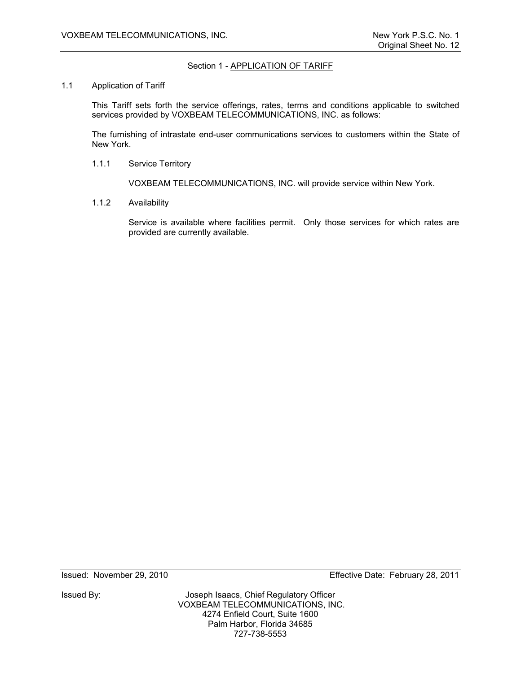## Section 1 - APPLICATION OF TARIFF

#### 1.1 Application of Tariff

This Tariff sets forth the service offerings, rates, terms and conditions applicable to switched services provided by VOXBEAM TELECOMMUNICATIONS, INC. as follows:

The furnishing of intrastate end-user communications services to customers within the State of New York.

1.1.1 Service Territory

VOXBEAM TELECOMMUNICATIONS, INC. will provide service within New York.

1.1.2 Availability

Service is available where facilities permit. Only those services for which rates are provided are currently available.

Issued By: Joseph Isaacs, Chief Regulatory Officer VOXBEAM TELECOMMUNICATIONS, INC. 4274 Enfield Court, Suite 1600 Palm Harbor, Florida 34685 727-738-5553

Issued: November 29, 2010 Effective Date: February 28, 2011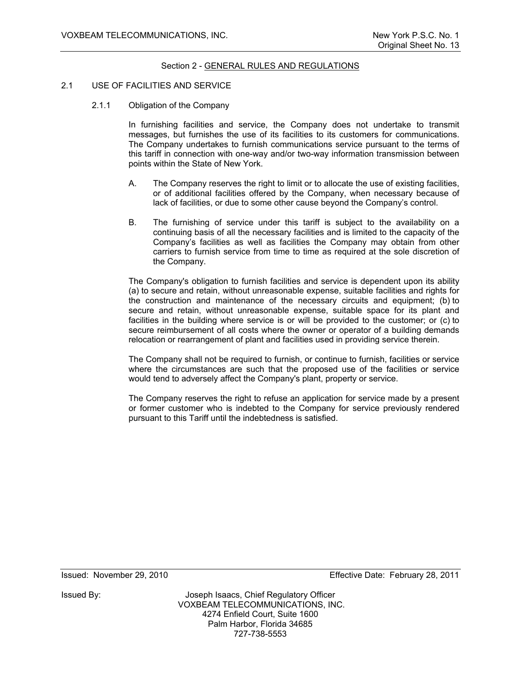## 2.1 USE OF FACILITIES AND SERVICE

2.1.1 Obligation of the Company

In furnishing facilities and service, the Company does not undertake to transmit messages, but furnishes the use of its facilities to its customers for communications. The Company undertakes to furnish communications service pursuant to the terms of this tariff in connection with one-way and/or two-way information transmission between points within the State of New York.

- A. The Company reserves the right to limit or to allocate the use of existing facilities, or of additional facilities offered by the Company, when necessary because of lack of facilities, or due to some other cause beyond the Company's control.
- B. The furnishing of service under this tariff is subject to the availability on a continuing basis of all the necessary facilities and is limited to the capacity of the Company's facilities as well as facilities the Company may obtain from other carriers to furnish service from time to time as required at the sole discretion of the Company.

The Company's obligation to furnish facilities and service is dependent upon its ability (a) to secure and retain, without unreasonable expense, suitable facilities and rights for the construction and maintenance of the necessary circuits and equipment; (b) to secure and retain, without unreasonable expense, suitable space for its plant and facilities in the building where service is or will be provided to the customer; or (c) to secure reimbursement of all costs where the owner or operator of a building demands relocation or rearrangement of plant and facilities used in providing service therein.

The Company shall not be required to furnish, or continue to furnish, facilities or service where the circumstances are such that the proposed use of the facilities or service would tend to adversely affect the Company's plant, property or service.

The Company reserves the right to refuse an application for service made by a present or former customer who is indebted to the Company for service previously rendered pursuant to this Tariff until the indebtedness is satisfied.

Issued: November 29, 2010 Effective Date: February 28, 2011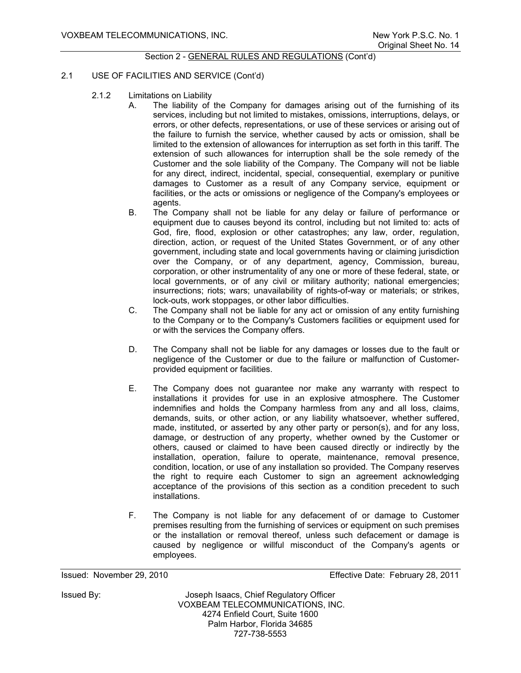## 2.1 USE OF FACILITIES AND SERVICE (Cont'd)

- 2.1.2 Limitations on Liability
	- A. The liability of the Company for damages arising out of the furnishing of its services, including but not limited to mistakes, omissions, interruptions, delays, or errors, or other defects, representations, or use of these services or arising out of the failure to furnish the service, whether caused by acts or omission, shall be limited to the extension of allowances for interruption as set forth in this tariff. The extension of such allowances for interruption shall be the sole remedy of the Customer and the sole liability of the Company. The Company will not be liable for any direct, indirect, incidental, special, consequential, exemplary or punitive damages to Customer as a result of any Company service, equipment or facilities, or the acts or omissions or negligence of the Company's employees or agents.
	- B. The Company shall not be liable for any delay or failure of performance or equipment due to causes beyond its control, including but not limited to: acts of God, fire, flood, explosion or other catastrophes; any law, order, regulation, direction, action, or request of the United States Government, or of any other government, including state and local governments having or claiming jurisdiction over the Company, or of any department, agency, Commission, bureau, corporation, or other instrumentality of any one or more of these federal, state, or local governments, or of any civil or military authority; national emergencies; insurrections; riots; wars; unavailability of rights-of-way or materials; or strikes, lock-outs, work stoppages, or other labor difficulties.
	- C. The Company shall not be liable for any act or omission of any entity furnishing to the Company or to the Company's Customers facilities or equipment used for or with the services the Company offers.
	- D. The Company shall not be liable for any damages or losses due to the fault or negligence of the Customer or due to the failure or malfunction of Customerprovided equipment or facilities.
	- E. The Company does not guarantee nor make any warranty with respect to installations it provides for use in an explosive atmosphere. The Customer indemnifies and holds the Company harmless from any and all loss, claims, demands, suits, or other action, or any liability whatsoever, whether suffered, made, instituted, or asserted by any other party or person(s), and for any loss, damage, or destruction of any property, whether owned by the Customer or others, caused or claimed to have been caused directly or indirectly by the installation, operation, failure to operate, maintenance, removal presence, condition, location, or use of any installation so provided. The Company reserves the right to require each Customer to sign an agreement acknowledging acceptance of the provisions of this section as a condition precedent to such installations.
	- F. The Company is not liable for any defacement of or damage to Customer premises resulting from the furnishing of services or equipment on such premises or the installation or removal thereof, unless such defacement or damage is caused by negligence or willful misconduct of the Company's agents or employees.

Issued: November 29, 2010 Effective Date: February 28, 2011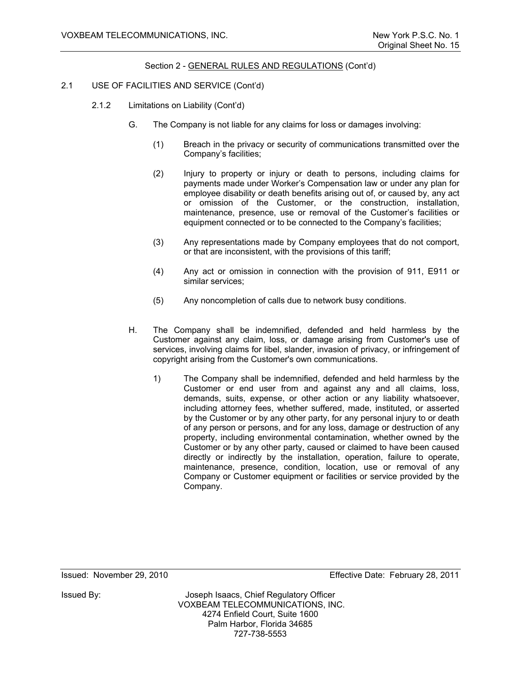## 2.1 USE OF FACILITIES AND SERVICE (Cont'd)

- 2.1.2 Limitations on Liability (Cont'd)
	- G. The Company is not liable for any claims for loss or damages involving:
		- (1) Breach in the privacy or security of communications transmitted over the Company's facilities;
		- (2) Injury to property or injury or death to persons, including claims for payments made under Worker's Compensation law or under any plan for employee disability or death benefits arising out of, or caused by, any act or omission of the Customer, or the construction, installation, maintenance, presence, use or removal of the Customer's facilities or equipment connected or to be connected to the Company's facilities;
		- (3) Any representations made by Company employees that do not comport, or that are inconsistent, with the provisions of this tariff;
		- (4) Any act or omission in connection with the provision of 911, E911 or similar services;
		- (5) Any noncompletion of calls due to network busy conditions.
	- H. The Company shall be indemnified, defended and held harmless by the Customer against any claim, loss, or damage arising from Customer's use of services, involving claims for libel, slander, invasion of privacy, or infringement of copyright arising from the Customer's own communications.
		- 1) The Company shall be indemnified, defended and held harmless by the Customer or end user from and against any and all claims, loss, demands, suits, expense, or other action or any liability whatsoever, including attorney fees, whether suffered, made, instituted, or asserted by the Customer or by any other party, for any personal injury to or death of any person or persons, and for any loss, damage or destruction of any property, including environmental contamination, whether owned by the Customer or by any other party, caused or claimed to have been caused directly or indirectly by the installation, operation, failure to operate, maintenance, presence, condition, location, use or removal of any Company or Customer equipment or facilities or service provided by the Company.

Issued: November 29, 2010 Effective Date: February 28, 2011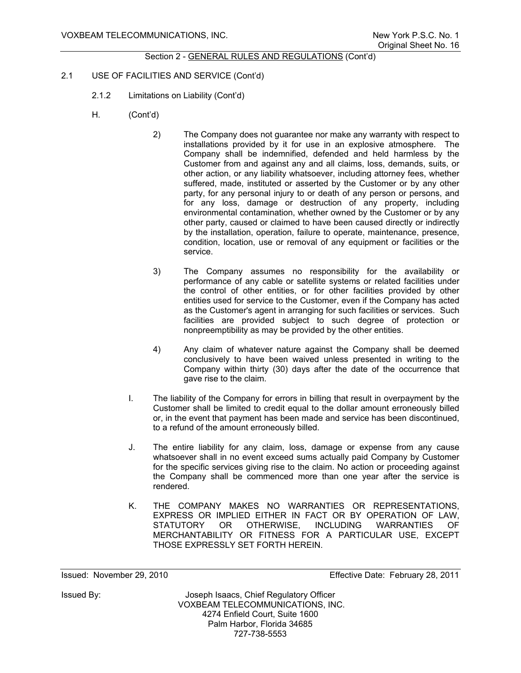## 2.1 USE OF FACILITIES AND SERVICE (Cont'd)

- 2.1.2 Limitations on Liability (Cont'd)
- H. (Cont'd)
	- 2) The Company does not guarantee nor make any warranty with respect to installations provided by it for use in an explosive atmosphere. The Company shall be indemnified, defended and held harmless by the Customer from and against any and all claims, loss, demands, suits, or other action, or any liability whatsoever, including attorney fees, whether suffered, made, instituted or asserted by the Customer or by any other party, for any personal injury to or death of any person or persons, and for any loss, damage or destruction of any property, including environmental contamination, whether owned by the Customer or by any other party, caused or claimed to have been caused directly or indirectly by the installation, operation, failure to operate, maintenance, presence, condition, location, use or removal of any equipment or facilities or the service.
	- 3) The Company assumes no responsibility for the availability or performance of any cable or satellite systems or related facilities under the control of other entities, or for other facilities provided by other entities used for service to the Customer, even if the Company has acted as the Customer's agent in arranging for such facilities or services. Such facilities are provided subject to such degree of protection or nonpreemptibility as may be provided by the other entities.
	- 4) Any claim of whatever nature against the Company shall be deemed conclusively to have been waived unless presented in writing to the Company within thirty (30) days after the date of the occurrence that gave rise to the claim.
	- I. The liability of the Company for errors in billing that result in overpayment by the Customer shall be limited to credit equal to the dollar amount erroneously billed or, in the event that payment has been made and service has been discontinued, to a refund of the amount erroneously billed.
	- J. The entire liability for any claim, loss, damage or expense from any cause whatsoever shall in no event exceed sums actually paid Company by Customer for the specific services giving rise to the claim. No action or proceeding against the Company shall be commenced more than one year after the service is rendered.
	- K. THE COMPANY MAKES NO WARRANTIES OR REPRESENTATIONS, EXPRESS OR IMPLIED EITHER IN FACT OR BY OPERATION OF LAW,<br>STATUTORY OR OTHERWISE, INCLUDING WARRANTIES OF STATUTORY OR OTHERWISE, INCLUDING WARRANTIES OF MERCHANTABILITY OR FITNESS FOR A PARTICULAR USE, EXCEPT THOSE EXPRESSLY SET FORTH HEREIN.

Issued: November 29, 2010 Effective Date: February 28, 2011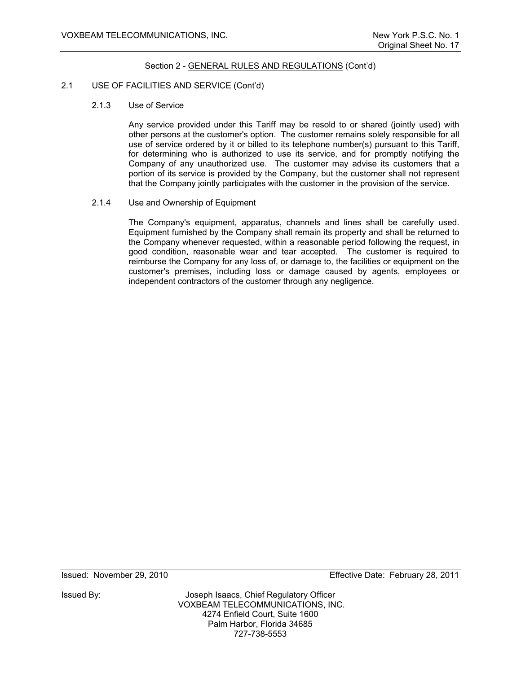#### 2.1 USE OF FACILITIES AND SERVICE (Cont'd)

2.1.3 Use of Service

Any service provided under this Tariff may be resold to or shared (jointly used) with other persons at the customer's option. The customer remains solely responsible for all use of service ordered by it or billed to its telephone number(s) pursuant to this Tariff, for determining who is authorized to use its service, and for promptly notifying the Company of any unauthorized use. The customer may advise its customers that a portion of its service is provided by the Company, but the customer shall not represent that the Company jointly participates with the customer in the provision of the service.

2.1.4 Use and Ownership of Equipment

The Company's equipment, apparatus, channels and lines shall be carefully used. Equipment furnished by the Company shall remain its property and shall be returned to the Company whenever requested, within a reasonable period following the request, in good condition, reasonable wear and tear accepted. The customer is required to reimburse the Company for any loss of, or damage to, the facilities or equipment on the customer's premises, including loss or damage caused by agents, employees or independent contractors of the customer through any negligence.

Issued By: Joseph Isaacs, Chief Regulatory Officer VOXBEAM TELECOMMUNICATIONS, INC. 4274 Enfield Court, Suite 1600 Palm Harbor, Florida 34685 727-738-5553

Issued: November 29, 2010 Effective Date: February 28, 2011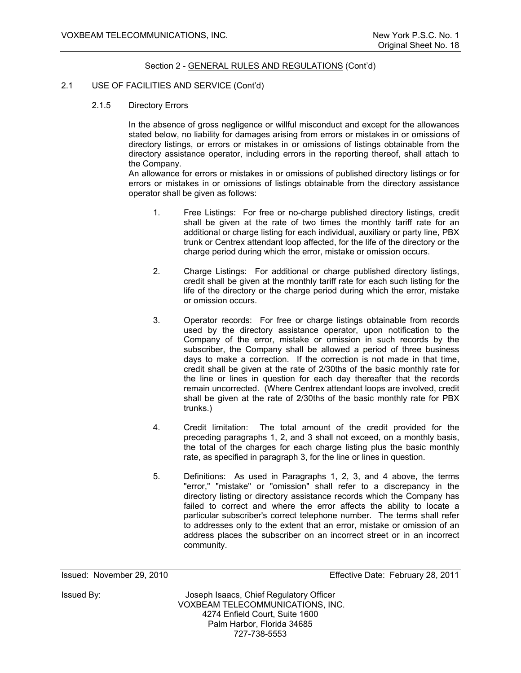#### 2.1 USE OF FACILITIES AND SERVICE (Cont'd)

2.1.5 Directory Errors

In the absence of gross negligence or willful misconduct and except for the allowances stated below, no liability for damages arising from errors or mistakes in or omissions of directory listings, or errors or mistakes in or omissions of listings obtainable from the directory assistance operator, including errors in the reporting thereof, shall attach to the Company.

An allowance for errors or mistakes in or omissions of published directory listings or for errors or mistakes in or omissions of listings obtainable from the directory assistance operator shall be given as follows:

- 1. Free Listings: For free or no-charge published directory listings, credit shall be given at the rate of two times the monthly tariff rate for an additional or charge listing for each individual, auxiliary or party line, PBX trunk or Centrex attendant loop affected, for the life of the directory or the charge period during which the error, mistake or omission occurs.
- 2. Charge Listings: For additional or charge published directory listings, credit shall be given at the monthly tariff rate for each such listing for the life of the directory or the charge period during which the error, mistake or omission occurs.
- 3. Operator records: For free or charge listings obtainable from records used by the directory assistance operator, upon notification to the Company of the error, mistake or omission in such records by the subscriber, the Company shall be allowed a period of three business days to make a correction. If the correction is not made in that time, credit shall be given at the rate of 2/30ths of the basic monthly rate for the line or lines in question for each day thereafter that the records remain uncorrected. (Where Centrex attendant loops are involved, credit shall be given at the rate of 2/30ths of the basic monthly rate for PBX trunks.)
- 4. Credit limitation: The total amount of the credit provided for the preceding paragraphs 1, 2, and 3 shall not exceed, on a monthly basis, the total of the charges for each charge listing plus the basic monthly rate, as specified in paragraph 3, for the line or lines in question.
- 5. Definitions: As used in Paragraphs 1, 2, 3, and 4 above, the terms "error," "mistake" or "omission" shall refer to a discrepancy in the directory listing or directory assistance records which the Company has failed to correct and where the error affects the ability to locate a particular subscriber's correct telephone number. The terms shall refer to addresses only to the extent that an error, mistake or omission of an address places the subscriber on an incorrect street or in an incorrect community.

Issued: November 29, 2010 Effective Date: February 28, 2011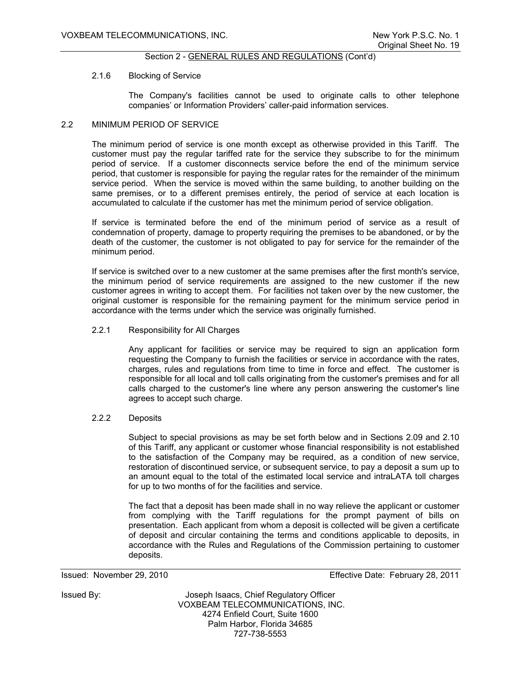#### 2.1.6 Blocking of Service

The Company's facilities cannot be used to originate calls to other telephone companies' or Information Providers' caller-paid information services.

#### 2.2 MINIMUM PERIOD OF SERVICE

The minimum period of service is one month except as otherwise provided in this Tariff. The customer must pay the regular tariffed rate for the service they subscribe to for the minimum period of service. If a customer disconnects service before the end of the minimum service period, that customer is responsible for paying the regular rates for the remainder of the minimum service period. When the service is moved within the same building, to another building on the same premises, or to a different premises entirely, the period of service at each location is accumulated to calculate if the customer has met the minimum period of service obligation.

If service is terminated before the end of the minimum period of service as a result of condemnation of property, damage to property requiring the premises to be abandoned, or by the death of the customer, the customer is not obligated to pay for service for the remainder of the minimum period.

If service is switched over to a new customer at the same premises after the first month's service, the minimum period of service requirements are assigned to the new customer if the new customer agrees in writing to accept them. For facilities not taken over by the new customer, the original customer is responsible for the remaining payment for the minimum service period in accordance with the terms under which the service was originally furnished.

#### 2.2.1 Responsibility for All Charges

Any applicant for facilities or service may be required to sign an application form requesting the Company to furnish the facilities or service in accordance with the rates, charges, rules and regulations from time to time in force and effect. The customer is responsible for all local and toll calls originating from the customer's premises and for all calls charged to the customer's line where any person answering the customer's line agrees to accept such charge.

#### 2.2.2 Deposits

Subject to special provisions as may be set forth below and in Sections 2.09 and 2.10 of this Tariff, any applicant or customer whose financial responsibility is not established to the satisfaction of the Company may be required, as a condition of new service, restoration of discontinued service, or subsequent service, to pay a deposit a sum up to an amount equal to the total of the estimated local service and intraLATA toll charges for up to two months of for the facilities and service.

The fact that a deposit has been made shall in no way relieve the applicant or customer from complying with the Tariff regulations for the prompt payment of bills on presentation. Each applicant from whom a deposit is collected will be given a certificate of deposit and circular containing the terms and conditions applicable to deposits, in accordance with the Rules and Regulations of the Commission pertaining to customer deposits.

Issued: November 29, 2010 Effective Date: February 28, 2011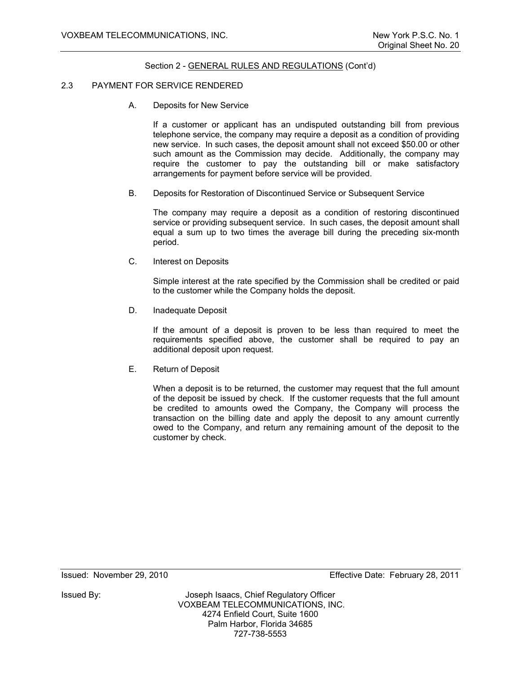## 2.3 PAYMENT FOR SERVICE RENDERED

A. Deposits for New Service

 If a customer or applicant has an undisputed outstanding bill from previous telephone service, the company may require a deposit as a condition of providing new service. In such cases, the deposit amount shall not exceed \$50.00 or other such amount as the Commission may decide. Additionally, the company may require the customer to pay the outstanding bill or make satisfactory arrangements for payment before service will be provided.

B. Deposits for Restoration of Discontinued Service or Subsequent Service

 The company may require a deposit as a condition of restoring discontinued service or providing subsequent service. In such cases, the deposit amount shall equal a sum up to two times the average bill during the preceding six-month period.

C. Interest on Deposits

Simple interest at the rate specified by the Commission shall be credited or paid to the customer while the Company holds the deposit.

D. Inadequate Deposit

If the amount of a deposit is proven to be less than required to meet the requirements specified above, the customer shall be required to pay an additional deposit upon request.

E. Return of Deposit

When a deposit is to be returned, the customer may request that the full amount of the deposit be issued by check. If the customer requests that the full amount be credited to amounts owed the Company, the Company will process the transaction on the billing date and apply the deposit to any amount currently owed to the Company, and return any remaining amount of the deposit to the customer by check.

Issued: November 29, 2010 Effective Date: February 28, 2011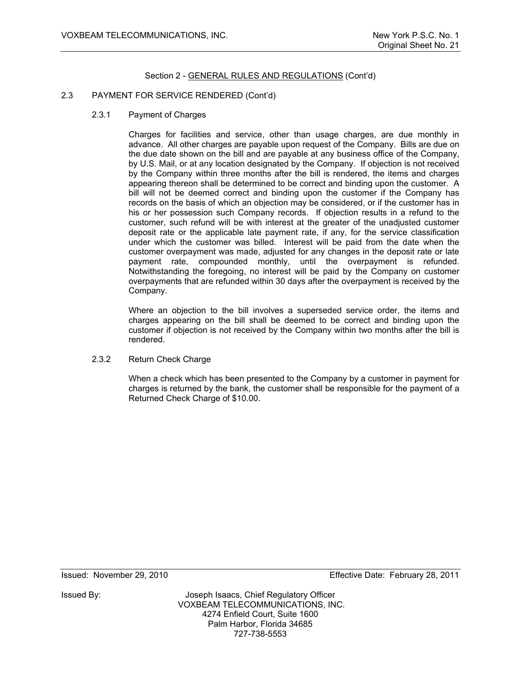#### 2.3 PAYMENT FOR SERVICE RENDERED (Cont'd)

2.3.1 Payment of Charges

Charges for facilities and service, other than usage charges, are due monthly in advance. All other charges are payable upon request of the Company. Bills are due on the due date shown on the bill and are payable at any business office of the Company, by U.S. Mail, or at any location designated by the Company. If objection is not received by the Company within three months after the bill is rendered, the items and charges appearing thereon shall be determined to be correct and binding upon the customer. A bill will not be deemed correct and binding upon the customer if the Company has records on the basis of which an objection may be considered, or if the customer has in his or her possession such Company records. If objection results in a refund to the customer, such refund will be with interest at the greater of the unadjusted customer deposit rate or the applicable late payment rate, if any, for the service classification under which the customer was billed. Interest will be paid from the date when the customer overpayment was made, adjusted for any changes in the deposit rate or late payment rate, compounded monthly, until the overpayment is refunded. Notwithstanding the foregoing, no interest will be paid by the Company on customer overpayments that are refunded within 30 days after the overpayment is received by the Company.

Where an objection to the bill involves a superseded service order, the items and charges appearing on the bill shall be deemed to be correct and binding upon the customer if objection is not received by the Company within two months after the bill is rendered.

#### 2.3.2 Return Check Charge

When a check which has been presented to the Company by a customer in payment for charges is returned by the bank, the customer shall be responsible for the payment of a Returned Check Charge of \$10.00.

Issued: November 29, 2010 Effective Date: February 28, 2011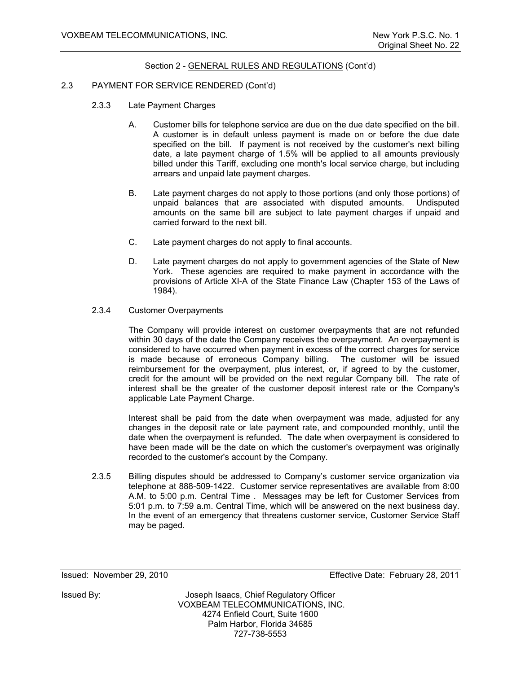## 2.3 PAYMENT FOR SERVICE RENDERED (Cont'd)

- 2.3.3 Late Payment Charges
	- A. Customer bills for telephone service are due on the due date specified on the bill. A customer is in default unless payment is made on or before the due date specified on the bill. If payment is not received by the customer's next billing date, a late payment charge of 1.5% will be applied to all amounts previously billed under this Tariff, excluding one month's local service charge, but including arrears and unpaid late payment charges.
	- B. Late payment charges do not apply to those portions (and only those portions) of unpaid balances that are associated with disputed amounts. Undisputed amounts on the same bill are subject to late payment charges if unpaid and carried forward to the next bill.
	- C. Late payment charges do not apply to final accounts.
	- D. Late payment charges do not apply to government agencies of the State of New York. These agencies are required to make payment in accordance with the provisions of Article XI-A of the State Finance Law (Chapter 153 of the Laws of 1984).
- 2.3.4 Customer Overpayments

The Company will provide interest on customer overpayments that are not refunded within 30 days of the date the Company receives the overpayment. An overpayment is considered to have occurred when payment in excess of the correct charges for service is made because of erroneous Company billing. The customer will be issued reimbursement for the overpayment, plus interest, or, if agreed to by the customer, credit for the amount will be provided on the next regular Company bill. The rate of interest shall be the greater of the customer deposit interest rate or the Company's applicable Late Payment Charge.

Interest shall be paid from the date when overpayment was made, adjusted for any changes in the deposit rate or late payment rate, and compounded monthly, until the date when the overpayment is refunded. The date when overpayment is considered to have been made will be the date on which the customer's overpayment was originally recorded to the customer's account by the Company.

 2.3.5 Billing disputes should be addressed to Company's customer service organization via telephone at 888-509-1422. Customer service representatives are available from 8:00 A.M. to 5:00 p.m. Central Time . Messages may be left for Customer Services from 5:01 p.m. to 7:59 a.m. Central Time, which will be answered on the next business day. In the event of an emergency that threatens customer service, Customer Service Staff may be paged.

Issued: November 29, 2010 Effective Date: February 28, 2011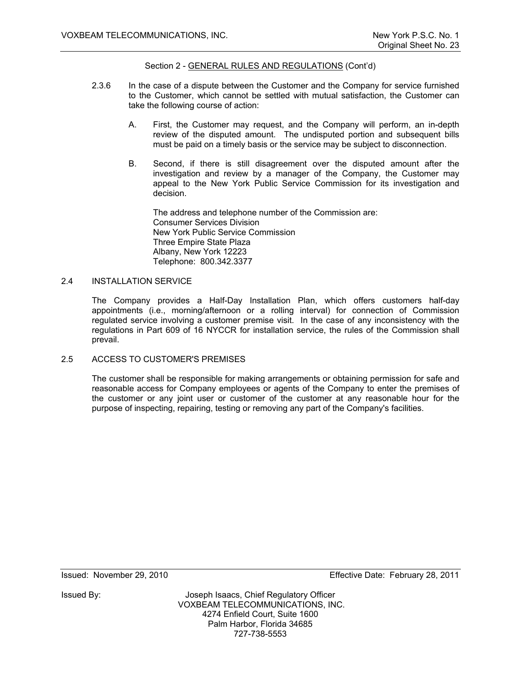- 2.3.6 In the case of a dispute between the Customer and the Company for service furnished to the Customer, which cannot be settled with mutual satisfaction, the Customer can take the following course of action:
	- A. First, the Customer may request, and the Company will perform, an in-depth review of the disputed amount. The undisputed portion and subsequent bills must be paid on a timely basis or the service may be subject to disconnection.
	- B. Second, if there is still disagreement over the disputed amount after the investigation and review by a manager of the Company, the Customer may appeal to the New York Public Service Commission for its investigation and decision.

The address and telephone number of the Commission are: Consumer Services Division New York Public Service Commission Three Empire State Plaza Albany, New York 12223 Telephone: 800.342.3377

## 2.4 INSTALLATION SERVICE

The Company provides a Half-Day Installation Plan, which offers customers half-day appointments (i.e., morning/afternoon or a rolling interval) for connection of Commission regulated service involving a customer premise visit. In the case of any inconsistency with the regulations in Part 609 of 16 NYCCR for installation service, the rules of the Commission shall prevail.

2.5 ACCESS TO CUSTOMER'S PREMISES

The customer shall be responsible for making arrangements or obtaining permission for safe and reasonable access for Company employees or agents of the Company to enter the premises of the customer or any joint user or customer of the customer at any reasonable hour for the purpose of inspecting, repairing, testing or removing any part of the Company's facilities.

Issued: November 29, 2010 Effective Date: February 28, 2011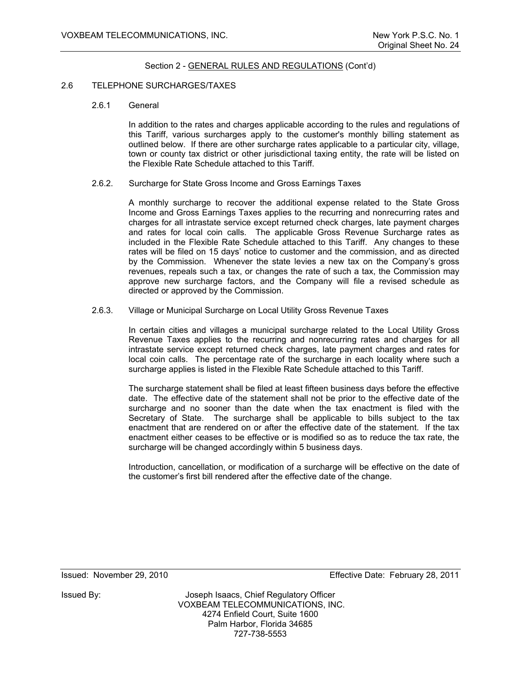#### 2.6 TELEPHONE SURCHARGES/TAXES

2.6.1 General

In addition to the rates and charges applicable according to the rules and regulations of this Tariff, various surcharges apply to the customer's monthly billing statement as outlined below. If there are other surcharge rates applicable to a particular city, village, town or county tax district or other jurisdictional taxing entity, the rate will be listed on the Flexible Rate Schedule attached to this Tariff.

2.6.2. Surcharge for State Gross Income and Gross Earnings Taxes

A monthly surcharge to recover the additional expense related to the State Gross Income and Gross Earnings Taxes applies to the recurring and nonrecurring rates and charges for all intrastate service except returned check charges, late payment charges and rates for local coin calls. The applicable Gross Revenue Surcharge rates as included in the Flexible Rate Schedule attached to this Tariff. Any changes to these rates will be filed on 15 days' notice to customer and the commission, and as directed by the Commission. Whenever the state levies a new tax on the Company's gross revenues, repeals such a tax, or changes the rate of such a tax, the Commission may approve new surcharge factors, and the Company will file a revised schedule as directed or approved by the Commission.

2.6.3. Village or Municipal Surcharge on Local Utility Gross Revenue Taxes

In certain cities and villages a municipal surcharge related to the Local Utility Gross Revenue Taxes applies to the recurring and nonrecurring rates and charges for all intrastate service except returned check charges, late payment charges and rates for local coin calls. The percentage rate of the surcharge in each locality where such a surcharge applies is listed in the Flexible Rate Schedule attached to this Tariff.

The surcharge statement shall be filed at least fifteen business days before the effective date. The effective date of the statement shall not be prior to the effective date of the surcharge and no sooner than the date when the tax enactment is filed with the Secretary of State. The surcharge shall be applicable to bills subject to the tax enactment that are rendered on or after the effective date of the statement. If the tax enactment either ceases to be effective or is modified so as to reduce the tax rate, the surcharge will be changed accordingly within 5 business days.

Introduction, cancellation, or modification of a surcharge will be effective on the date of the customer's first bill rendered after the effective date of the change.

Issued: November 29, 2010 Effective Date: February 28, 2011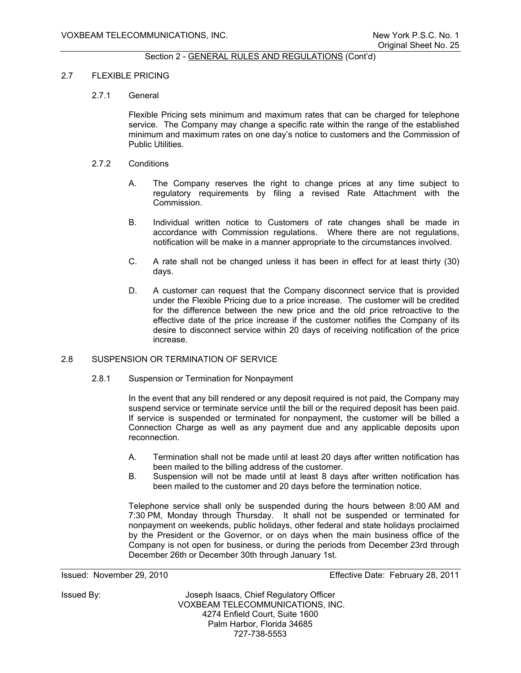#### 2.7 FLEXIBLE PRICING

#### 2.7.1 General

 Flexible Pricing sets minimum and maximum rates that can be charged for telephone service. The Company may change a specific rate within the range of the established minimum and maximum rates on one day's notice to customers and the Commission of Public Utilities.

#### 2.7.2 Conditions

- A. The Company reserves the right to change prices at any time subject to regulatory requirements by filing a revised Rate Attachment with the Commission.
- B. Individual written notice to Customers of rate changes shall be made in accordance with Commission regulations. Where there are not regulations, notification will be make in a manner appropriate to the circumstances involved.
- C. A rate shall not be changed unless it has been in effect for at least thirty (30) days.
- D. A customer can request that the Company disconnect service that is provided under the Flexible Pricing due to a price increase. The customer will be credited for the difference between the new price and the old price retroactive to the effective date of the price increase if the customer notifies the Company of its desire to disconnect service within 20 days of receiving notification of the price increase.

#### 2.8 SUSPENSION OR TERMINATION OF SERVICE

2.8.1 Suspension or Termination for Nonpayment

In the event that any bill rendered or any deposit required is not paid, the Company may suspend service or terminate service until the bill or the required deposit has been paid. If service is suspended or terminated for nonpayment, the customer will be billed a Connection Charge as well as any payment due and any applicable deposits upon reconnection.

- A. Termination shall not be made until at least 20 days after written notification has been mailed to the billing address of the customer.
- B. Suspension will not be made until at least 8 days after written notification has been mailed to the customer and 20 days before the termination notice.

Telephone service shall only be suspended during the hours between 8:00 AM and 7:30 PM, Monday through Thursday. It shall not be suspended or terminated for nonpayment on weekends, public holidays, other federal and state holidays proclaimed by the President or the Governor, or on days when the main business office of the Company is not open for business, or during the periods from December 23rd through December 26th or December 30th through January 1st.

Issued: November 29, 2010 Effective Date: February 28, 2011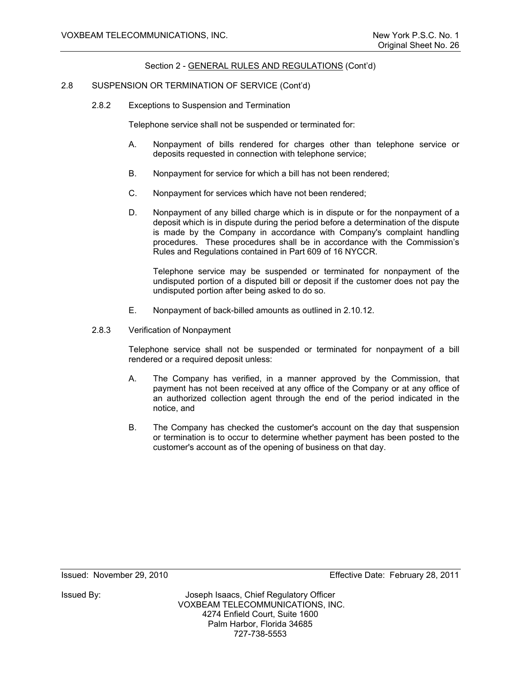## 2.8 SUSPENSION OR TERMINATION OF SERVICE (Cont'd)

2.8.2 Exceptions to Suspension and Termination

Telephone service shall not be suspended or terminated for:

- A. Nonpayment of bills rendered for charges other than telephone service or deposits requested in connection with telephone service;
- B. Nonpayment for service for which a bill has not been rendered;
- C. Nonpayment for services which have not been rendered;
- D. Nonpayment of any billed charge which is in dispute or for the nonpayment of a deposit which is in dispute during the period before a determination of the dispute is made by the Company in accordance with Company's complaint handling procedures. These procedures shall be in accordance with the Commission's Rules and Regulations contained in Part 609 of 16 NYCCR.

Telephone service may be suspended or terminated for nonpayment of the undisputed portion of a disputed bill or deposit if the customer does not pay the undisputed portion after being asked to do so.

- E. Nonpayment of back-billed amounts as outlined in 2.10.12.
- 2.8.3 Verification of Nonpayment

Telephone service shall not be suspended or terminated for nonpayment of a bill rendered or a required deposit unless:

- A. The Company has verified, in a manner approved by the Commission, that payment has not been received at any office of the Company or at any office of an authorized collection agent through the end of the period indicated in the notice, and
- B. The Company has checked the customer's account on the day that suspension or termination is to occur to determine whether payment has been posted to the customer's account as of the opening of business on that day.

Issued: November 29, 2010 Effective Date: February 28, 2011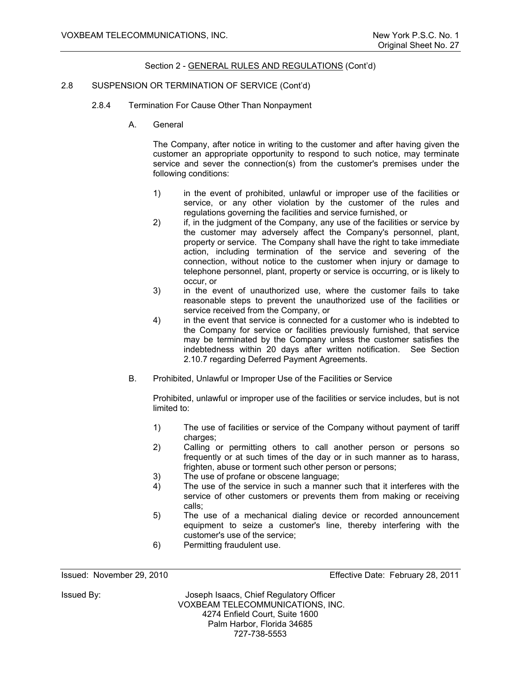## 2.8 SUSPENSION OR TERMINATION OF SERVICE (Cont'd)

- 2.8.4 Termination For Cause Other Than Nonpayment
	- A. General

The Company, after notice in writing to the customer and after having given the customer an appropriate opportunity to respond to such notice, may terminate service and sever the connection(s) from the customer's premises under the following conditions:

- 1) in the event of prohibited, unlawful or improper use of the facilities or service, or any other violation by the customer of the rules and regulations governing the facilities and service furnished, or
- 2) if, in the judgment of the Company, any use of the facilities or service by the customer may adversely affect the Company's personnel, plant, property or service. The Company shall have the right to take immediate action, including termination of the service and severing of the connection, without notice to the customer when injury or damage to telephone personnel, plant, property or service is occurring, or is likely to occur, or
- 3) in the event of unauthorized use, where the customer fails to take reasonable steps to prevent the unauthorized use of the facilities or service received from the Company, or
- 4) in the event that service is connected for a customer who is indebted to the Company for service or facilities previously furnished, that service may be terminated by the Company unless the customer satisfies the indebtedness within 20 days after written notification. See Section 2.10.7 regarding Deferred Payment Agreements.
- B. Prohibited, Unlawful or Improper Use of the Facilities or Service

Prohibited, unlawful or improper use of the facilities or service includes, but is not limited to:

- 1) The use of facilities or service of the Company without payment of tariff charges:
- 2) Calling or permitting others to call another person or persons so frequently or at such times of the day or in such manner as to harass, frighten, abuse or torment such other person or persons;
- 3) The use of profane or obscene language;
- 4) The use of the service in such a manner such that it interferes with the service of other customers or prevents them from making or receiving calls;
- 5) The use of a mechanical dialing device or recorded announcement equipment to seize a customer's line, thereby interfering with the customer's use of the service;
- 6) Permitting fraudulent use.

Issued: November 29, 2010 Effective Date: February 28, 2011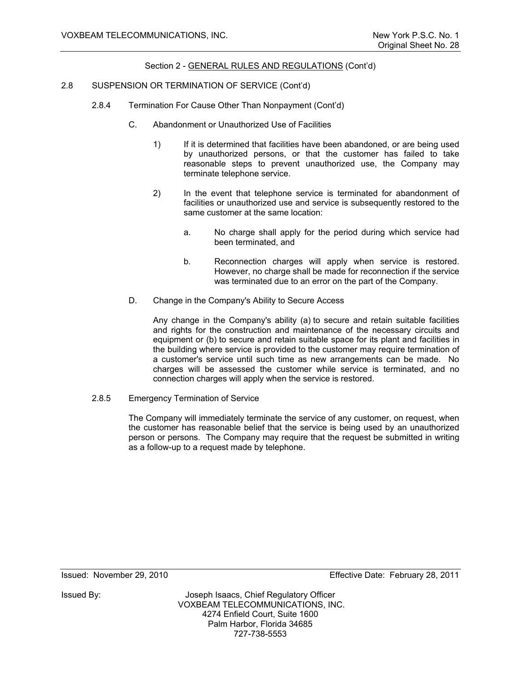## 2.8 SUSPENSION OR TERMINATION OF SERVICE (Cont'd)

- 2.8.4 Termination For Cause Other Than Nonpayment (Cont'd)
	- C. Abandonment or Unauthorized Use of Facilities
		- 1) If it is determined that facilities have been abandoned, or are being used by unauthorized persons, or that the customer has failed to take reasonable steps to prevent unauthorized use, the Company may terminate telephone service.
		- 2) In the event that telephone service is terminated for abandonment of facilities or unauthorized use and service is subsequently restored to the same customer at the same location:
			- a. No charge shall apply for the period during which service had been terminated, and
			- b. Reconnection charges will apply when service is restored. However, no charge shall be made for reconnection if the service was terminated due to an error on the part of the Company.
	- D. Change in the Company's Ability to Secure Access

Any change in the Company's ability (a) to secure and retain suitable facilities and rights for the construction and maintenance of the necessary circuits and equipment or (b) to secure and retain suitable space for its plant and facilities in the building where service is provided to the customer may require termination of a customer's service until such time as new arrangements can be made. No charges will be assessed the customer while service is terminated, and no connection charges will apply when the service is restored.

2.8.5 Emergency Termination of Service

The Company will immediately terminate the service of any customer, on request, when the customer has reasonable belief that the service is being used by an unauthorized person or persons. The Company may require that the request be submitted in writing as a follow-up to a request made by telephone.

Issued: November 29, 2010 Effective Date: February 28, 2011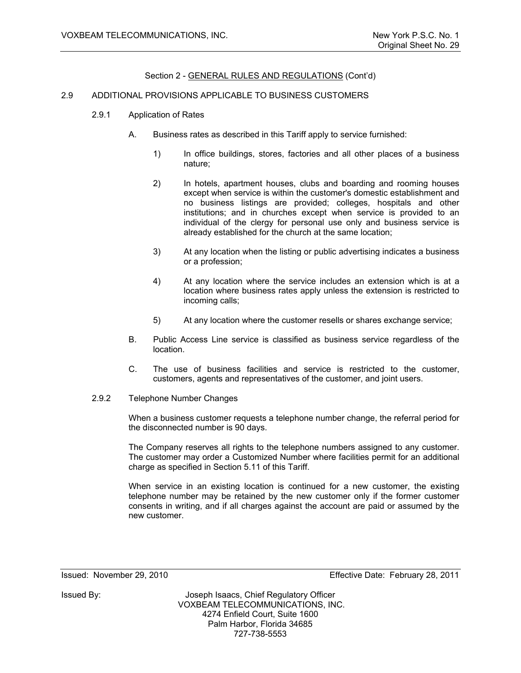## 2.9 ADDITIONAL PROVISIONS APPLICABLE TO BUSINESS CUSTOMERS

- 2.9.1 Application of Rates
	- A. Business rates as described in this Tariff apply to service furnished:
		- 1) In office buildings, stores, factories and all other places of a business nature;
		- 2) In hotels, apartment houses, clubs and boarding and rooming houses except when service is within the customer's domestic establishment and no business listings are provided; colleges, hospitals and other institutions; and in churches except when service is provided to an individual of the clergy for personal use only and business service is already established for the church at the same location;
		- 3) At any location when the listing or public advertising indicates a business or a profession;
		- 4) At any location where the service includes an extension which is at a location where business rates apply unless the extension is restricted to incoming calls;
		- 5) At any location where the customer resells or shares exchange service;
	- B. Public Access Line service is classified as business service regardless of the location.
	- C. The use of business facilities and service is restricted to the customer, customers, agents and representatives of the customer, and joint users.
- 2.9.2 Telephone Number Changes

When a business customer requests a telephone number change, the referral period for the disconnected number is 90 days.

The Company reserves all rights to the telephone numbers assigned to any customer. The customer may order a Customized Number where facilities permit for an additional charge as specified in Section 5.11 of this Tariff.

When service in an existing location is continued for a new customer, the existing telephone number may be retained by the new customer only if the former customer consents in writing, and if all charges against the account are paid or assumed by the new customer.

Issued: November 29, 2010 Effective Date: February 28, 2011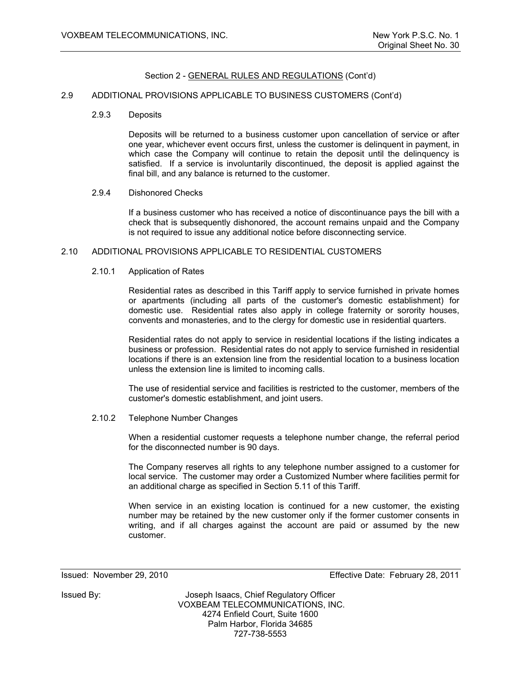## 2.9 ADDITIONAL PROVISIONS APPLICABLE TO BUSINESS CUSTOMERS (Cont'd)

2.9.3 Deposits

Deposits will be returned to a business customer upon cancellation of service or after one year, whichever event occurs first, unless the customer is delinquent in payment, in which case the Company will continue to retain the deposit until the delinquency is satisfied. If a service is involuntarily discontinued, the deposit is applied against the final bill, and any balance is returned to the customer.

#### 2.9.4 Dishonored Checks

If a business customer who has received a notice of discontinuance pays the bill with a check that is subsequently dishonored, the account remains unpaid and the Company is not required to issue any additional notice before disconnecting service.

## 2.10 ADDITIONAL PROVISIONS APPLICABLE TO RESIDENTIAL CUSTOMERS

#### 2.10.1 Application of Rates

Residential rates as described in this Tariff apply to service furnished in private homes or apartments (including all parts of the customer's domestic establishment) for domestic use. Residential rates also apply in college fraternity or sorority houses, convents and monasteries, and to the clergy for domestic use in residential quarters.

Residential rates do not apply to service in residential locations if the listing indicates a business or profession. Residential rates do not apply to service furnished in residential locations if there is an extension line from the residential location to a business location unless the extension line is limited to incoming calls.

The use of residential service and facilities is restricted to the customer, members of the customer's domestic establishment, and joint users.

#### 2.10.2 Telephone Number Changes

When a residential customer requests a telephone number change, the referral period for the disconnected number is 90 days.

The Company reserves all rights to any telephone number assigned to a customer for local service. The customer may order a Customized Number where facilities permit for an additional charge as specified in Section 5.11 of this Tariff.

When service in an existing location is continued for a new customer, the existing number may be retained by the new customer only if the former customer consents in writing, and if all charges against the account are paid or assumed by the new customer.

Issued: November 29, 2010 Effective Date: February 28, 2011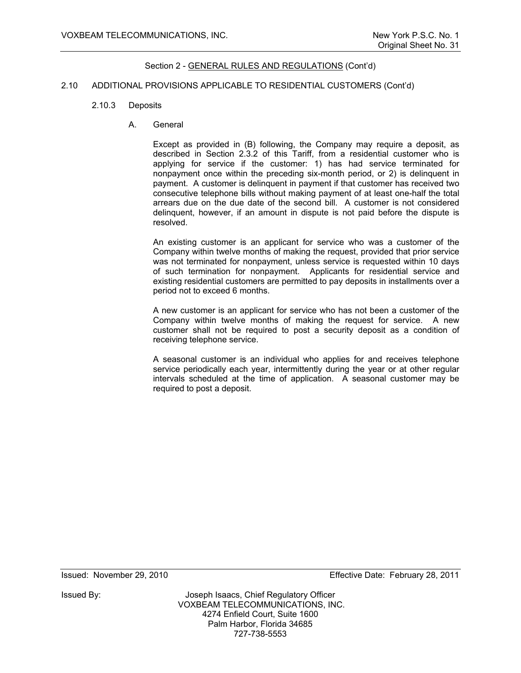#### 2.10 ADDITIONAL PROVISIONS APPLICABLE TO RESIDENTIAL CUSTOMERS (Cont'd)

- 2.10.3 Deposits
	- A. General

Except as provided in (B) following, the Company may require a deposit, as described in Section 2.3.2 of this Tariff, from a residential customer who is applying for service if the customer: 1) has had service terminated for nonpayment once within the preceding six-month period, or 2) is delinquent in payment. A customer is delinquent in payment if that customer has received two consecutive telephone bills without making payment of at least one-half the total arrears due on the due date of the second bill. A customer is not considered delinquent, however, if an amount in dispute is not paid before the dispute is resolved.

An existing customer is an applicant for service who was a customer of the Company within twelve months of making the request, provided that prior service was not terminated for nonpayment, unless service is requested within 10 days of such termination for nonpayment. Applicants for residential service and existing residential customers are permitted to pay deposits in installments over a period not to exceed 6 months.

A new customer is an applicant for service who has not been a customer of the Company within twelve months of making the request for service. A new customer shall not be required to post a security deposit as a condition of receiving telephone service.

A seasonal customer is an individual who applies for and receives telephone service periodically each year, intermittently during the year or at other regular intervals scheduled at the time of application. A seasonal customer may be required to post a deposit.

Issued: November 29, 2010 Effective Date: February 28, 2011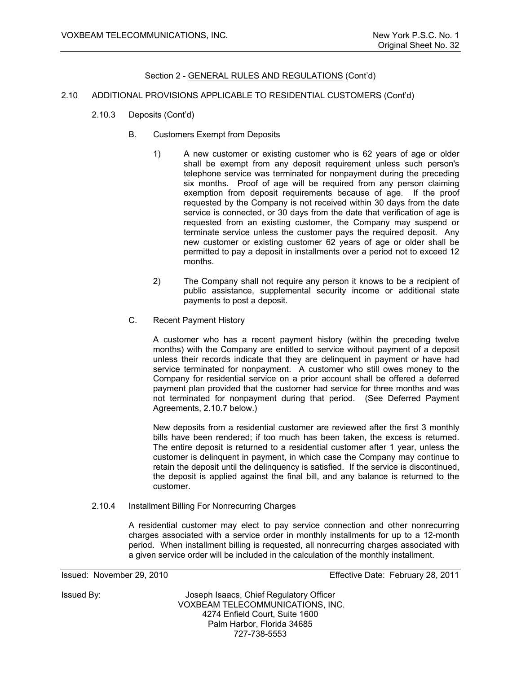#### 2.10 ADDITIONAL PROVISIONS APPLICABLE TO RESIDENTIAL CUSTOMERS (Cont'd)

- 2.10.3 Deposits (Cont'd)
	- B. Customers Exempt from Deposits
		- 1) A new customer or existing customer who is 62 years of age or older shall be exempt from any deposit requirement unless such person's telephone service was terminated for nonpayment during the preceding six months. Proof of age will be required from any person claiming exemption from deposit requirements because of age. If the proof requested by the Company is not received within 30 days from the date service is connected, or 30 days from the date that verification of age is requested from an existing customer, the Company may suspend or terminate service unless the customer pays the required deposit. Any new customer or existing customer 62 years of age or older shall be permitted to pay a deposit in installments over a period not to exceed 12 months.
		- 2) The Company shall not require any person it knows to be a recipient of public assistance, supplemental security income or additional state payments to post a deposit.
	- C. Recent Payment History

A customer who has a recent payment history (within the preceding twelve months) with the Company are entitled to service without payment of a deposit unless their records indicate that they are delinquent in payment or have had service terminated for nonpayment. A customer who still owes money to the Company for residential service on a prior account shall be offered a deferred payment plan provided that the customer had service for three months and was not terminated for nonpayment during that period. (See Deferred Payment Agreements, 2.10.7 below.)

New deposits from a residential customer are reviewed after the first 3 monthly bills have been rendered; if too much has been taken, the excess is returned. The entire deposit is returned to a residential customer after 1 year, unless the customer is delinquent in payment, in which case the Company may continue to retain the deposit until the delinquency is satisfied. If the service is discontinued, the deposit is applied against the final bill, and any balance is returned to the customer.

2.10.4 Installment Billing For Nonrecurring Charges

A residential customer may elect to pay service connection and other nonrecurring charges associated with a service order in monthly installments for up to a 12-month period. When installment billing is requested, all nonrecurring charges associated with a given service order will be included in the calculation of the monthly installment.

Issued: November 29, 2010 Effective Date: February 28, 2011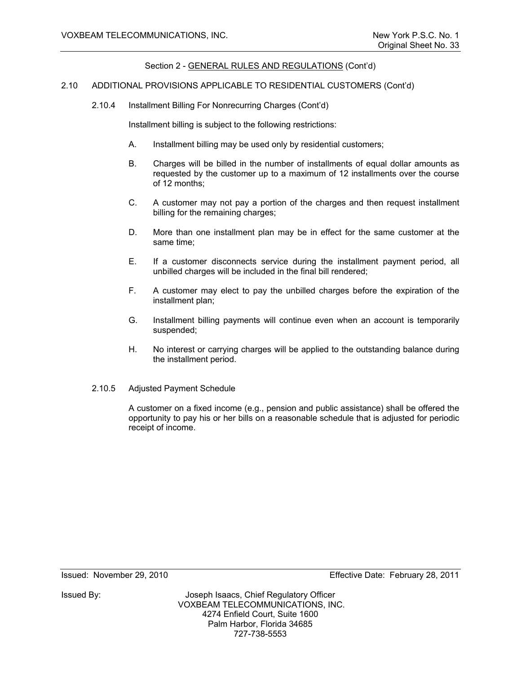#### 2.10 ADDITIONAL PROVISIONS APPLICABLE TO RESIDENTIAL CUSTOMERS (Cont'd)

2.10.4 Installment Billing For Nonrecurring Charges (Cont'd)

Installment billing is subject to the following restrictions:

- A. Installment billing may be used only by residential customers;
- B. Charges will be billed in the number of installments of equal dollar amounts as requested by the customer up to a maximum of 12 installments over the course of 12 months;
- C. A customer may not pay a portion of the charges and then request installment billing for the remaining charges;
- D. More than one installment plan may be in effect for the same customer at the same time;
- E. If a customer disconnects service during the installment payment period, all unbilled charges will be included in the final bill rendered;
- F. A customer may elect to pay the unbilled charges before the expiration of the installment plan;
- G. Installment billing payments will continue even when an account is temporarily suspended;
- H. No interest or carrying charges will be applied to the outstanding balance during the installment period.
- 2.10.5 Adjusted Payment Schedule

A customer on a fixed income (e.g., pension and public assistance) shall be offered the opportunity to pay his or her bills on a reasonable schedule that is adjusted for periodic receipt of income.

Issued: November 29, 2010 Effective Date: February 28, 2011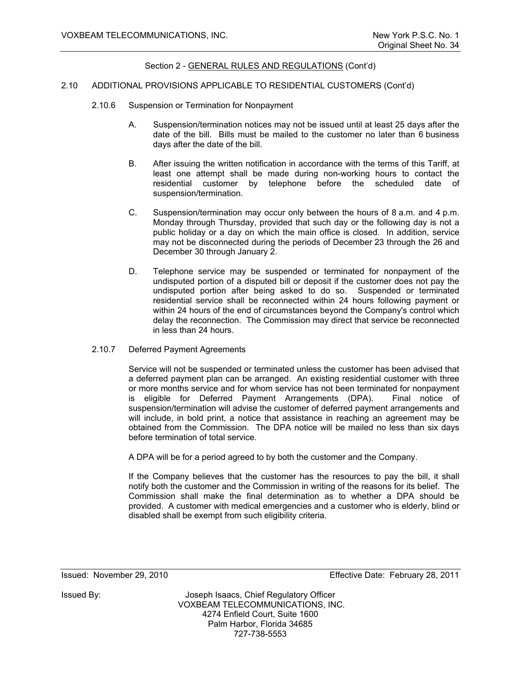#### 2.10 ADDITIONAL PROVISIONS APPLICABLE TO RESIDENTIAL CUSTOMERS (Cont'd)

- 2.10.6 Suspension or Termination for Nonpayment
	- A. Suspension/termination notices may not be issued until at least 25 days after the date of the bill. Bills must be mailed to the customer no later than 6 business days after the date of the bill.
	- B. After issuing the written notification in accordance with the terms of this Tariff, at least one attempt shall be made during non-working hours to contact the residential customer by telephone before the scheduled date of suspension/termination.
	- C. Suspension/termination may occur only between the hours of 8 a.m. and 4 p.m. Monday through Thursday, provided that such day or the following day is not a public holiday or a day on which the main office is closed. In addition, service may not be disconnected during the periods of December 23 through the 26 and December 30 through January 2.
	- D. Telephone service may be suspended or terminated for nonpayment of the undisputed portion of a disputed bill or deposit if the customer does not pay the undisputed portion after being asked to do so. Suspended or terminated residential service shall be reconnected within 24 hours following payment or within 24 hours of the end of circumstances beyond the Company's control which delay the reconnection. The Commission may direct that service be reconnected in less than 24 hours.

#### 2.10.7 Deferred Payment Agreements

Service will not be suspended or terminated unless the customer has been advised that a deferred payment plan can be arranged. An existing residential customer with three or more months service and for whom service has not been terminated for nonpayment is eligible for Deferred Payment Arrangements (DPA). Final notice of suspension/termination will advise the customer of deferred payment arrangements and will include, in bold print, a notice that assistance in reaching an agreement may be obtained from the Commission. The DPA notice will be mailed no less than six days before termination of total service.

A DPA will be for a period agreed to by both the customer and the Company.

If the Company believes that the customer has the resources to pay the bill, it shall notify both the customer and the Commission in writing of the reasons for its belief. The Commission shall make the final determination as to whether a DPA should be provided. A customer with medical emergencies and a customer who is elderly, blind or disabled shall be exempt from such eligibility criteria.

Issued: November 29, 2010 Effective Date: February 28, 2011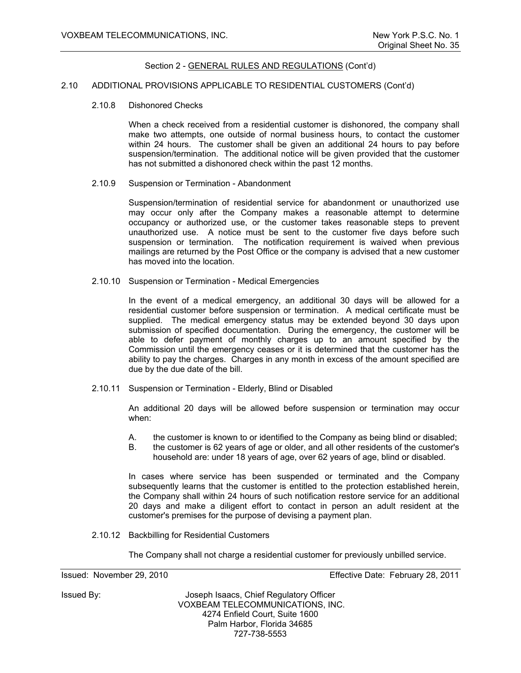#### 2.10 ADDITIONAL PROVISIONS APPLICABLE TO RESIDENTIAL CUSTOMERS (Cont'd)

2.10.8 Dishonored Checks

When a check received from a residential customer is dishonored, the company shall make two attempts, one outside of normal business hours, to contact the customer within 24 hours. The customer shall be given an additional 24 hours to pay before suspension/termination. The additional notice will be given provided that the customer has not submitted a dishonored check within the past 12 months.

2.10.9 Suspension or Termination - Abandonment

Suspension/termination of residential service for abandonment or unauthorized use may occur only after the Company makes a reasonable attempt to determine occupancy or authorized use, or the customer takes reasonable steps to prevent unauthorized use. A notice must be sent to the customer five days before such suspension or termination. The notification requirement is waived when previous mailings are returned by the Post Office or the company is advised that a new customer has moved into the location.

2.10.10 Suspension or Termination - Medical Emergencies

In the event of a medical emergency, an additional 30 days will be allowed for a residential customer before suspension or termination. A medical certificate must be supplied. The medical emergency status may be extended beyond 30 days upon submission of specified documentation. During the emergency, the customer will be able to defer payment of monthly charges up to an amount specified by the Commission until the emergency ceases or it is determined that the customer has the ability to pay the charges. Charges in any month in excess of the amount specified are due by the due date of the bill.

2.10.11 Suspension or Termination - Elderly, Blind or Disabled

An additional 20 days will be allowed before suspension or termination may occur when:

- A. the customer is known to or identified to the Company as being blind or disabled;
- B. the customer is 62 years of age or older, and all other residents of the customer's household are: under 18 years of age, over 62 years of age, blind or disabled.

In cases where service has been suspended or terminated and the Company subsequently learns that the customer is entitled to the protection established herein, the Company shall within 24 hours of such notification restore service for an additional 20 days and make a diligent effort to contact in person an adult resident at the customer's premises for the purpose of devising a payment plan.

2.10.12 Backbilling for Residential Customers

The Company shall not charge a residential customer for previously unbilled service.

Issued: November 29, 2010 Effective Date: February 28, 2011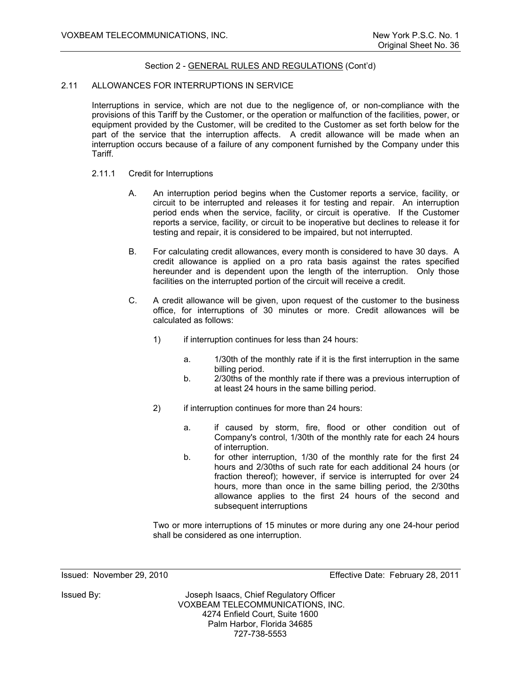#### 2.11 ALLOWANCES FOR INTERRUPTIONS IN SERVICE

Interruptions in service, which are not due to the negligence of, or non-compliance with the provisions of this Tariff by the Customer, or the operation or malfunction of the facilities, power, or equipment provided by the Customer, will be credited to the Customer as set forth below for the part of the service that the interruption affects. A credit allowance will be made when an interruption occurs because of a failure of any component furnished by the Company under this Tariff.

- 2.11.1 Credit for Interruptions
	- A. An interruption period begins when the Customer reports a service, facility, or circuit to be interrupted and releases it for testing and repair. An interruption period ends when the service, facility, or circuit is operative. If the Customer reports a service, facility, or circuit to be inoperative but declines to release it for testing and repair, it is considered to be impaired, but not interrupted.
	- B. For calculating credit allowances, every month is considered to have 30 days. A credit allowance is applied on a pro rata basis against the rates specified hereunder and is dependent upon the length of the interruption. Only those facilities on the interrupted portion of the circuit will receive a credit.
	- C. A credit allowance will be given, upon request of the customer to the business office, for interruptions of 30 minutes or more. Credit allowances will be calculated as follows:
		- 1) if interruption continues for less than 24 hours:
			- a. 1/30th of the monthly rate if it is the first interruption in the same billing period.
			- b. 2/30ths of the monthly rate if there was a previous interruption of at least 24 hours in the same billing period.
		- 2) if interruption continues for more than 24 hours:
			- a. if caused by storm, fire, flood or other condition out of Company's control, 1/30th of the monthly rate for each 24 hours of interruption.
			- b. for other interruption, 1/30 of the monthly rate for the first 24 hours and 2/30ths of such rate for each additional 24 hours (or fraction thereof); however, if service is interrupted for over 24 hours, more than once in the same billing period, the 2/30ths allowance applies to the first 24 hours of the second and subsequent interruptions

Two or more interruptions of 15 minutes or more during any one 24-hour period shall be considered as one interruption.

Issued: November 29, 2010 Effective Date: February 28, 2011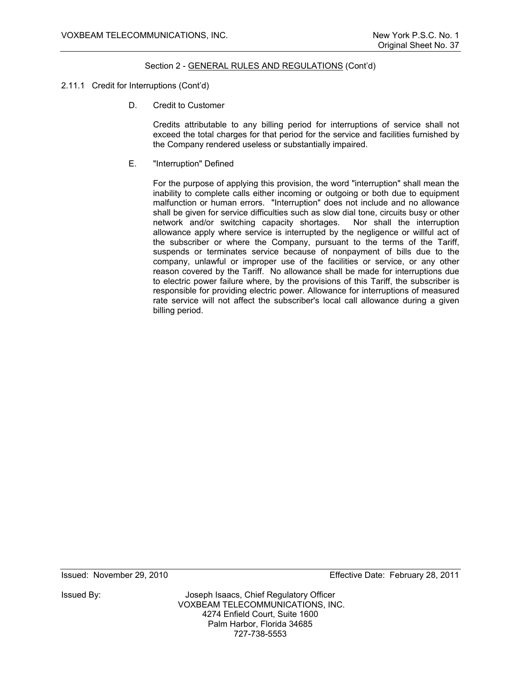## 2.11.1 Credit for Interruptions (Cont'd)

D. Credit to Customer

Credits attributable to any billing period for interruptions of service shall not exceed the total charges for that period for the service and facilities furnished by the Company rendered useless or substantially impaired.

E. "Interruption" Defined

For the purpose of applying this provision, the word "interruption" shall mean the inability to complete calls either incoming or outgoing or both due to equipment malfunction or human errors. "Interruption" does not include and no allowance shall be given for service difficulties such as slow dial tone, circuits busy or other network and/or switching capacity shortages. Nor shall the interruption allowance apply where service is interrupted by the negligence or willful act of the subscriber or where the Company, pursuant to the terms of the Tariff, suspends or terminates service because of nonpayment of bills due to the company, unlawful or improper use of the facilities or service, or any other reason covered by the Tariff. No allowance shall be made for interruptions due to electric power failure where, by the provisions of this Tariff, the subscriber is responsible for providing electric power. Allowance for interruptions of measured rate service will not affect the subscriber's local call allowance during a given billing period.

Issued By: Joseph Isaacs, Chief Regulatory Officer VOXBEAM TELECOMMUNICATIONS, INC. 4274 Enfield Court, Suite 1600 Palm Harbor, Florida 34685 727-738-5553

Issued: November 29, 2010 Effective Date: February 28, 2011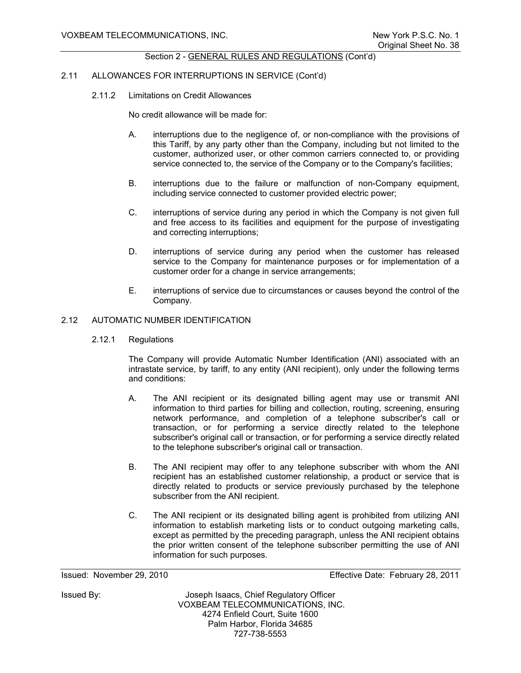#### 2.11 ALLOWANCES FOR INTERRUPTIONS IN SERVICE (Cont'd)

2.11.2 Limitations on Credit Allowances

No credit allowance will be made for:

- A. interruptions due to the negligence of, or non-compliance with the provisions of this Tariff, by any party other than the Company, including but not limited to the customer, authorized user, or other common carriers connected to, or providing service connected to, the service of the Company or to the Company's facilities;
- B. interruptions due to the failure or malfunction of non-Company equipment, including service connected to customer provided electric power;
- C. interruptions of service during any period in which the Company is not given full and free access to its facilities and equipment for the purpose of investigating and correcting interruptions;
- D. interruptions of service during any period when the customer has released service to the Company for maintenance purposes or for implementation of a customer order for a change in service arrangements;
- E. interruptions of service due to circumstances or causes beyond the control of the Company.

# 2.12 AUTOMATIC NUMBER IDENTIFICATION

2.12.1 Regulations

The Company will provide Automatic Number Identification (ANI) associated with an intrastate service, by tariff, to any entity (ANI recipient), only under the following terms and conditions:

- A. The ANI recipient or its designated billing agent may use or transmit ANI information to third parties for billing and collection, routing, screening, ensuring network performance, and completion of a telephone subscriber's call or transaction, or for performing a service directly related to the telephone subscriber's original call or transaction, or for performing a service directly related to the telephone subscriber's original call or transaction.
- B. The ANI recipient may offer to any telephone subscriber with whom the ANI recipient has an established customer relationship, a product or service that is directly related to products or service previously purchased by the telephone subscriber from the ANI recipient.
- C. The ANI recipient or its designated billing agent is prohibited from utilizing ANI information to establish marketing lists or to conduct outgoing marketing calls, except as permitted by the preceding paragraph, unless the ANI recipient obtains the prior written consent of the telephone subscriber permitting the use of ANI information for such purposes.

Issued: November 29, 2010 Effective Date: February 28, 2011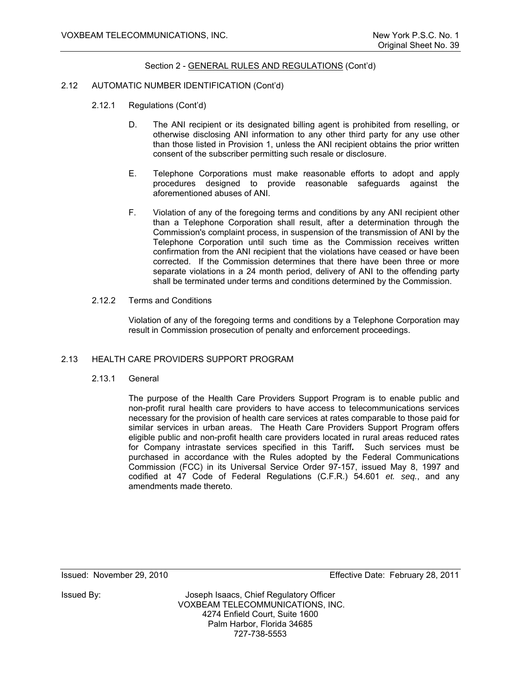## 2.12 AUTOMATIC NUMBER IDENTIFICATION (Cont'd)

- 2.12.1 Regulations (Cont'd)
	- D. The ANI recipient or its designated billing agent is prohibited from reselling, or otherwise disclosing ANI information to any other third party for any use other than those listed in Provision 1, unless the ANI recipient obtains the prior written consent of the subscriber permitting such resale or disclosure.
	- E. Telephone Corporations must make reasonable efforts to adopt and apply procedures designed to provide reasonable safeguards against the aforementioned abuses of ANI.
	- F. Violation of any of the foregoing terms and conditions by any ANI recipient other than a Telephone Corporation shall result, after a determination through the Commission's complaint process, in suspension of the transmission of ANI by the Telephone Corporation until such time as the Commission receives written confirmation from the ANI recipient that the violations have ceased or have been corrected. If the Commission determines that there have been three or more separate violations in a 24 month period, delivery of ANI to the offending party shall be terminated under terms and conditions determined by the Commission.
- 2.12.2 Terms and Conditions

Violation of any of the foregoing terms and conditions by a Telephone Corporation may result in Commission prosecution of penalty and enforcement proceedings.

## 2.13 HEALTH CARE PROVIDERS SUPPORT PROGRAM

2.13.1 General

The purpose of the Health Care Providers Support Program is to enable public and non-profit rural health care providers to have access to telecommunications services necessary for the provision of health care services at rates comparable to those paid for similar services in urban areas. The Heath Care Providers Support Program offers eligible public and non-profit health care providers located in rural areas reduced rates for Company intrastate services specified in this Tariff**.** Such services must be purchased in accordance with the Rules adopted by the Federal Communications Commission (FCC) in its Universal Service Order 97-157, issued May 8, 1997 and codified at 47 Code of Federal Regulations (C.F.R.) 54.601 *et. seq.*, and any amendments made thereto.

Issued: November 29, 2010 Effective Date: February 28, 2011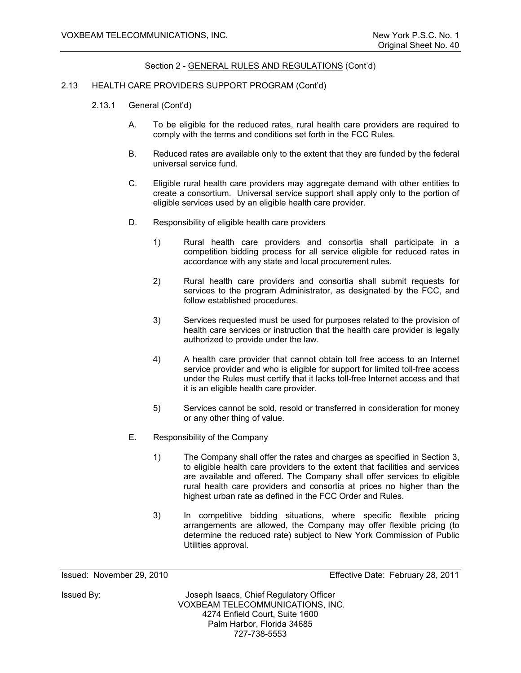## 2.13 HEALTH CARE PROVIDERS SUPPORT PROGRAM (Cont'd)

- 2.13.1 General (Cont'd)
	- A. To be eligible for the reduced rates, rural health care providers are required to comply with the terms and conditions set forth in the FCC Rules.
	- B. Reduced rates are available only to the extent that they are funded by the federal universal service fund.
	- C. Eligible rural health care providers may aggregate demand with other entities to create a consortium. Universal service support shall apply only to the portion of eligible services used by an eligible health care provider.
	- D. Responsibility of eligible health care providers
		- 1) Rural health care providers and consortia shall participate in a competition bidding process for all service eligible for reduced rates in accordance with any state and local procurement rules.
		- 2) Rural health care providers and consortia shall submit requests for services to the program Administrator, as designated by the FCC, and follow established procedures.
		- 3) Services requested must be used for purposes related to the provision of health care services or instruction that the health care provider is legally authorized to provide under the law.
		- 4) A health care provider that cannot obtain toll free access to an Internet service provider and who is eligible for support for limited toll-free access under the Rules must certify that it lacks toll-free Internet access and that it is an eligible health care provider.
		- 5) Services cannot be sold, resold or transferred in consideration for money or any other thing of value.
	- E. Responsibility of the Company
		- 1) The Company shall offer the rates and charges as specified in Section 3, to eligible health care providers to the extent that facilities and services are available and offered. The Company shall offer services to eligible rural health care providers and consortia at prices no higher than the highest urban rate as defined in the FCC Order and Rules.
		- 3) In competitive bidding situations, where specific flexible pricing arrangements are allowed, the Company may offer flexible pricing (to determine the reduced rate) subject to New York Commission of Public Utilities approval.

Issued: November 29, 2010 Effective Date: February 28, 2011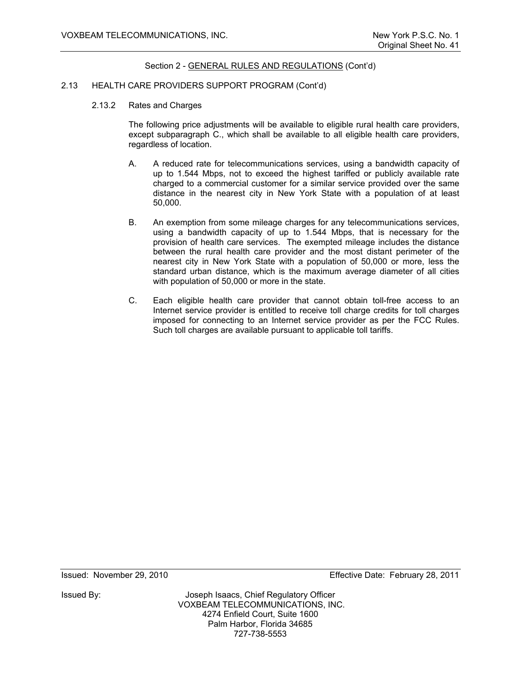#### 2.13 HEALTH CARE PROVIDERS SUPPORT PROGRAM (Cont'd)

2.13.2 Rates and Charges

 The following price adjustments will be available to eligible rural health care providers, except subparagraph C., which shall be available to all eligible health care providers, regardless of location.

- A. A reduced rate for telecommunications services, using a bandwidth capacity of up to 1.544 Mbps, not to exceed the highest tariffed or publicly available rate charged to a commercial customer for a similar service provided over the same distance in the nearest city in New York State with a population of at least 50,000.
- B. An exemption from some mileage charges for any telecommunications services, using a bandwidth capacity of up to 1.544 Mbps, that is necessary for the provision of health care services. The exempted mileage includes the distance between the rural health care provider and the most distant perimeter of the nearest city in New York State with a population of 50,000 or more, less the standard urban distance, which is the maximum average diameter of all cities with population of 50,000 or more in the state.
- C. Each eligible health care provider that cannot obtain toll-free access to an Internet service provider is entitled to receive toll charge credits for toll charges imposed for connecting to an Internet service provider as per the FCC Rules. Such toll charges are available pursuant to applicable toll tariffs.

Issued: November 29, 2010 Effective Date: February 28, 2011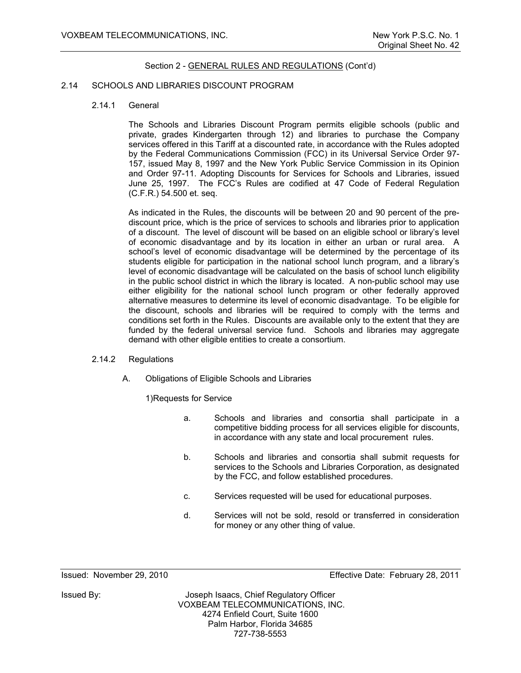#### 2.14 SCHOOLS AND LIBRARIES DISCOUNT PROGRAM

#### 2.14.1 General

 The Schools and Libraries Discount Program permits eligible schools (public and private, grades Kindergarten through 12) and libraries to purchase the Company services offered in this Tariff at a discounted rate, in accordance with the Rules adopted by the Federal Communications Commission (FCC) in its Universal Service Order 97- 157, issued May 8, 1997 and the New York Public Service Commission in its Opinion and Order 97-11. Adopting Discounts for Services for Schools and Libraries, issued June 25, 1997. The FCC's Rules are codified at 47 Code of Federal Regulation (C.F.R.) 54.500 et. seq.

 As indicated in the Rules, the discounts will be between 20 and 90 percent of the prediscount price, which is the price of services to schools and libraries prior to application of a discount. The level of discount will be based on an eligible school or library's level of economic disadvantage and by its location in either an urban or rural area. A school's level of economic disadvantage will be determined by the percentage of its students eligible for participation in the national school lunch program, and a library's level of economic disadvantage will be calculated on the basis of school lunch eligibility in the public school district in which the library is located. A non-public school may use either eligibility for the national school lunch program or other federally approved alternative measures to determine its level of economic disadvantage. To be eligible for the discount, schools and libraries will be required to comply with the terms and conditions set forth in the Rules. Discounts are available only to the extent that they are funded by the federal universal service fund. Schools and libraries may aggregate demand with other eligible entities to create a consortium.

#### 2.14.2 Regulations

A. Obligations of Eligible Schools and Libraries

1) Requests for Service

- a. Schools and libraries and consortia shall participate in a competitive bidding process for all services eligible for discounts, in accordance with any state and local procurement rules.
- b. Schools and libraries and consortia shall submit requests for services to the Schools and Libraries Corporation, as designated by the FCC, and follow established procedures.
- c. Services requested will be used for educational purposes.
- d. Services will not be sold, resold or transferred in consideration for money or any other thing of value.

Issued: November 29, 2010 Effective Date: February 28, 2011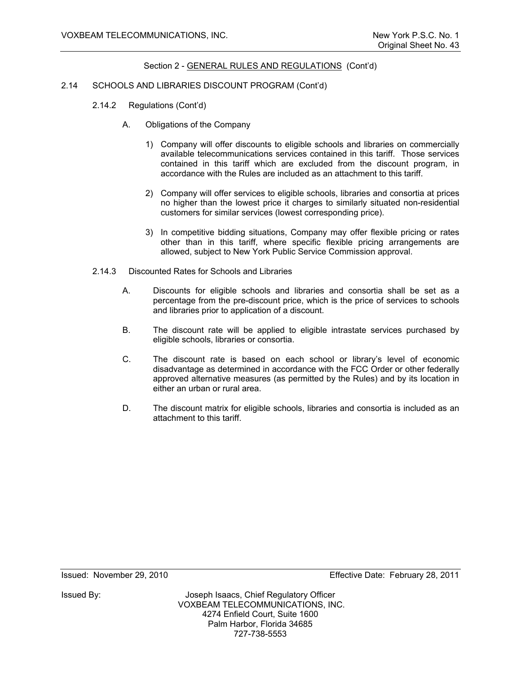#### 2.14 SCHOOLS AND LIBRARIES DISCOUNT PROGRAM (Cont'd)

- 2.14.2 Regulations (Cont'd)
	- A. Obligations of the Company
		- 1) Company will offer discounts to eligible schools and libraries on commercially available telecommunications services contained in this tariff. Those services contained in this tariff which are excluded from the discount program, in accordance with the Rules are included as an attachment to this tariff.
		- 2) Company will offer services to eligible schools, libraries and consortia at prices no higher than the lowest price it charges to similarly situated non-residential customers for similar services (lowest corresponding price).
		- 3) In competitive bidding situations, Company may offer flexible pricing or rates other than in this tariff, where specific flexible pricing arrangements are allowed, subject to New York Public Service Commission approval.
- 2.14.3 Discounted Rates for Schools and Libraries
	- A. Discounts for eligible schools and libraries and consortia shall be set as a percentage from the pre-discount price, which is the price of services to schools and libraries prior to application of a discount.
	- B. The discount rate will be applied to eligible intrastate services purchased by eligible schools, libraries or consortia.
	- C. The discount rate is based on each school or library's level of economic disadvantage as determined in accordance with the FCC Order or other federally approved alternative measures (as permitted by the Rules) and by its location in either an urban or rural area.
	- D. The discount matrix for eligible schools, libraries and consortia is included as an attachment to this tariff.

Issued: November 29, 2010 Effective Date: February 28, 2011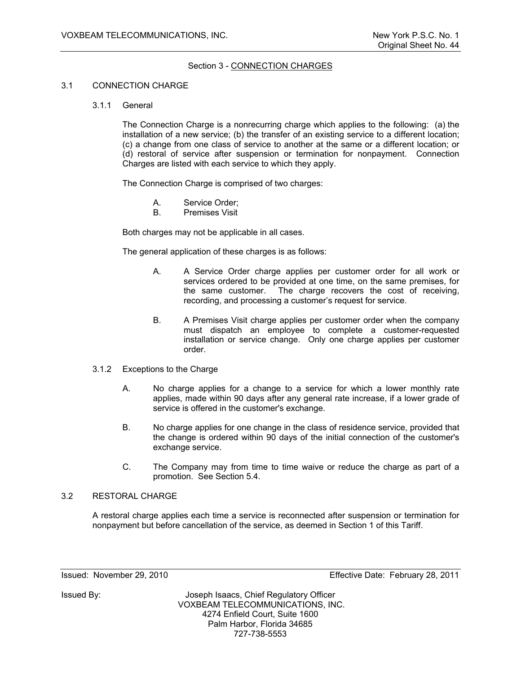# Section 3 - CONNECTION CHARGES

#### 3.1 CONNECTION CHARGE

#### 3.1.1 General

 The Connection Charge is a nonrecurring charge which applies to the following: (a) the installation of a new service; (b) the transfer of an existing service to a different location; (c) a change from one class of service to another at the same or a different location; or (d) restoral of service after suspension or termination for nonpayment. Connection Charges are listed with each service to which they apply.

The Connection Charge is comprised of two charges:

- A. Service Order;
- B. Premises Visit

Both charges may not be applicable in all cases.

The general application of these charges is as follows:

- A. A Service Order charge applies per customer order for all work or services ordered to be provided at one time, on the same premises, for the same customer. The charge recovers the cost of receiving, recording, and processing a customer's request for service.
- B. A Premises Visit charge applies per customer order when the company must dispatch an employee to complete a customer-requested installation or service change. Only one charge applies per customer order.
- 3.1.2 Exceptions to the Charge
	- A. No charge applies for a change to a service for which a lower monthly rate applies, made within 90 days after any general rate increase, if a lower grade of service is offered in the customer's exchange.
	- B. No charge applies for one change in the class of residence service, provided that the change is ordered within 90 days of the initial connection of the customer's exchange service.
	- C. The Company may from time to time waive or reduce the charge as part of a promotion. See Section 5.4.

#### 3.2 RESTORAL CHARGE

 A restoral charge applies each time a service is reconnected after suspension or termination for nonpayment but before cancellation of the service, as deemed in Section 1 of this Tariff.

Issued: November 29, 2010 Effective Date: February 28, 2011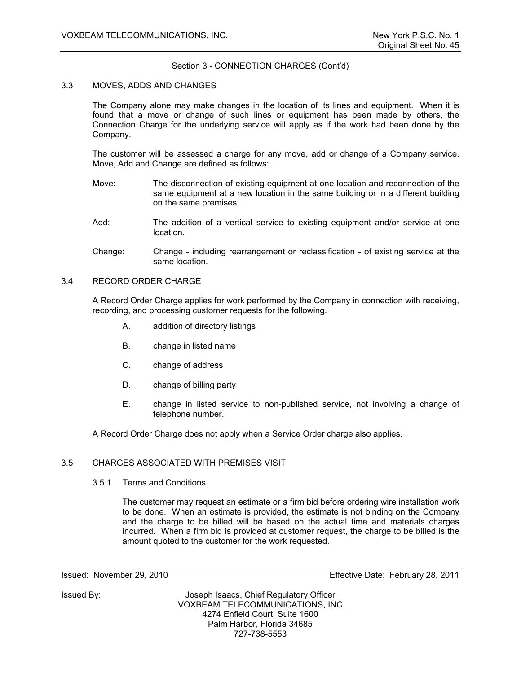# Section 3 - CONNECTION CHARGES (Cont'd)

## 3.3 MOVES, ADDS AND CHANGES

 The Company alone may make changes in the location of its lines and equipment. When it is found that a move or change of such lines or equipment has been made by others, the Connection Charge for the underlying service will apply as if the work had been done by the Company.

 The customer will be assessed a charge for any move, add or change of a Company service. Move, Add and Change are defined as follows:

- Move: The disconnection of existing equipment at one location and reconnection of the same equipment at a new location in the same building or in a different building on the same premises.
- Add: The addition of a vertical service to existing equipment and/or service at one location.
- Change: Change including rearrangement or reclassification of existing service at the same location.

# 3.4 RECORD ORDER CHARGE

 A Record Order Charge applies for work performed by the Company in connection with receiving, recording, and processing customer requests for the following.

- A. addition of directory listings
- B. change in listed name
- C. change of address
- D. change of billing party
- E. change in listed service to non-published service, not involving a change of telephone number.

A Record Order Charge does not apply when a Service Order charge also applies.

# 3.5 CHARGES ASSOCIATED WITH PREMISES VISIT

#### 3.5.1 Terms and Conditions

 The customer may request an estimate or a firm bid before ordering wire installation work to be done. When an estimate is provided, the estimate is not binding on the Company and the charge to be billed will be based on the actual time and materials charges incurred. When a firm bid is provided at customer request, the charge to be billed is the amount quoted to the customer for the work requested.

Issued By: Joseph Isaacs, Chief Regulatory Officer VOXBEAM TELECOMMUNICATIONS, INC. 4274 Enfield Court, Suite 1600 Palm Harbor, Florida 34685 727-738-5553

Issued: November 29, 2010 Effective Date: February 28, 2011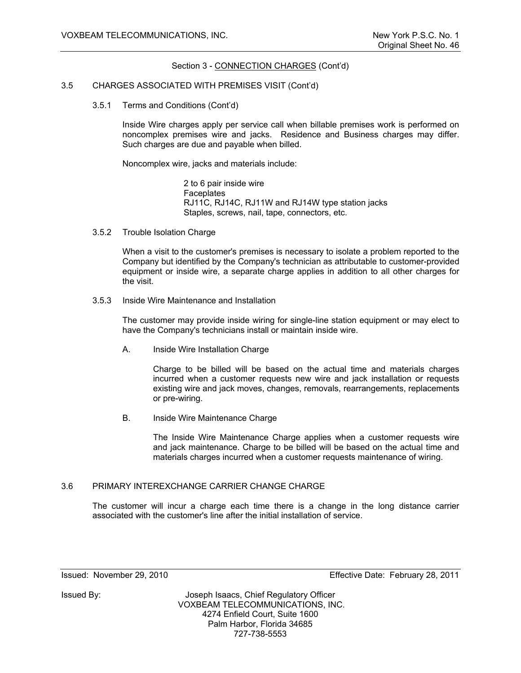## Section 3 - CONNECTION CHARGES (Cont'd)

#### 3.5 CHARGES ASSOCIATED WITH PREMISES VISIT (Cont'd)

3.5.1 Terms and Conditions (Cont'd)

 Inside Wire charges apply per service call when billable premises work is performed on noncomplex premises wire and jacks. Residence and Business charges may differ. Such charges are due and payable when billed.

Noncomplex wire, jacks and materials include:

 2 to 6 pair inside wire **Faceplates**  RJ11C, RJ14C, RJ11W and RJ14W type station jacks Staples, screws, nail, tape, connectors, etc.

3.5.2 Trouble Isolation Charge

 When a visit to the customer's premises is necessary to isolate a problem reported to the Company but identified by the Company's technician as attributable to customer-provided equipment or inside wire, a separate charge applies in addition to all other charges for the visit.

3.5.3 Inside Wire Maintenance and Installation

 The customer may provide inside wiring for single-line station equipment or may elect to have the Company's technicians install or maintain inside wire.

A. Inside Wire Installation Charge

 Charge to be billed will be based on the actual time and materials charges incurred when a customer requests new wire and jack installation or requests existing wire and jack moves, changes, removals, rearrangements, replacements or pre-wiring.

B. Inside Wire Maintenance Charge

 The Inside Wire Maintenance Charge applies when a customer requests wire and jack maintenance. Charge to be billed will be based on the actual time and materials charges incurred when a customer requests maintenance of wiring.

# 3.6 PRIMARY INTEREXCHANGE CARRIER CHANGE CHARGE

 The customer will incur a charge each time there is a change in the long distance carrier associated with the customer's line after the initial installation of service.

Issued: November 29, 2010 Effective Date: February 28, 2011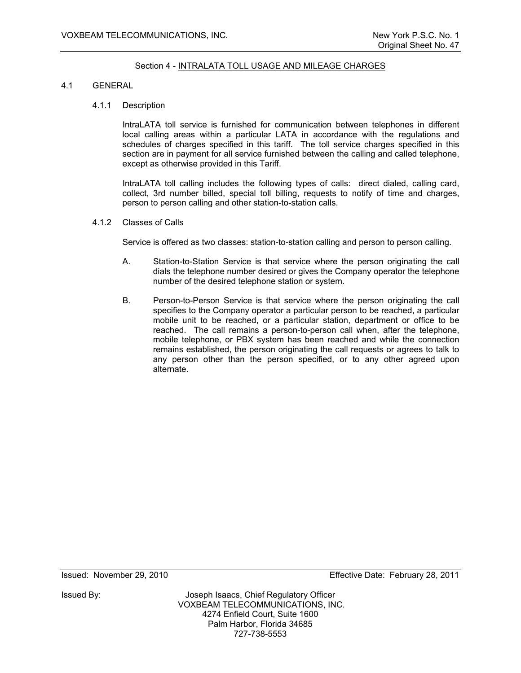## Section 4 - INTRALATA TOLL USAGE AND MILEAGE CHARGES

#### 4.1 GENERAL

#### 4.1.1 Description

 IntraLATA toll service is furnished for communication between telephones in different local calling areas within a particular LATA in accordance with the regulations and schedules of charges specified in this tariff. The toll service charges specified in this section are in payment for all service furnished between the calling and called telephone, except as otherwise provided in this Tariff.

 IntraLATA toll calling includes the following types of calls: direct dialed, calling card, collect, 3rd number billed, special toll billing, requests to notify of time and charges, person to person calling and other station-to-station calls.

4.1.2 Classes of Calls

Service is offered as two classes: station-to-station calling and person to person calling.

- A. Station-to-Station Service is that service where the person originating the call dials the telephone number desired or gives the Company operator the telephone number of the desired telephone station or system.
- B. Person-to-Person Service is that service where the person originating the call specifies to the Company operator a particular person to be reached, a particular mobile unit to be reached, or a particular station, department or office to be reached. The call remains a person-to-person call when, after the telephone, mobile telephone, or PBX system has been reached and while the connection remains established, the person originating the call requests or agrees to talk to any person other than the person specified, or to any other agreed upon alternate.

Issued: November 29, 2010 Effective Date: February 28, 2011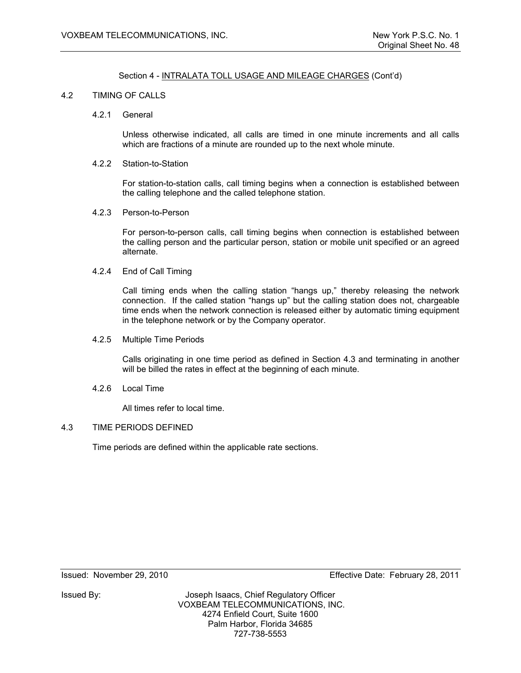# Section 4 - INTRALATA TOLL USAGE AND MILEAGE CHARGES (Cont'd)

## 4.2 TIMING OF CALLS

4.2.1 General

 Unless otherwise indicated, all calls are timed in one minute increments and all calls which are fractions of a minute are rounded up to the next whole minute.

4.2.2 Station-to-Station

 For station-to-station calls, call timing begins when a connection is established between the calling telephone and the called telephone station.

4.2.3 Person-to-Person

 For person-to-person calls, call timing begins when connection is established between the calling person and the particular person, station or mobile unit specified or an agreed alternate.

4.2.4 End of Call Timing

 Call timing ends when the calling station "hangs up," thereby releasing the network connection. If the called station "hangs up" but the calling station does not, chargeable time ends when the network connection is released either by automatic timing equipment in the telephone network or by the Company operator.

4.2.5 Multiple Time Periods

 Calls originating in one time period as defined in Section 4.3 and terminating in another will be billed the rates in effect at the beginning of each minute.

4.2.6 Local Time

All times refer to local time.

# 4.3 TIME PERIODS DEFINED

Time periods are defined within the applicable rate sections.

Issued: November 29, 2010 Effective Date: February 28, 2011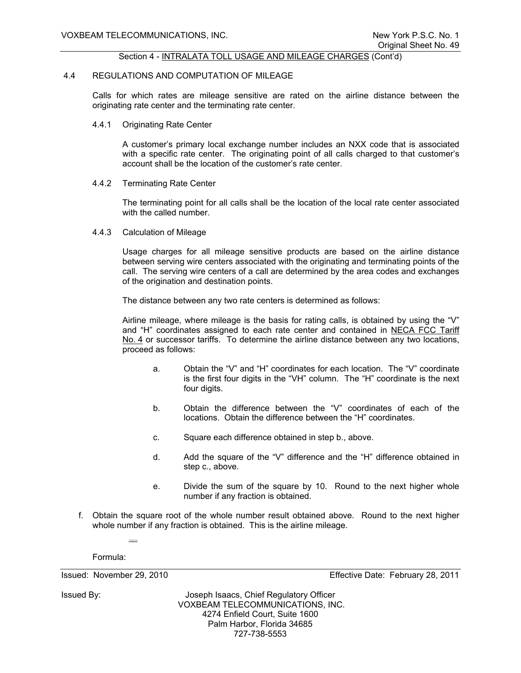#### Section 4 - INTRALATA TOLL USAGE AND MILEAGE CHARGES (Cont'd)

#### 4.4 REGULATIONS AND COMPUTATION OF MILEAGE

 Calls for which rates are mileage sensitive are rated on the airline distance between the originating rate center and the terminating rate center.

4.4.1 Originating Rate Center

 A customer's primary local exchange number includes an NXX code that is associated with a specific rate center. The originating point of all calls charged to that customer's account shall be the location of the customer's rate center.

4.4.2 Terminating Rate Center

 The terminating point for all calls shall be the location of the local rate center associated with the called number.

4.4.3 Calculation of Mileage

 Usage charges for all mileage sensitive products are based on the airline distance between serving wire centers associated with the originating and terminating points of the call. The serving wire centers of a call are determined by the area codes and exchanges of the origination and destination points.

The distance between any two rate centers is determined as follows:

 Airline mileage, where mileage is the basis for rating calls, is obtained by using the "V" and "H" coordinates assigned to each rate center and contained in NECA FCC Tariff No. 4 or successor tariffs. To determine the airline distance between any two locations, proceed as follows:

- a. Obtain the "V" and "H" coordinates for each location. The "V" coordinate is the first four digits in the "VH" column. The "H" coordinate is the next four digits.
- b. Obtain the difference between the "V" coordinates of each of the locations. Obtain the difference between the "H" coordinates.
- c. Square each difference obtained in step b., above.
- d. Add the square of the "V" difference and the "H" difference obtained in step c., above.
- e. Divide the sum of the square by 10. Round to the next higher whole number if any fraction is obtained.
- f. Obtain the square root of the whole number result obtained above. Round to the next higher whole number if any fraction is obtained. This is the airline mileage.

Formula:

(V1 V2) (H1 H2) 10 2 2 - +-

Issued By: Joseph Isaacs, Chief Regulatory Officer VOXBEAM TELECOMMUNICATIONS, INC. 4274 Enfield Court, Suite 1600 Palm Harbor, Florida 34685 727-738-5553

Issued: November 29, 2010 Effective Date: February 28, 2011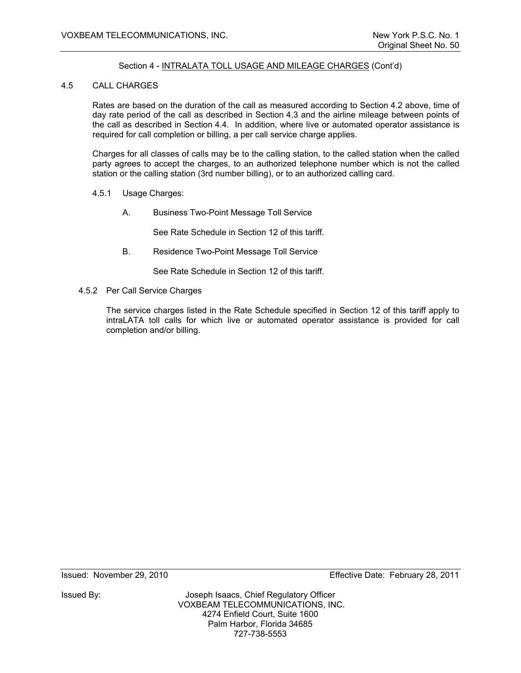# Section 4 - INTRALATA TOLL USAGE AND MILEAGE CHARGES (Cont'd)

## 4.5 CALL CHARGES

 Rates are based on the duration of the call as measured according to Section 4.2 above, time of day rate period of the call as described in Section 4.3 and the airline mileage between points of the call as described in Section 4.4. In addition, where live or automated operator assistance is required for call completion or billing, a per call service charge applies.

 Charges for all classes of calls may be to the calling station, to the called station when the called party agrees to accept the charges, to an authorized telephone number which is not the called station or the calling station (3rd number billing), or to an authorized calling card.

- 4.5.1 Usage Charges:
	- A. Business Two-Point Message Toll Service

See Rate Schedule in Section 12 of this tariff.

B. Residence Two-Point Message Toll Service

See Rate Schedule in Section 12 of this tariff.

4.5.2 Per Call Service Charges

 The service charges listed in the Rate Schedule specified in Section 12 of this tariff apply to intraLATA toll calls for which live or automated operator assistance is provided for call completion and/or billing.

Issued: November 29, 2010 Effective Date: February 28, 2011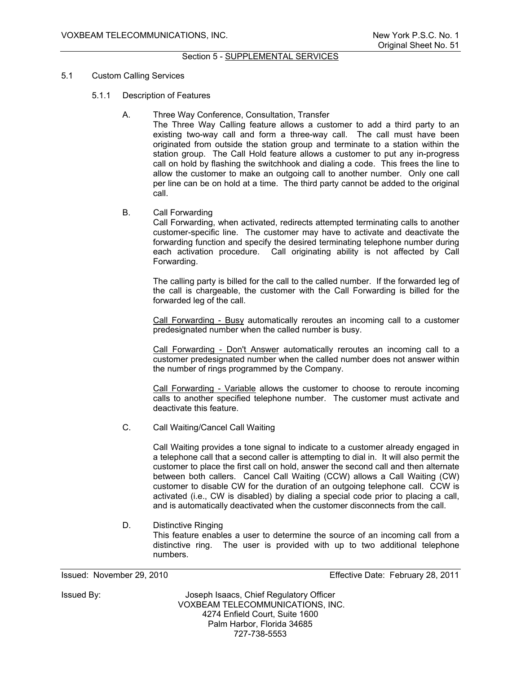# Section 5 - SUPPLEMENTAL SERVICES

## 5.1 Custom Calling Services

- 5.1.1 Description of Features
	- A. Three Way Conference, Consultation, Transfer

The Three Way Calling feature allows a customer to add a third party to an existing two-way call and form a three-way call. The call must have been originated from outside the station group and terminate to a station within the station group. The Call Hold feature allows a customer to put any in-progress call on hold by flashing the switchhook and dialing a code. This frees the line to allow the customer to make an outgoing call to another number. Only one call per line can be on hold at a time. The third party cannot be added to the original call.

B. Call Forwarding

Call Forwarding, when activated, redirects attempted terminating calls to another customer-specific line. The customer may have to activate and deactivate the forwarding function and specify the desired terminating telephone number during each activation procedure. Call originating ability is not affected by Call Forwarding.

The calling party is billed for the call to the called number. If the forwarded leg of the call is chargeable, the customer with the Call Forwarding is billed for the forwarded leg of the call.

Call Forwarding - Busy automatically reroutes an incoming call to a customer predesignated number when the called number is busy.

Call Forwarding - Don't Answer automatically reroutes an incoming call to a customer predesignated number when the called number does not answer within the number of rings programmed by the Company.

Call Forwarding - Variable allows the customer to choose to reroute incoming calls to another specified telephone number. The customer must activate and deactivate this feature.

C. Call Waiting/Cancel Call Waiting

Call Waiting provides a tone signal to indicate to a customer already engaged in a telephone call that a second caller is attempting to dial in. It will also permit the customer to place the first call on hold, answer the second call and then alternate between both callers. Cancel Call Waiting (CCW) allows a Call Waiting (CW) customer to disable CW for the duration of an outgoing telephone call. CCW is activated (i.e., CW is disabled) by dialing a special code prior to placing a call, and is automatically deactivated when the customer disconnects from the call.

# D. Distinctive Ringing

This feature enables a user to determine the source of an incoming call from a distinctive ring. The user is provided with up to two additional telephone numbers.

Issued: November 29, 2010 Effective Date: February 28, 2011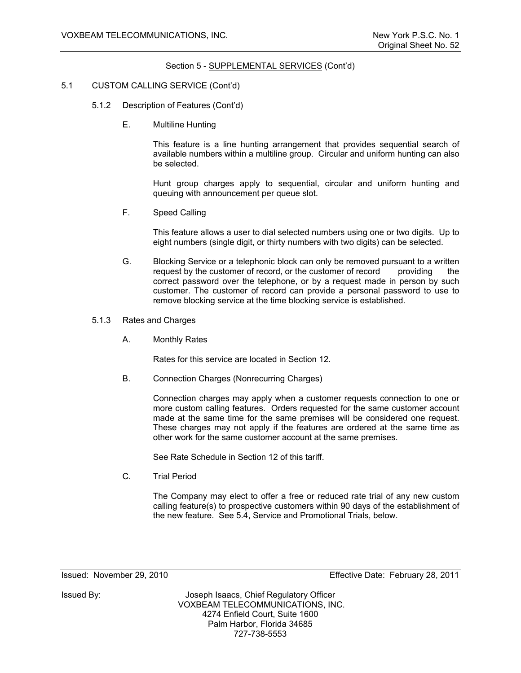## 5.1 CUSTOM CALLING SERVICE (Cont'd)

- 5.1.2 Description of Features (Cont'd)
	- E. Multiline Hunting

This feature is a line hunting arrangement that provides sequential search of available numbers within a multiline group. Circular and uniform hunting can also be selected.

Hunt group charges apply to sequential, circular and uniform hunting and queuing with announcement per queue slot.

F. Speed Calling

This feature allows a user to dial selected numbers using one or two digits. Up to eight numbers (single digit, or thirty numbers with two digits) can be selected.

- G. Blocking Service or a telephonic block can only be removed pursuant to a written request by the customer of record, or the customer of record providing the correct password over the telephone, or by a request made in person by such customer. The customer of record can provide a personal password to use to remove blocking service at the time blocking service is established.
- 5.1.3 Rates and Charges
	- A. Monthly Rates

Rates for this service are located in Section 12.

B. Connection Charges (Nonrecurring Charges)

Connection charges may apply when a customer requests connection to one or more custom calling features. Orders requested for the same customer account made at the same time for the same premises will be considered one request. These charges may not apply if the features are ordered at the same time as other work for the same customer account at the same premises.

See Rate Schedule in Section 12 of this tariff.

C. Trial Period

The Company may elect to offer a free or reduced rate trial of any new custom calling feature(s) to prospective customers within 90 days of the establishment of the new feature. See 5.4, Service and Promotional Trials, below.

Issued: November 29, 2010 Effective Date: February 28, 2011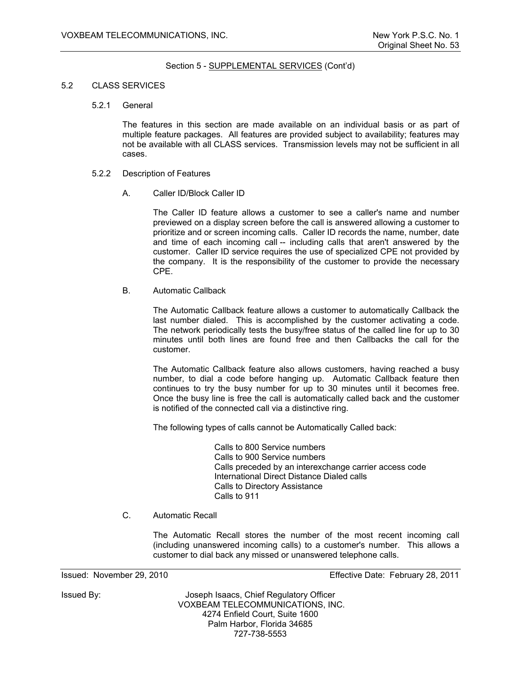#### 5.2 CLASS SERVICES

5.2.1 General

The features in this section are made available on an individual basis or as part of multiple feature packages. All features are provided subject to availability; features may not be available with all CLASS services. Transmission levels may not be sufficient in all cases.

- 5.2.2 Description of Features
	- A. Caller ID/Block Caller ID

The Caller ID feature allows a customer to see a caller's name and number previewed on a display screen before the call is answered allowing a customer to prioritize and or screen incoming calls. Caller ID records the name, number, date and time of each incoming call -- including calls that aren't answered by the customer. Caller ID service requires the use of specialized CPE not provided by the company. It is the responsibility of the customer to provide the necessary CPE.

B. Automatic Callback

The Automatic Callback feature allows a customer to automatically Callback the last number dialed. This is accomplished by the customer activating a code. The network periodically tests the busy/free status of the called line for up to 30 minutes until both lines are found free and then Callbacks the call for the customer.

The Automatic Callback feature also allows customers, having reached a busy number, to dial a code before hanging up. Automatic Callback feature then continues to try the busy number for up to 30 minutes until it becomes free. Once the busy line is free the call is automatically called back and the customer is notified of the connected call via a distinctive ring.

The following types of calls cannot be Automatically Called back:

 Calls to 800 Service numbers Calls to 900 Service numbers Calls preceded by an interexchange carrier access code International Direct Distance Dialed calls Calls to Directory Assistance Calls to 911

C. Automatic Recall

The Automatic Recall stores the number of the most recent incoming call (including unanswered incoming calls) to a customer's number. This allows a customer to dial back any missed or unanswered telephone calls.

Issued: November 29, 2010 Effective Date: February 28, 2011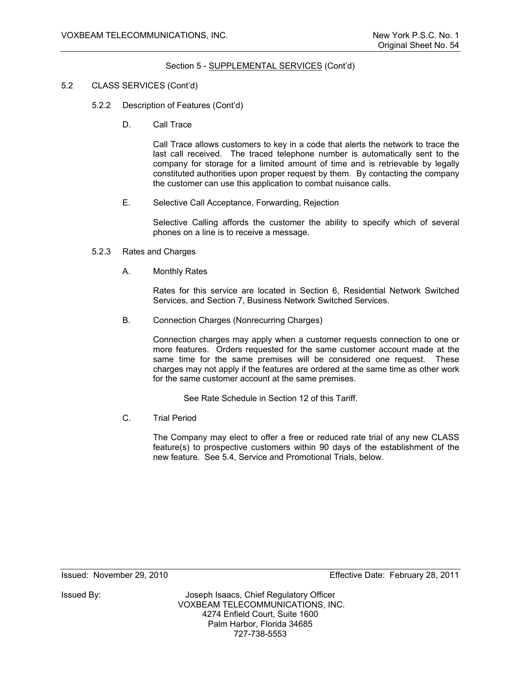- 5.2 CLASS SERVICES (Cont'd)
	- 5.2.2 Description of Features (Cont'd)
		- D. Call Trace

Call Trace allows customers to key in a code that alerts the network to trace the last call received. The traced telephone number is automatically sent to the company for storage for a limited amount of time and is retrievable by legally constituted authorities upon proper request by them. By contacting the company the customer can use this application to combat nuisance calls.

E. Selective Call Acceptance, Forwarding, Rejection

Selective Calling affords the customer the ability to specify which of several phones on a line is to receive a message.

- 5.2.3 Rates and Charges
	- A. Monthly Rates

Rates for this service are located in Section 6, Residential Network Switched Services, and Section 7, Business Network Switched Services.

B. Connection Charges (Nonrecurring Charges)

Connection charges may apply when a customer requests connection to one or more features. Orders requested for the same customer account made at the same time for the same premises will be considered one request. These charges may not apply if the features are ordered at the same time as other work for the same customer account at the same premises.

See Rate Schedule in Section 12 of this Tariff.

C. Trial Period

The Company may elect to offer a free or reduced rate trial of any new CLASS feature(s) to prospective customers within 90 days of the establishment of the new feature. See 5.4, Service and Promotional Trials, below.

Issued: November 29, 2010 Effective Date: February 28, 2011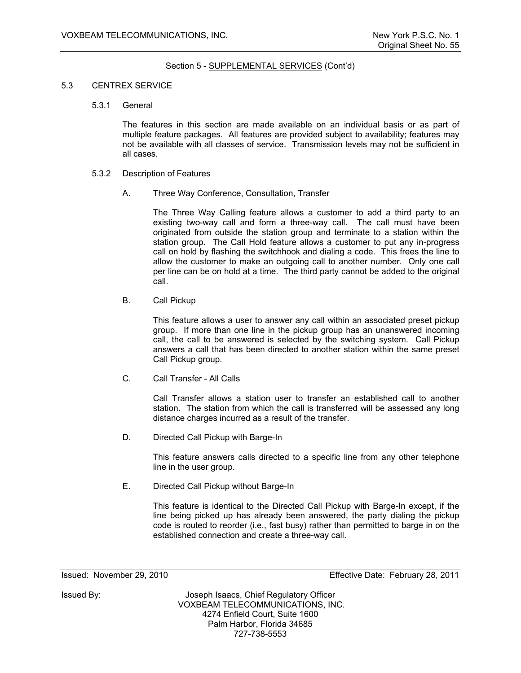#### 5.3 CENTREX SERVICE

5.3.1 General

The features in this section are made available on an individual basis or as part of multiple feature packages. All features are provided subject to availability; features may not be available with all classes of service. Transmission levels may not be sufficient in all cases.

- 5.3.2 Description of Features
	- A. Three Way Conference, Consultation, Transfer

The Three Way Calling feature allows a customer to add a third party to an existing two-way call and form a three-way call. The call must have been originated from outside the station group and terminate to a station within the station group. The Call Hold feature allows a customer to put any in-progress call on hold by flashing the switchhook and dialing a code. This frees the line to allow the customer to make an outgoing call to another number. Only one call per line can be on hold at a time. The third party cannot be added to the original call.

B. Call Pickup

This feature allows a user to answer any call within an associated preset pickup group. If more than one line in the pickup group has an unanswered incoming call, the call to be answered is selected by the switching system. Call Pickup answers a call that has been directed to another station within the same preset Call Pickup group.

C. Call Transfer - All Calls

Call Transfer allows a station user to transfer an established call to another station. The station from which the call is transferred will be assessed any long distance charges incurred as a result of the transfer.

D. Directed Call Pickup with Barge-In

This feature answers calls directed to a specific line from any other telephone line in the user group.

E. Directed Call Pickup without Barge-In

This feature is identical to the Directed Call Pickup with Barge-In except, if the line being picked up has already been answered, the party dialing the pickup code is routed to reorder (i.e., fast busy) rather than permitted to barge in on the established connection and create a three-way call.

Issued: November 29, 2010 Effective Date: February 28, 2011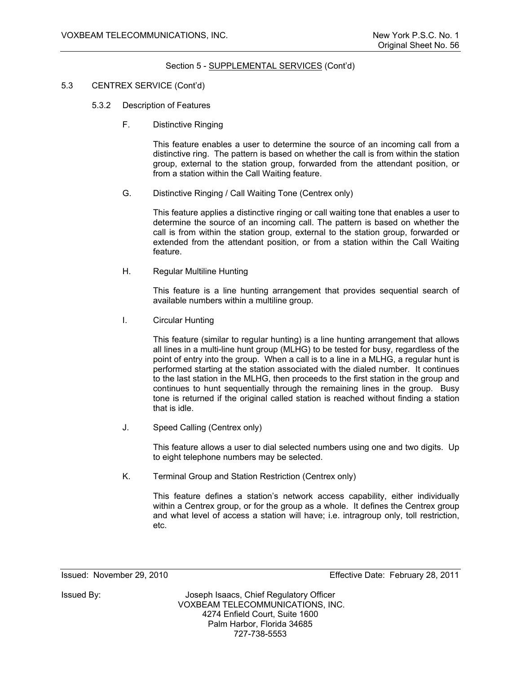- 5.3 CENTREX SERVICE (Cont'd)
	- 5.3.2 Description of Features
		- F. Distinctive Ringing

This feature enables a user to determine the source of an incoming call from a distinctive ring. The pattern is based on whether the call is from within the station group, external to the station group, forwarded from the attendant position, or from a station within the Call Waiting feature.

G. Distinctive Ringing / Call Waiting Tone (Centrex only)

This feature applies a distinctive ringing or call waiting tone that enables a user to determine the source of an incoming call. The pattern is based on whether the call is from within the station group, external to the station group, forwarded or extended from the attendant position, or from a station within the Call Waiting feature.

H. Regular Multiline Hunting

This feature is a line hunting arrangement that provides sequential search of available numbers within a multiline group.

I. Circular Hunting

This feature (similar to regular hunting) is a line hunting arrangement that allows all lines in a multi-line hunt group (MLHG) to be tested for busy, regardless of the point of entry into the group. When a call is to a line in a MLHG, a regular hunt is performed starting at the station associated with the dialed number. It continues to the last station in the MLHG, then proceeds to the first station in the group and continues to hunt sequentially through the remaining lines in the group. Busy tone is returned if the original called station is reached without finding a station that is idle.

J. Speed Calling (Centrex only)

This feature allows a user to dial selected numbers using one and two digits. Up to eight telephone numbers may be selected.

K. Terminal Group and Station Restriction (Centrex only)

This feature defines a station's network access capability, either individually within a Centrex group, or for the group as a whole. It defines the Centrex group and what level of access a station will have; i.e. intragroup only, toll restriction, etc.

Issued: November 29, 2010 Effective Date: February 28, 2011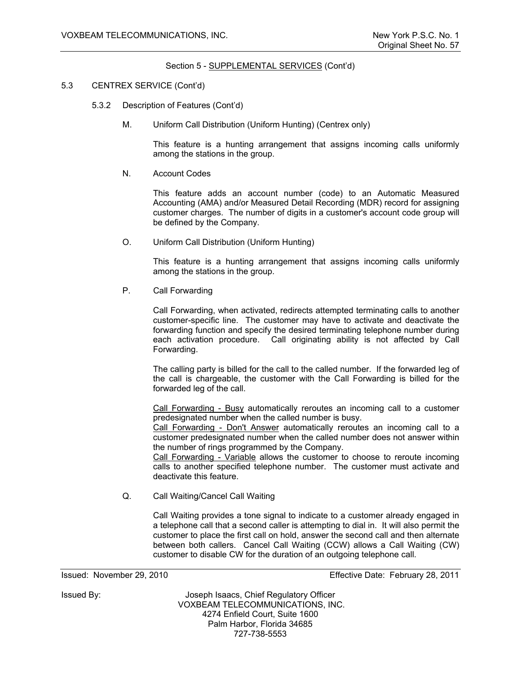#### 5.3 CENTREX SERVICE (Cont'd)

- 5.3.2 Description of Features (Cont'd)
	- M. Uniform Call Distribution (Uniform Hunting) (Centrex only)

This feature is a hunting arrangement that assigns incoming calls uniformly among the stations in the group.

N. Account Codes

This feature adds an account number (code) to an Automatic Measured Accounting (AMA) and/or Measured Detail Recording (MDR) record for assigning customer charges. The number of digits in a customer's account code group will be defined by the Company.

O. Uniform Call Distribution (Uniform Hunting)

This feature is a hunting arrangement that assigns incoming calls uniformly among the stations in the group.

P. Call Forwarding

Call Forwarding, when activated, redirects attempted terminating calls to another customer-specific line. The customer may have to activate and deactivate the forwarding function and specify the desired terminating telephone number during each activation procedure. Call originating ability is not affected by Call Forwarding.

The calling party is billed for the call to the called number. If the forwarded leg of the call is chargeable, the customer with the Call Forwarding is billed for the forwarded leg of the call.

Call Forwarding - Busy automatically reroutes an incoming call to a customer predesignated number when the called number is busy.

Call Forwarding - Don't Answer automatically reroutes an incoming call to a customer predesignated number when the called number does not answer within the number of rings programmed by the Company.

Call Forwarding - Variable allows the customer to choose to reroute incoming calls to another specified telephone number. The customer must activate and deactivate this feature.

Q. Call Waiting/Cancel Call Waiting

Call Waiting provides a tone signal to indicate to a customer already engaged in a telephone call that a second caller is attempting to dial in. It will also permit the customer to place the first call on hold, answer the second call and then alternate between both callers. Cancel Call Waiting (CCW) allows a Call Waiting (CW) customer to disable CW for the duration of an outgoing telephone call.

Issued: November 29, 2010 Effective Date: February 28, 2011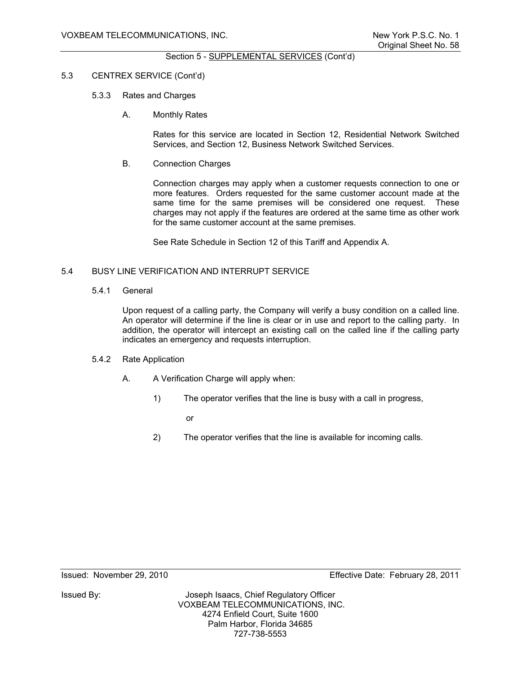#### 5.3 CENTREX SERVICE (Cont'd)

#### 5.3.3 Rates and Charges

A. Monthly Rates

Rates for this service are located in Section 12, Residential Network Switched Services, and Section 12, Business Network Switched Services.

B. Connection Charges

Connection charges may apply when a customer requests connection to one or more features. Orders requested for the same customer account made at the same time for the same premises will be considered one request. These charges may not apply if the features are ordered at the same time as other work for the same customer account at the same premises.

See Rate Schedule in Section 12 of this Tariff and Appendix A.

## 5.4 BUSY LINE VERIFICATION AND INTERRUPT SERVICE

5.4.1 General

Upon request of a calling party, the Company will verify a busy condition on a called line. An operator will determine if the line is clear or in use and report to the calling party. In addition, the operator will intercept an existing call on the called line if the calling party indicates an emergency and requests interruption.

#### 5.4.2 Rate Application

- A. A Verification Charge will apply when:
	- 1) The operator verifies that the line is busy with a call in progress,

**or** *contract to the state of the state of the state of the state of the state of the state of the state of the state of the state of the state of the state of the state of the state of the state of the state of the stat* 

2) The operator verifies that the line is available for incoming calls.

Issued By: Joseph Isaacs, Chief Regulatory Officer VOXBEAM TELECOMMUNICATIONS, INC. 4274 Enfield Court, Suite 1600 Palm Harbor, Florida 34685 727-738-5553

Issued: November 29, 2010 Effective Date: February 28, 2011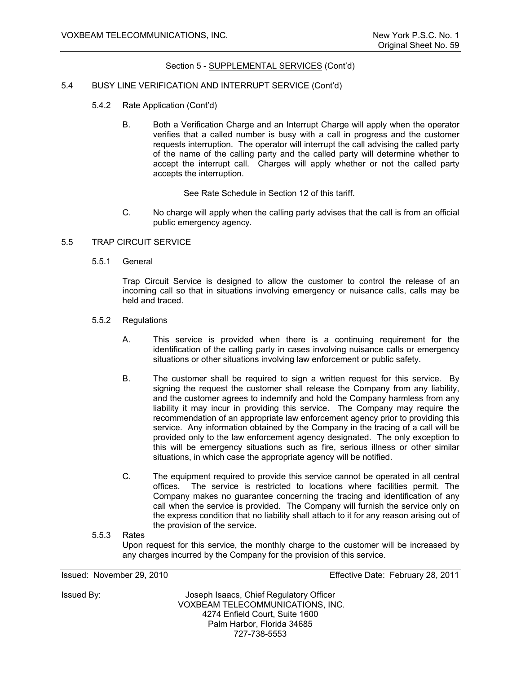#### 5.4 BUSY LINE VERIFICATION AND INTERRUPT SERVICE (Cont'd)

- 5.4.2 Rate Application (Cont'd)
	- B. Both a Verification Charge and an Interrupt Charge will apply when the operator verifies that a called number is busy with a call in progress and the customer requests interruption. The operator will interrupt the call advising the called party of the name of the calling party and the called party will determine whether to accept the interrupt call. Charges will apply whether or not the called party accepts the interruption.

See Rate Schedule in Section 12 of this tariff.

 C. No charge will apply when the calling party advises that the call is from an official public emergency agency.

#### 5.5 TRAP CIRCUIT SERVICE

5.5.1 General

Trap Circuit Service is designed to allow the customer to control the release of an incoming call so that in situations involving emergency or nuisance calls, calls may be held and traced.

- 5.5.2 Regulations
	- A. This service is provided when there is a continuing requirement for the identification of the calling party in cases involving nuisance calls or emergency situations or other situations involving law enforcement or public safety.
	- B. The customer shall be required to sign a written request for this service. By signing the request the customer shall release the Company from any liability, and the customer agrees to indemnify and hold the Company harmless from any liability it may incur in providing this service. The Company may require the recommendation of an appropriate law enforcement agency prior to providing this service. Any information obtained by the Company in the tracing of a call will be provided only to the law enforcement agency designated. The only exception to this will be emergency situations such as fire, serious illness or other similar situations, in which case the appropriate agency will be notified.
	- C. The equipment required to provide this service cannot be operated in all central offices. The service is restricted to locations where facilities permit. The Company makes no guarantee concerning the tracing and identification of any call when the service is provided. The Company will furnish the service only on the express condition that no liability shall attach to it for any reason arising out of the provision of the service.

5.5.3 Rates

Upon request for this service, the monthly charge to the customer will be increased by any charges incurred by the Company for the provision of this service.

Issued: November 29, 2010 Effective Date: February 28, 2011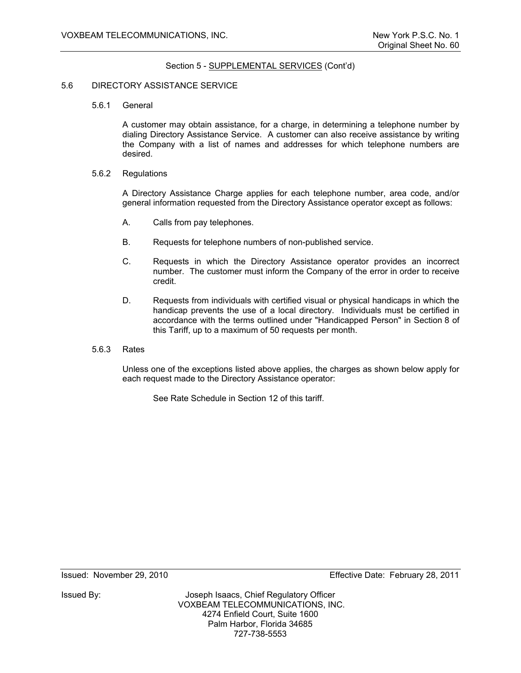#### 5.6 DIRECTORY ASSISTANCE SERVICE

5.6.1 General

A customer may obtain assistance, for a charge, in determining a telephone number by dialing Directory Assistance Service. A customer can also receive assistance by writing the Company with a list of names and addresses for which telephone numbers are desired.

5.6.2 Regulations

A Directory Assistance Charge applies for each telephone number, area code, and/or general information requested from the Directory Assistance operator except as follows:

- A. Calls from pay telephones.
- B. Requests for telephone numbers of non-published service.
- C. Requests in which the Directory Assistance operator provides an incorrect number. The customer must inform the Company of the error in order to receive credit.
- D. Requests from individuals with certified visual or physical handicaps in which the handicap prevents the use of a local directory. Individuals must be certified in accordance with the terms outlined under "Handicapped Person" in Section 8 of this Tariff, up to a maximum of 50 requests per month.
- 5.6.3 Rates

Unless one of the exceptions listed above applies, the charges as shown below apply for each request made to the Directory Assistance operator:

See Rate Schedule in Section 12 of this tariff.

Issued: November 29, 2010 Effective Date: February 28, 2011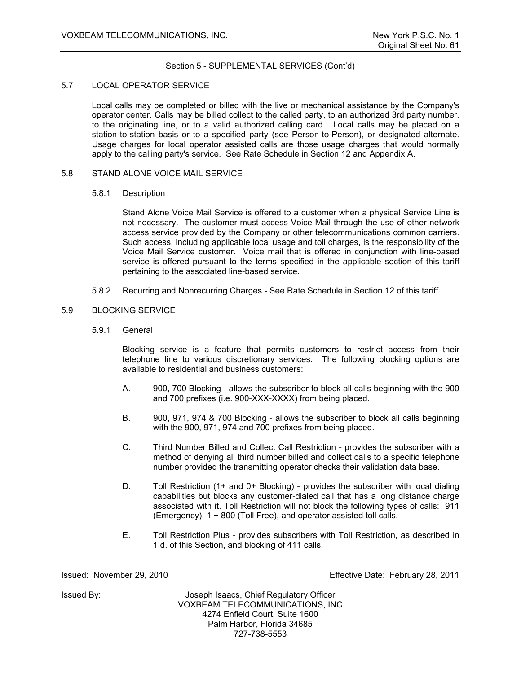## 5.7 LOCAL OPERATOR SERVICE

Local calls may be completed or billed with the live or mechanical assistance by the Company's operator center. Calls may be billed collect to the called party, to an authorized 3rd party number, to the originating line, or to a valid authorized calling card. Local calls may be placed on a station-to-station basis or to a specified party (see Person-to-Person), or designated alternate. Usage charges for local operator assisted calls are those usage charges that would normally apply to the calling party's service. See Rate Schedule in Section 12 and Appendix A.

# 5.8 STAND ALONE VOICE MAIL SERVICE

#### 5.8.1 Description

Stand Alone Voice Mail Service is offered to a customer when a physical Service Line is not necessary. The customer must access Voice Mail through the use of other network access service provided by the Company or other telecommunications common carriers. Such access, including applicable local usage and toll charges, is the responsibility of the Voice Mail Service customer. Voice mail that is offered in conjunction with line-based service is offered pursuant to the terms specified in the applicable section of this tariff pertaining to the associated line-based service.

5.8.2 Recurring and Nonrecurring Charges - See Rate Schedule in Section 12 of this tariff.

# 5.9 BLOCKING SERVICE

5.9.1 General

Blocking service is a feature that permits customers to restrict access from their telephone line to various discretionary services. The following blocking options are available to residential and business customers:

- A. 900, 700 Blocking allows the subscriber to block all calls beginning with the 900 and 700 prefixes (i.e. 900-XXX-XXXX) from being placed.
- B. 900, 971, 974 & 700 Blocking allows the subscriber to block all calls beginning with the 900, 971, 974 and 700 prefixes from being placed.
- C. Third Number Billed and Collect Call Restriction provides the subscriber with a method of denying all third number billed and collect calls to a specific telephone number provided the transmitting operator checks their validation data base.
- D. Toll Restriction (1+ and 0+ Blocking) provides the subscriber with local dialing capabilities but blocks any customer-dialed call that has a long distance charge associated with it. Toll Restriction will not block the following types of calls: 911 (Emergency), 1 + 800 (Toll Free), and operator assisted toll calls.
- E. Toll Restriction Plus provides subscribers with Toll Restriction, as described in 1.d. of this Section, and blocking of 411 calls.

Issued: November 29, 2010 Effective Date: February 28, 2011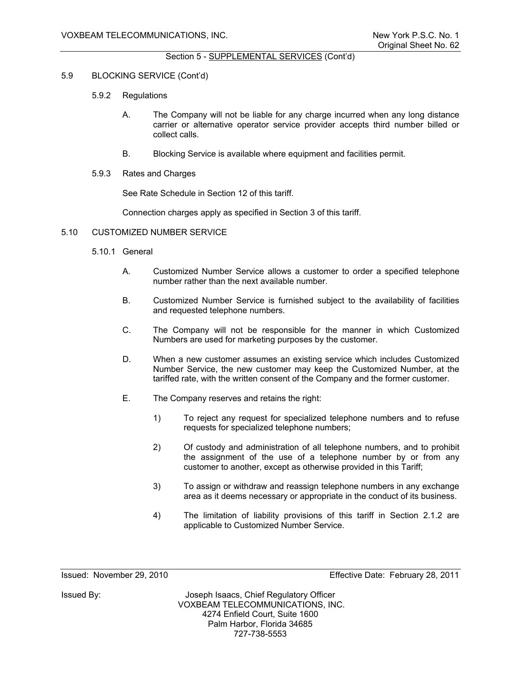# 5.9 BLOCKING SERVICE (Cont'd)

- 5.9.2 Regulations
	- A. The Company will not be liable for any charge incurred when any long distance carrier or alternative operator service provider accepts third number billed or collect calls.
	- B. Blocking Service is available where equipment and facilities permit.
- 5.9.3 Rates and Charges

See Rate Schedule in Section 12 of this tariff.

Connection charges apply as specified in Section 3 of this tariff.

# 5.10 CUSTOMIZED NUMBER SERVICE

- 5.10.1 General
	- A. Customized Number Service allows a customer to order a specified telephone number rather than the next available number.
	- B. Customized Number Service is furnished subject to the availability of facilities and requested telephone numbers.
	- C. The Company will not be responsible for the manner in which Customized Numbers are used for marketing purposes by the customer.
	- D. When a new customer assumes an existing service which includes Customized Number Service, the new customer may keep the Customized Number, at the tariffed rate, with the written consent of the Company and the former customer.
	- E. The Company reserves and retains the right:
		- 1) To reject any request for specialized telephone numbers and to refuse requests for specialized telephone numbers;
		- 2) Of custody and administration of all telephone numbers, and to prohibit the assignment of the use of a telephone number by or from any customer to another, except as otherwise provided in this Tariff;
		- 3) To assign or withdraw and reassign telephone numbers in any exchange area as it deems necessary or appropriate in the conduct of its business.
		- 4) The limitation of liability provisions of this tariff in Section 2.1.2 are applicable to Customized Number Service.

Issued: November 29, 2010 Effective Date: February 28, 2011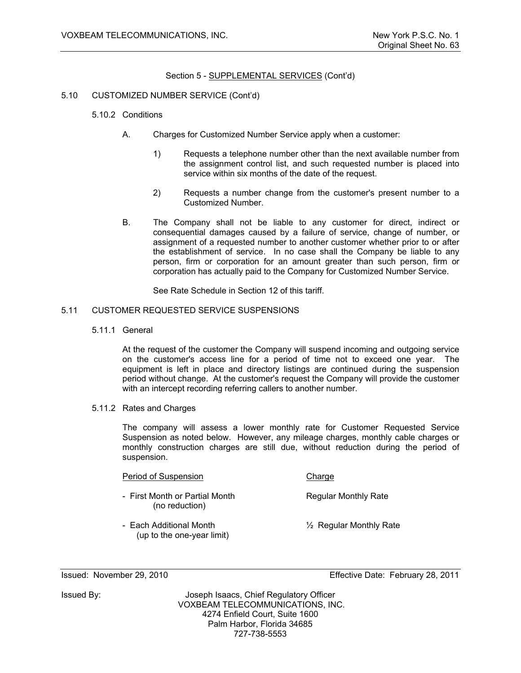# 5.10 CUSTOMIZED NUMBER SERVICE (Cont'd)

- 5.10.2 Conditions
	- A. Charges for Customized Number Service apply when a customer:
		- 1) Requests a telephone number other than the next available number from the assignment control list, and such requested number is placed into service within six months of the date of the request.
		- 2) Requests a number change from the customer's present number to a Customized Number.
	- B. The Company shall not be liable to any customer for direct, indirect or consequential damages caused by a failure of service, change of number, or assignment of a requested number to another customer whether prior to or after the establishment of service. In no case shall the Company be liable to any person, firm or corporation for an amount greater than such person, firm or corporation has actually paid to the Company for Customized Number Service.

See Rate Schedule in Section 12 of this tariff.

## 5.11 CUSTOMER REQUESTED SERVICE SUSPENSIONS

5.11.1 General

 At the request of the customer the Company will suspend incoming and outgoing service on the customer's access line for a period of time not to exceed one year. The equipment is left in place and directory listings are continued during the suspension period without change. At the customer's request the Company will provide the customer with an intercept recording referring callers to another number.

5.11.2 Rates and Charges

 The company will assess a lower monthly rate for Customer Requested Service Suspension as noted below. However, any mileage charges, monthly cable charges or monthly construction charges are still due, without reduction during the period of suspension.

# Period of Suspension Charge

- First Month or Partial Month Regular Monthly Rate (no reduction)
- Each Additional Month **12** Regular Monthly Rate (up to the one-year limit)

Issued: November 29, 2010 Effective Date: February 28, 2011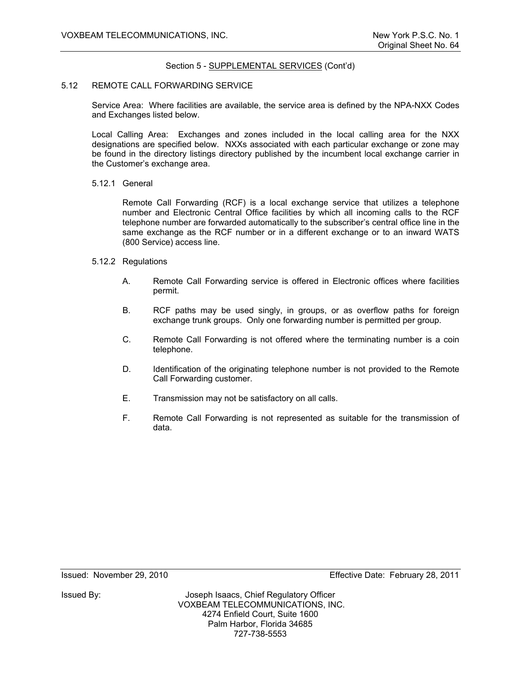## 5.12 REMOTE CALL FORWARDING SERVICE

Service Area: Where facilities are available, the service area is defined by the NPA-NXX Codes and Exchanges listed below.

Local Calling Area: Exchanges and zones included in the local calling area for the NXX designations are specified below. NXXs associated with each particular exchange or zone may be found in the directory listings directory published by the incumbent local exchange carrier in the Customer's exchange area.

#### 5.12.1 General

Remote Call Forwarding (RCF) is a local exchange service that utilizes a telephone number and Electronic Central Office facilities by which all incoming calls to the RCF telephone number are forwarded automatically to the subscriber's central office line in the same exchange as the RCF number or in a different exchange or to an inward WATS (800 Service) access line.

# 5.12.2 Regulations

- A. Remote Call Forwarding service is offered in Electronic offices where facilities permit.
- B. RCF paths may be used singly, in groups, or as overflow paths for foreign exchange trunk groups. Only one forwarding number is permitted per group.
- C. Remote Call Forwarding is not offered where the terminating number is a coin telephone.
- D. Identification of the originating telephone number is not provided to the Remote Call Forwarding customer.
- E. Transmission may not be satisfactory on all calls.
- F. Remote Call Forwarding is not represented as suitable for the transmission of data.

Issued: November 29, 2010 Effective Date: February 28, 2011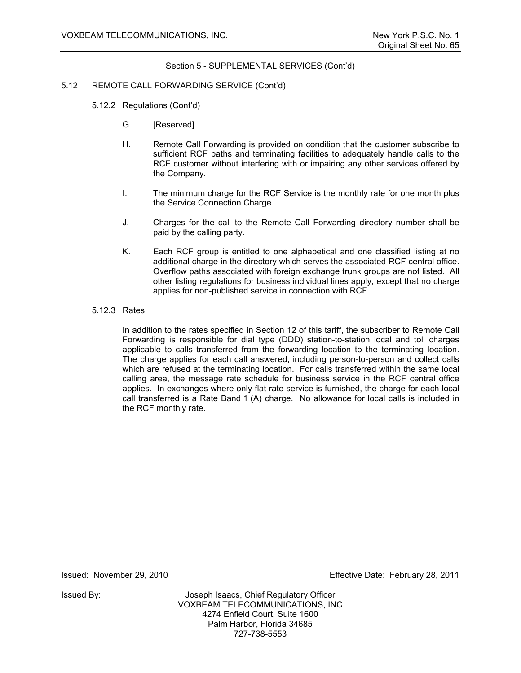## 5.12 REMOTE CALL FORWARDING SERVICE (Cont'd)

- 5.12.2 Regulations (Cont'd)
	- G. [Reserved]
	- H. Remote Call Forwarding is provided on condition that the customer subscribe to sufficient RCF paths and terminating facilities to adequately handle calls to the RCF customer without interfering with or impairing any other services offered by the Company.
	- I. The minimum charge for the RCF Service is the monthly rate for one month plus the Service Connection Charge.
	- J. Charges for the call to the Remote Call Forwarding directory number shall be paid by the calling party.
	- K. Each RCF group is entitled to one alphabetical and one classified listing at no additional charge in the directory which serves the associated RCF central office. Overflow paths associated with foreign exchange trunk groups are not listed. All other listing regulations for business individual lines apply, except that no charge applies for non-published service in connection with RCF.

## 5.12.3 Rates

 In addition to the rates specified in Section 12 of this tariff, the subscriber to Remote Call Forwarding is responsible for dial type (DDD) station-to-station local and toll charges applicable to calls transferred from the forwarding location to the terminating location. The charge applies for each call answered, including person-to-person and collect calls which are refused at the terminating location. For calls transferred within the same local calling area, the message rate schedule for business service in the RCF central office applies. In exchanges where only flat rate service is furnished, the charge for each local call transferred is a Rate Band 1 (A) charge. No allowance for local calls is included in the RCF monthly rate.

Issued: November 29, 2010 Effective Date: February 28, 2011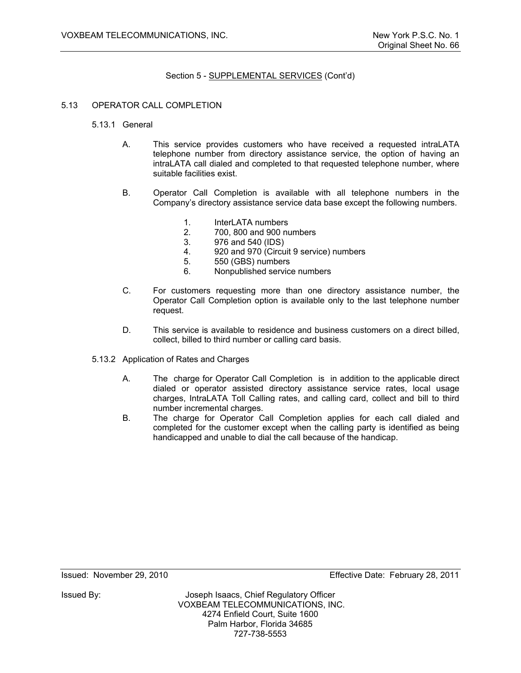## 5.13 OPERATOR CALL COMPLETION

- 5.13.1 General
	- A. This service provides customers who have received a requested intraLATA telephone number from directory assistance service, the option of having an intraLATA call dialed and completed to that requested telephone number, where suitable facilities exist.
	- B. Operator Call Completion is available with all telephone numbers in the Company's directory assistance service data base except the following numbers.
		- 1. InterLATA numbers
		- 2. 700, 800 and 900 numbers
		- 3. 976 and 540 (IDS)
		- 4. 920 and 970 (Circuit 9 service) numbers
		- 5. 550 (GBS) numbers
		- 6. Nonpublished service numbers
	- C. For customers requesting more than one directory assistance number, the Operator Call Completion option is available only to the last telephone number request.
	- D. This service is available to residence and business customers on a direct billed, collect, billed to third number or calling card basis.
- 5.13.2 Application of Rates and Charges
	- A. The charge for Operator Call Completion is in addition to the applicable direct dialed or operator assisted directory assistance service rates, local usage charges, IntraLATA Toll Calling rates, and calling card, collect and bill to third number incremental charges.
	- B. The charge for Operator Call Completion applies for each call dialed and completed for the customer except when the calling party is identified as being handicapped and unable to dial the call because of the handicap.

Issued: November 29, 2010 Effective Date: February 28, 2011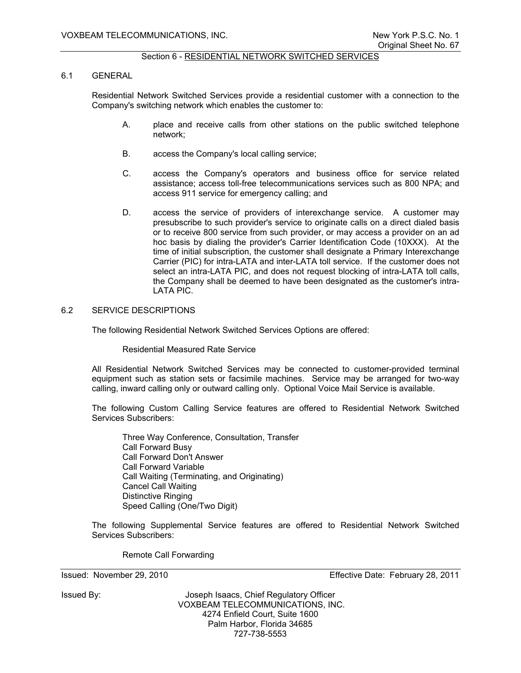# Section 6 - RESIDENTIAL NETWORK SWITCHED SERVICES

#### 6.1 GENERAL

Residential Network Switched Services provide a residential customer with a connection to the Company's switching network which enables the customer to:

- A. place and receive calls from other stations on the public switched telephone network;
- B. access the Company's local calling service;
- C. access the Company's operators and business office for service related assistance; access toll-free telecommunications services such as 800 NPA; and access 911 service for emergency calling; and
- D. access the service of providers of interexchange service. A customer may presubscribe to such provider's service to originate calls on a direct dialed basis or to receive 800 service from such provider, or may access a provider on an ad hoc basis by dialing the provider's Carrier Identification Code (10XXX). At the time of initial subscription, the customer shall designate a Primary Interexchange Carrier (PIC) for intra-LATA and inter-LATA toll service. If the customer does not select an intra-LATA PIC, and does not request blocking of intra-LATA toll calls, the Company shall be deemed to have been designated as the customer's intra-LATA PIC.

# 6.2 SERVICE DESCRIPTIONS

The following Residential Network Switched Services Options are offered:

#### Residential Measured Rate Service

All Residential Network Switched Services may be connected to customer-provided terminal equipment such as station sets or facsimile machines. Service may be arranged for two-way calling, inward calling only or outward calling only. Optional Voice Mail Service is available.

The following Custom Calling Service features are offered to Residential Network Switched Services Subscribers:

 Three Way Conference, Consultation, Transfer Call Forward Busy Call Forward Don't Answer Call Forward Variable Call Waiting (Terminating, and Originating) Cancel Call Waiting Distinctive Ringing Speed Calling (One/Two Digit)

The following Supplemental Service features are offered to Residential Network Switched Services Subscribers:

Remote Call Forwarding

Issued: November 29, 2010 Effective Date: February 28, 2011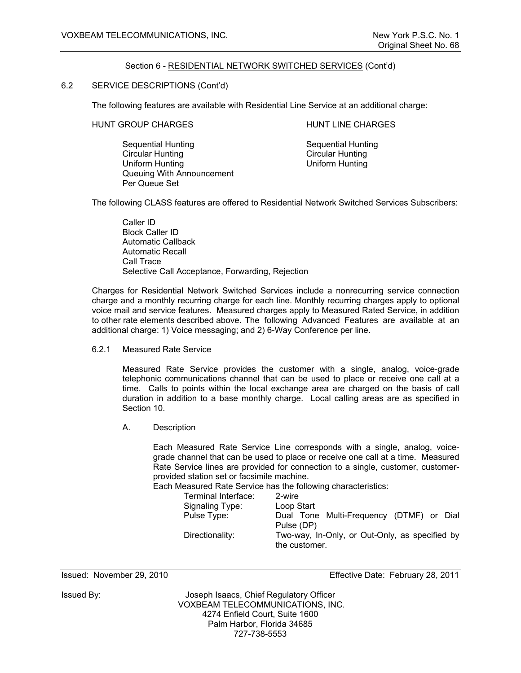## Section 6 - RESIDENTIAL NETWORK SWITCHED SERVICES (Cont'd)

# 6.2 SERVICE DESCRIPTIONS (Cont'd)

The following features are available with Residential Line Service at an additional charge:

#### HUNT GROUP CHARGES HUNT LINE CHARGES

Sequential Hunting<br>
Circular Hunting<br>
Circular Hunting<br>
Circular Hunting Uniform Hunting Uniform Hunting Queuing With Announcement Per Queue Set

Circular Hunting

The following CLASS features are offered to Residential Network Switched Services Subscribers:

 Caller ID Block Caller ID Automatic Callback Automatic Recall Call Trace Selective Call Acceptance, Forwarding, Rejection

Charges for Residential Network Switched Services include a nonrecurring service connection charge and a monthly recurring charge for each line. Monthly recurring charges apply to optional voice mail and service features. Measured charges apply to Measured Rated Service, in addition to other rate elements described above. The following Advanced Features are available at an additional charge: 1) Voice messaging; and 2) 6-Way Conference per line.

6.2.1 Measured Rate Service

Measured Rate Service provides the customer with a single, analog, voice-grade telephonic communications channel that can be used to place or receive one call at a time. Calls to points within the local exchange area are charged on the basis of call duration in addition to a base monthly charge. Local calling areas are as specified in Section 10.

A. Description

Each Measured Rate Service Line corresponds with a single, analog, voicegrade channel that can be used to place or receive one call at a time. Measured Rate Service lines are provided for connection to a single, customer, customerprovided station set or facsimile machine.

Each Measured Rate Service has the following characteristics:

|             | Terminal Interface: | 2-wire                                                          |                                          |  |  |
|-------------|---------------------|-----------------------------------------------------------------|------------------------------------------|--|--|
|             | Signaling Type:     | Loop Start                                                      |                                          |  |  |
| Pulse Type: |                     | Pulse (DP)                                                      | Dual Tone Multi-Frequency (DTMF) or Dial |  |  |
|             | Directionality:     | Two-way, In-Only, or Out-Only, as specified by<br>the customer. |                                          |  |  |

Issued: November 29, 2010 Effective Date: February 28, 2011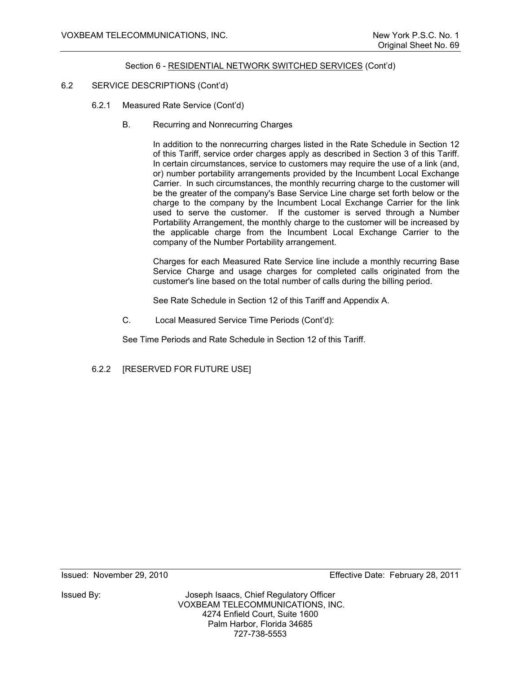## Section 6 - RESIDENTIAL NETWORK SWITCHED SERVICES (Cont'd)

# 6.2 SERVICE DESCRIPTIONS (Cont'd)

- 6.2.1 Measured Rate Service (Cont'd)
	- B. Recurring and Nonrecurring Charges

In addition to the nonrecurring charges listed in the Rate Schedule in Section 12 of this Tariff, service order charges apply as described in Section 3 of this Tariff. In certain circumstances, service to customers may require the use of a link (and, or) number portability arrangements provided by the Incumbent Local Exchange Carrier. In such circumstances, the monthly recurring charge to the customer will be the greater of the company's Base Service Line charge set forth below or the charge to the company by the Incumbent Local Exchange Carrier for the link used to serve the customer. If the customer is served through a Number Portability Arrangement, the monthly charge to the customer will be increased by the applicable charge from the Incumbent Local Exchange Carrier to the company of the Number Portability arrangement.

Charges for each Measured Rate Service line include a monthly recurring Base Service Charge and usage charges for completed calls originated from the customer's line based on the total number of calls during the billing period.

See Rate Schedule in Section 12 of this Tariff and Appendix A.

C. Local Measured Service Time Periods (Cont'd):

See Time Periods and Rate Schedule in Section 12 of this Tariff.

6.2.2 [RESERVED FOR FUTURE USE]

Issued: November 29, 2010 Effective Date: February 28, 2011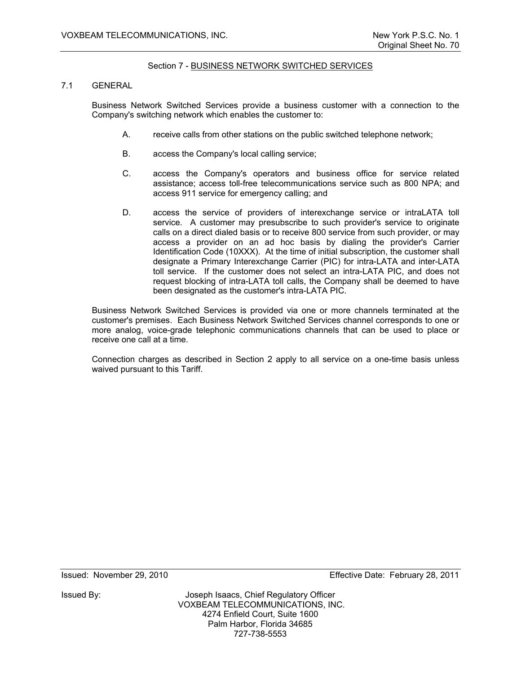## Section 7 - BUSINESS NETWORK SWITCHED SERVICES

# 7.1 GENERAL

Business Network Switched Services provide a business customer with a connection to the Company's switching network which enables the customer to:

- A. receive calls from other stations on the public switched telephone network;
- B. access the Company's local calling service;
- C. access the Company's operators and business office for service related assistance; access toll-free telecommunications service such as 800 NPA; and access 911 service for emergency calling; and
- D. access the service of providers of interexchange service or intraLATA toll service. A customer may presubscribe to such provider's service to originate calls on a direct dialed basis or to receive 800 service from such provider, or may access a provider on an ad hoc basis by dialing the provider's Carrier Identification Code (10XXX). At the time of initial subscription, the customer shall designate a Primary Interexchange Carrier (PIC) for intra-LATA and inter-LATA toll service. If the customer does not select an intra-LATA PIC, and does not request blocking of intra-LATA toll calls, the Company shall be deemed to have been designated as the customer's intra-LATA PIC.

Business Network Switched Services is provided via one or more channels terminated at the customer's premises. Each Business Network Switched Services channel corresponds to one or more analog, voice-grade telephonic communications channels that can be used to place or receive one call at a time.

Connection charges as described in Section 2 apply to all service on a one-time basis unless waived pursuant to this Tariff.

Issued: November 29, 2010 Effective Date: February 28, 2011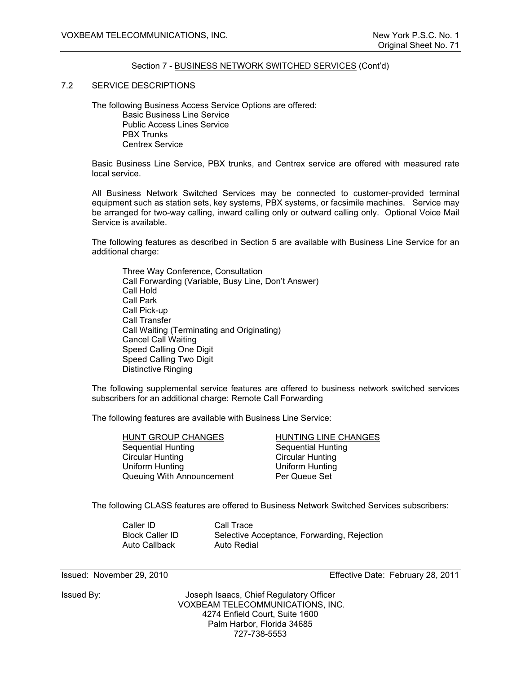#### Section 7 - BUSINESS NETWORK SWITCHED SERVICES (Cont'd)

#### 7.2 SERVICE DESCRIPTIONS

 The following Business Access Service Options are offered: Basic Business Line Service Public Access Lines Service PBX Trunks Centrex Service

Basic Business Line Service, PBX trunks, and Centrex service are offered with measured rate local service.

All Business Network Switched Services may be connected to customer-provided terminal equipment such as station sets, key systems, PBX systems, or facsimile machines. Service may be arranged for two-way calling, inward calling only or outward calling only. Optional Voice Mail Service is available.

The following features as described in Section 5 are available with Business Line Service for an additional charge:

 Three Way Conference, Consultation Call Forwarding (Variable, Busy Line, Don't Answer) Call Hold Call Park Call Pick-up Call Transfer Call Waiting (Terminating and Originating) Cancel Call Waiting Speed Calling One Digit Speed Calling Two Digit Distinctive Ringing

The following supplemental service features are offered to business network switched services subscribers for an additional charge: Remote Call Forwarding

The following features are available with Business Line Service:

| HUNT GROUP CHANGES        | HUNTING LINE CHANGES      |
|---------------------------|---------------------------|
| Sequential Hunting        | <b>Sequential Hunting</b> |
| <b>Circular Hunting</b>   | <b>Circular Hunting</b>   |
| Uniform Hunting           | Uniform Hunting           |
| Queuing With Announcement | Per Queue Set             |

The following CLASS features are offered to Business Network Switched Services subscribers:

 Caller ID Call Trace Auto Callback Auto Redial

Block Caller ID Selective Acceptance, Forwarding, Rejection

Issued By: Joseph Isaacs, Chief Regulatory Officer VOXBEAM TELECOMMUNICATIONS, INC. 4274 Enfield Court, Suite 1600 Palm Harbor, Florida 34685 727-738-5553

Issued: November 29, 2010 Effective Date: February 28, 2011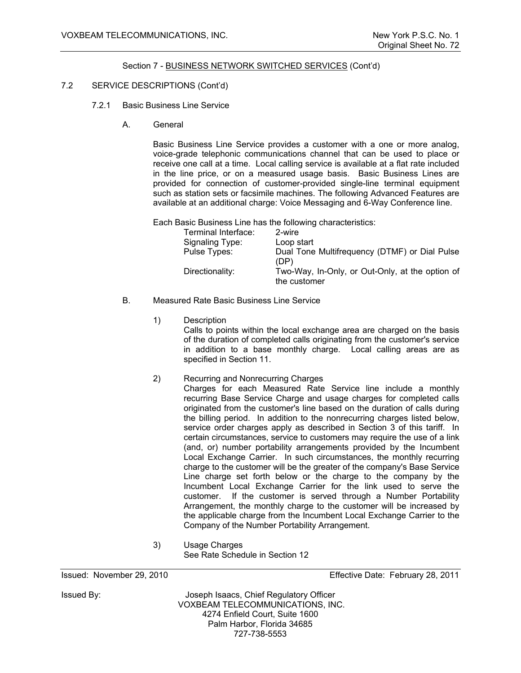## Section 7 - BUSINESS NETWORK SWITCHED SERVICES (Cont'd)

# 7.2 SERVICE DESCRIPTIONS (Cont'd)

- 7.2.1 Basic Business Line Service
	- A. General

Basic Business Line Service provides a customer with a one or more analog, voice-grade telephonic communications channel that can be used to place or receive one call at a time. Local calling service is available at a flat rate included in the line price, or on a measured usage basis. Basic Business Lines are provided for connection of customer-provided single-line terminal equipment such as station sets or facsimile machines. The following Advanced Features are available at an additional charge: Voice Messaging and 6-Way Conference line.

Each Basic Business Line has the following characteristics:

| Terminal Interface: | 2-wire                                                          |
|---------------------|-----------------------------------------------------------------|
| Signaling Type:     | Loop start                                                      |
| Pulse Types:        | Dual Tone Multifrequency (DTMF) or Dial Pulse<br>(DP)           |
| Directionality:     | Two-Way, In-Only, or Out-Only, at the option of<br>the customer |

- B. Measured Rate Basic Business Line Service
	- 1) Description

Calls to points within the local exchange area are charged on the basis of the duration of completed calls originating from the customer's service in addition to a base monthly charge. Local calling areas are as specified in Section 11.

- 2) Recurring and Nonrecurring Charges
	- Charges for each Measured Rate Service line include a monthly recurring Base Service Charge and usage charges for completed calls originated from the customer's line based on the duration of calls during the billing period. In addition to the nonrecurring charges listed below, service order charges apply as described in Section 3 of this tariff. In certain circumstances, service to customers may require the use of a link (and, or) number portability arrangements provided by the Incumbent Local Exchange Carrier. In such circumstances, the monthly recurring charge to the customer will be the greater of the company's Base Service Line charge set forth below or the charge to the company by the Incumbent Local Exchange Carrier for the link used to serve the customer. If the customer is served through a Number Portability Arrangement, the monthly charge to the customer will be increased by the applicable charge from the Incumbent Local Exchange Carrier to the Company of the Number Portability Arrangement.
- 3) Usage Charges See Rate Schedule in Section 12

Issued: November 29, 2010 Effective Date: February 28, 2011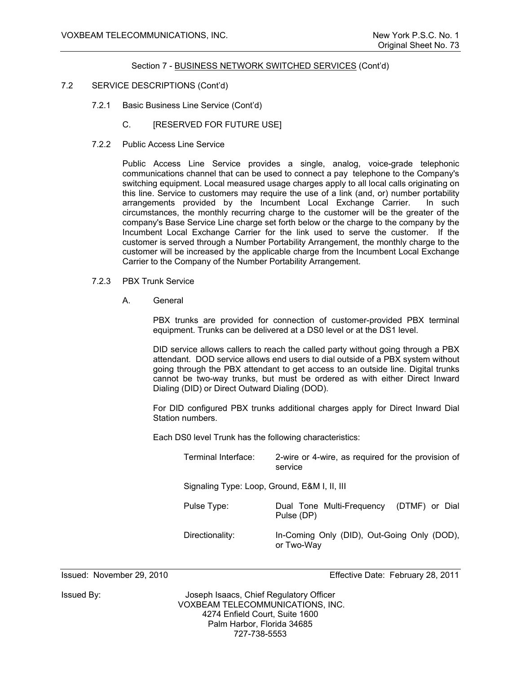- 7.2 SERVICE DESCRIPTIONS (Cont'd)
	- 7.2.1 Basic Business Line Service (Cont'd)
		- C. **[RESERVED FOR FUTURE USE]**
	- 7.2.2 Public Access Line Service

Public Access Line Service provides a single, analog, voice-grade telephonic communications channel that can be used to connect a pay telephone to the Company's switching equipment. Local measured usage charges apply to all local calls originating on this line. Service to customers may require the use of a link (and, or) number portability arrangements provided by the Incumbent Local Exchange Carrier. In such circumstances, the monthly recurring charge to the customer will be the greater of the company's Base Service Line charge set forth below or the charge to the company by the Incumbent Local Exchange Carrier for the link used to serve the customer. If the customer is served through a Number Portability Arrangement, the monthly charge to the customer will be increased by the applicable charge from the Incumbent Local Exchange Carrier to the Company of the Number Portability Arrangement.

- 7.2.3 PBX Trunk Service
	- A. General

PBX trunks are provided for connection of customer-provided PBX terminal equipment. Trunks can be delivered at a DS0 level or at the DS1 level.

DID service allows callers to reach the called party without going through a PBX attendant. DOD service allows end users to dial outside of a PBX system without going through the PBX attendant to get access to an outside line. Digital trunks cannot be two-way trunks, but must be ordered as with either Direct Inward Dialing (DID) or Direct Outward Dialing (DOD).

For DID configured PBX trunks additional charges apply for Direct Inward Dial Station numbers.

Each DS0 level Trunk has the following characteristics:

| Terminal Interface:                          | 2-wire or 4-wire, as required for the provision of<br>service |
|----------------------------------------------|---------------------------------------------------------------|
| Signaling Type: Loop, Ground, E&M I, II, III |                                                               |
| Pulse Type:                                  | Dual Tone Multi-Frequency<br>(DTMF) or Dial<br>Pulse (DP)     |
| Directionality:                              | In-Coming Only (DID), Out-Going Only (DOD),<br>or Two-Way     |

Issued: November 29, 2010 Effective Date: February 28, 2011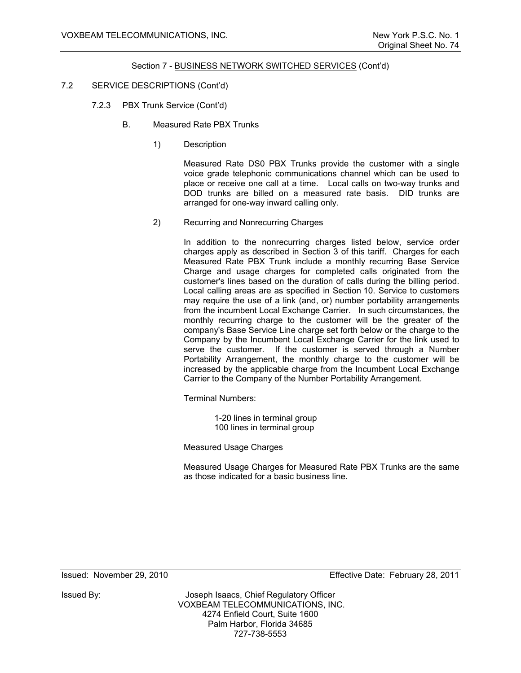- 7.2 SERVICE DESCRIPTIONS (Cont'd)
	- 7.2.3 PBX Trunk Service (Cont'd)
		- B. Measured Rate PBX Trunks
			- 1) Description

Measured Rate DS0 PBX Trunks provide the customer with a single voice grade telephonic communications channel which can be used to place or receive one call at a time. Local calls on two-way trunks and DOD trunks are billed on a measured rate basis. DID trunks are arranged for one-way inward calling only.

2) Recurring and Nonrecurring Charges

In addition to the nonrecurring charges listed below, service order charges apply as described in Section 3 of this tariff. Charges for each Measured Rate PBX Trunk include a monthly recurring Base Service Charge and usage charges for completed calls originated from the customer's lines based on the duration of calls during the billing period. Local calling areas are as specified in Section 10. Service to customers may require the use of a link (and, or) number portability arrangements from the incumbent Local Exchange Carrier. In such circumstances, the monthly recurring charge to the customer will be the greater of the company's Base Service Line charge set forth below or the charge to the Company by the Incumbent Local Exchange Carrier for the link used to serve the customer. If the customer is served through a Number Portability Arrangement, the monthly charge to the customer will be increased by the applicable charge from the Incumbent Local Exchange Carrier to the Company of the Number Portability Arrangement.

Terminal Numbers:

1-20 lines in terminal group 100 lines in terminal group

Measured Usage Charges

Measured Usage Charges for Measured Rate PBX Trunks are the same as those indicated for a basic business line.

Issued: November 29, 2010 Effective Date: February 28, 2011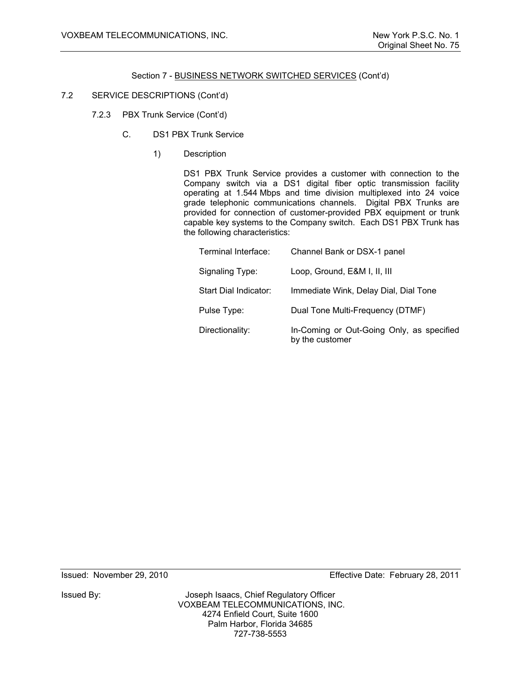# 7.2 SERVICE DESCRIPTIONS (Cont'd)

- 7.2.3 PBX Trunk Service (Cont'd)
	- C. DS1 PBX Trunk Service
		- 1) Description

DS1 PBX Trunk Service provides a customer with connection to the Company switch via a DS1 digital fiber optic transmission facility operating at 1.544 Mbps and time division multiplexed into 24 voice grade telephonic communications channels. Digital PBX Trunks are provided for connection of customer-provided PBX equipment or trunk capable key systems to the Company switch. Each DS1 PBX Trunk has the following characteristics:

| Terminal Interface:   | Channel Bank or DSX-1 panel                                  |
|-----------------------|--------------------------------------------------------------|
| Signaling Type:       | Loop, Ground, E&M I, II, III                                 |
| Start Dial Indicator: | Immediate Wink, Delay Dial, Dial Tone                        |
| Pulse Type:           | Dual Tone Multi-Frequency (DTMF)                             |
| Directionality:       | In-Coming or Out-Going Only, as specified<br>by the customer |

Issued By: Joseph Isaacs, Chief Regulatory Officer VOXBEAM TELECOMMUNICATIONS, INC. 4274 Enfield Court, Suite 1600 Palm Harbor, Florida 34685 727-738-5553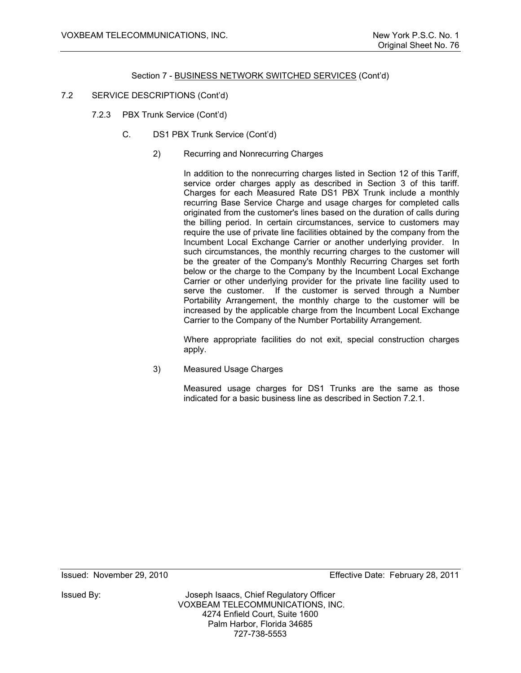- 7.2 SERVICE DESCRIPTIONS (Cont'd)
	- 7.2.3 PBX Trunk Service (Cont'd)
		- C. DS1 PBX Trunk Service (Cont'd)
			- 2) Recurring and Nonrecurring Charges

In addition to the nonrecurring charges listed in Section 12 of this Tariff, service order charges apply as described in Section 3 of this tariff. Charges for each Measured Rate DS1 PBX Trunk include a monthly recurring Base Service Charge and usage charges for completed calls originated from the customer's lines based on the duration of calls during the billing period. In certain circumstances, service to customers may require the use of private line facilities obtained by the company from the Incumbent Local Exchange Carrier or another underlying provider. In such circumstances, the monthly recurring charges to the customer will be the greater of the Company's Monthly Recurring Charges set forth below or the charge to the Company by the Incumbent Local Exchange Carrier or other underlying provider for the private line facility used to serve the customer. If the customer is served through a Number Portability Arrangement, the monthly charge to the customer will be increased by the applicable charge from the Incumbent Local Exchange Carrier to the Company of the Number Portability Arrangement.

 Where appropriate facilities do not exit, special construction charges apply.

3) Measured Usage Charges

 Measured usage charges for DS1 Trunks are the same as those indicated for a basic business line as described in Section 7.2.1.

Issued: November 29, 2010 Effective Date: February 28, 2011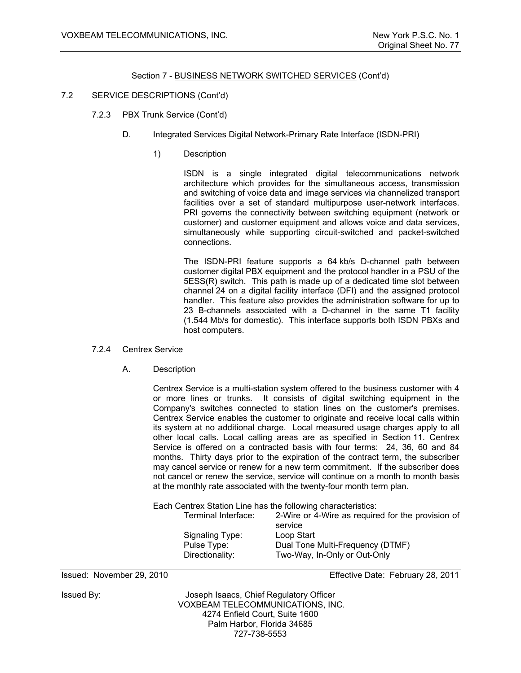#### 7.2 SERVICE DESCRIPTIONS (Cont'd)

- 7.2.3 PBX Trunk Service (Cont'd)
	- D. Integrated Services Digital Network-Primary Rate Interface (ISDN-PRI)
		- 1) Description

ISDN is a single integrated digital telecommunications network architecture which provides for the simultaneous access, transmission and switching of voice data and image services via channelized transport facilities over a set of standard multipurpose user-network interfaces. PRI governs the connectivity between switching equipment (network or customer) and customer equipment and allows voice and data services, simultaneously while supporting circuit-switched and packet-switched connections.

The ISDN-PRI feature supports a 64 kb/s D-channel path between customer digital PBX equipment and the protocol handler in a PSU of the 5ESS(R) switch. This path is made up of a dedicated time slot between channel 24 on a digital facility interface (DFI) and the assigned protocol handler. This feature also provides the administration software for up to 23 B-channels associated with a D-channel in the same T1 facility (1.544 Mb/s for domestic). This interface supports both ISDN PBXs and host computers.

#### 7.2.4 Centrex Service

A. Description

Centrex Service is a multi-station system offered to the business customer with 4 or more lines or trunks. It consists of digital switching equipment in the Company's switches connected to station lines on the customer's premises. Centrex Service enables the customer to originate and receive local calls within its system at no additional charge. Local measured usage charges apply to all other local calls. Local calling areas are as specified in Section 11. Centrex Service is offered on a contracted basis with four terms: 24, 36, 60 and 84 months. Thirty days prior to the expiration of the contract term, the subscriber may cancel service or renew for a new term commitment. If the subscriber does not cancel or renew the service, service will continue on a month to month basis at the monthly rate associated with the twenty-four month term plan.

Each Centrex Station Line has the following characteristics:

| Terminal Interface: | 2-Wire or 4-Wire as required for the provision of |
|---------------------|---------------------------------------------------|
|                     | service                                           |
| Signaling Type:     | Loop Start                                        |
| Pulse Type:         | Dual Tone Multi-Frequency (DTMF)                  |
| Directionality:     | Two-Way, In-Only or Out-Only                      |

Issued: November 29, 2010 Effective Date: February 28, 2011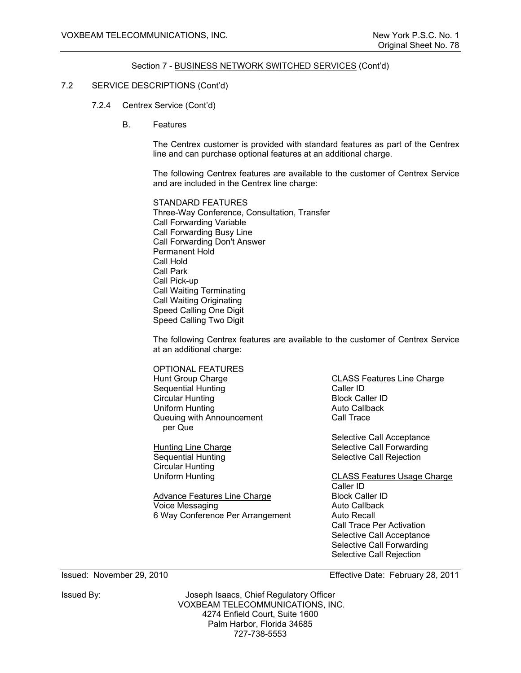# 7.2 SERVICE DESCRIPTIONS (Cont'd)

- 7.2.4 Centrex Service (Cont'd)
	- B. Features

The Centrex customer is provided with standard features as part of the Centrex line and can purchase optional features at an additional charge.

The following Centrex features are available to the customer of Centrex Service and are included in the Centrex line charge:

 STANDARD FEATURES Three-Way Conference, Consultation, Transfer Call Forwarding Variable Call Forwarding Busy Line Call Forwarding Don't Answer Permanent Hold Call Hold Call Park Call Pick-up Call Waiting Terminating Call Waiting Originating Speed Calling One Digit Speed Calling Two Digit

The following Centrex features are available to the customer of Centrex Service at an additional charge:

 OPTIONAL FEATURES Hunt Group Charge CLASS Features Line Charge Sequential Hunting Caller ID Circular Hunting **Block Caller ID** Uniform Hunting **Auto Callback** Queuing with Announcement per Que

Circular Hunting<br>Uniform Hunting

Advance Features Line Charge Block Caller ID Voice Messaging **Auto Callback** 6 Way Conference Per Arrangement Auto Recall

Call Trace

Selective Call Acceptance Hunting Line Charge **Selective Call Forwarding** Sequential Hunting Selective Call Rejection

> CLASS Features Usage Charge Caller ID Call Trace Per Activation Selective Call Acceptance Selective Call Forwarding Selective Call Rejection

Issued: November 29, 2010 Effective Date: February 28, 2011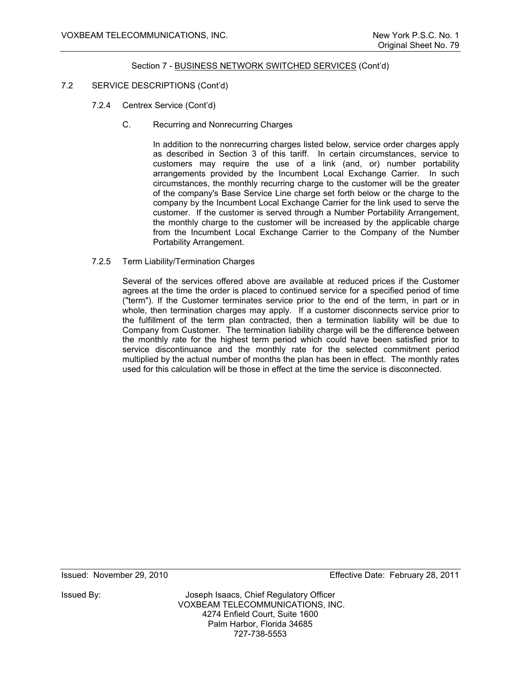# 7.2 SERVICE DESCRIPTIONS (Cont'd)

- 7.2.4 Centrex Service (Cont'd)
	- C. Recurring and Nonrecurring Charges

In addition to the nonrecurring charges listed below, service order charges apply as described in Section 3 of this tariff. In certain circumstances, service to customers may require the use of a link (and, or) number portability arrangements provided by the Incumbent Local Exchange Carrier. In such circumstances, the monthly recurring charge to the customer will be the greater of the company's Base Service Line charge set forth below or the charge to the company by the Incumbent Local Exchange Carrier for the link used to serve the customer. If the customer is served through a Number Portability Arrangement, the monthly charge to the customer will be increased by the applicable charge from the Incumbent Local Exchange Carrier to the Company of the Number Portability Arrangement.

7.2.5 Term Liability/Termination Charges

Several of the services offered above are available at reduced prices if the Customer agrees at the time the order is placed to continued service for a specified period of time ("term"). If the Customer terminates service prior to the end of the term, in part or in whole, then termination charges may apply. If a customer disconnects service prior to the fulfillment of the term plan contracted, then a termination liability will be due to Company from Customer. The termination liability charge will be the difference between the monthly rate for the highest term period which could have been satisfied prior to service discontinuance and the monthly rate for the selected commitment period multiplied by the actual number of months the plan has been in effect. The monthly rates used for this calculation will be those in effect at the time the service is disconnected.

Issued: November 29, 2010 Effective Date: February 28, 2011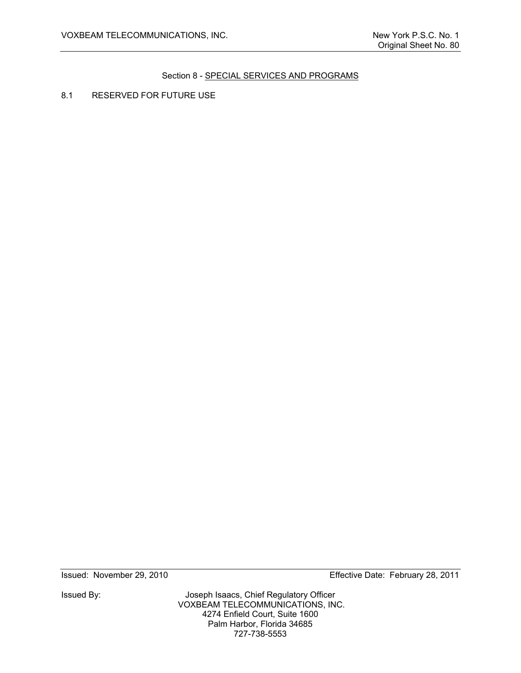8.1 RESERVED FOR FUTURE USE

Issued By: Joseph Isaacs, Chief Regulatory Officer VOXBEAM TELECOMMUNICATIONS, INC. 4274 Enfield Court, Suite 1600 Palm Harbor, Florida 34685 727-738-5553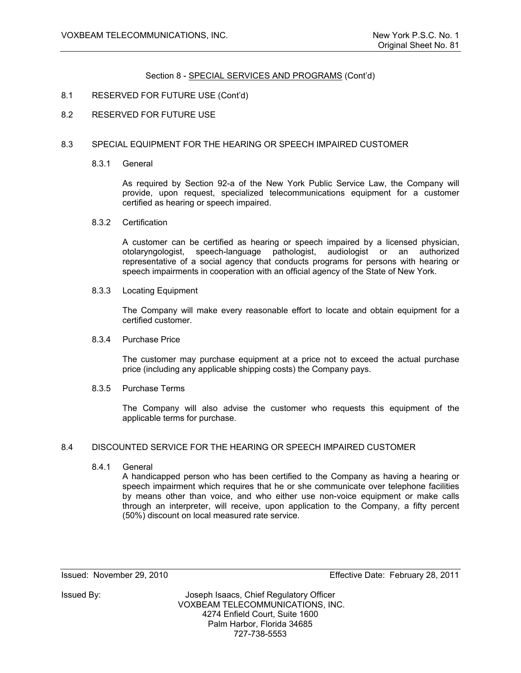#### 8.1 RESERVED FOR FUTURE USE (Cont'd)

8.2 RESERVED FOR FUTURE USE

#### 8.3 SPECIAL EQUIPMENT FOR THE HEARING OR SPEECH IMPAIRED CUSTOMER

8.3.1 General

 As required by Section 92-a of the New York Public Service Law, the Company will provide, upon request, specialized telecommunications equipment for a customer certified as hearing or speech impaired.

8.3.2 Certification

 A customer can be certified as hearing or speech impaired by a licensed physician, otolaryngologist, speech-language pathologist, audiologist or an authorized representative of a social agency that conducts programs for persons with hearing or speech impairments in cooperation with an official agency of the State of New York.

8.3.3 Locating Equipment

 The Company will make every reasonable effort to locate and obtain equipment for a certified customer.

#### 8.3.4 Purchase Price

 The customer may purchase equipment at a price not to exceed the actual purchase price (including any applicable shipping costs) the Company pays.

8.3.5 Purchase Terms

 The Company will also advise the customer who requests this equipment of the applicable terms for purchase.

#### 8.4 DISCOUNTED SERVICE FOR THE HEARING OR SPEECH IMPAIRED CUSTOMER

8.4.1 General

A handicapped person who has been certified to the Company as having a hearing or speech impairment which requires that he or she communicate over telephone facilities by means other than voice, and who either use non-voice equipment or make calls through an interpreter, will receive, upon application to the Company, a fifty percent (50%) discount on local measured rate service.

Issued: November 29, 2010 Effective Date: February 28, 2011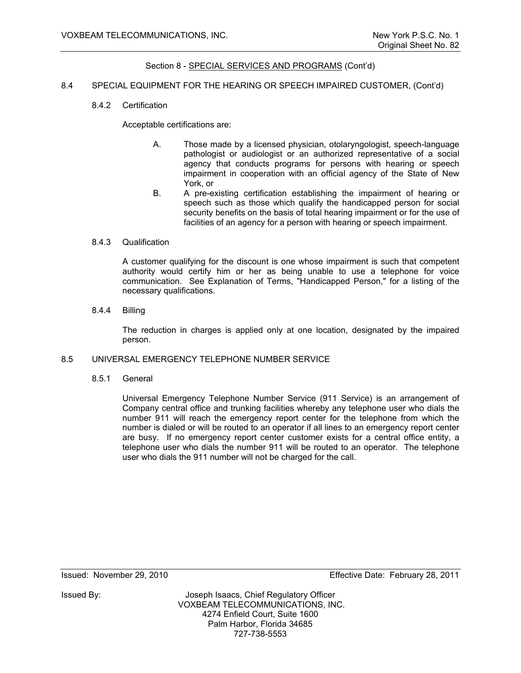#### 8.4 SPECIAL EQUIPMENT FOR THE HEARING OR SPEECH IMPAIRED CUSTOMER, (Cont'd)

8.4.2 Certification

Acceptable certifications are:

- A. Those made by a licensed physician, otolaryngologist, speech-language pathologist or audiologist or an authorized representative of a social agency that conducts programs for persons with hearing or speech impairment in cooperation with an official agency of the State of New York, or
- B. A pre-existing certification establishing the impairment of hearing or speech such as those which qualify the handicapped person for social security benefits on the basis of total hearing impairment or for the use of facilities of an agency for a person with hearing or speech impairment.

#### 8.4.3 Qualification

A customer qualifying for the discount is one whose impairment is such that competent authority would certify him or her as being unable to use a telephone for voice communication. See Explanation of Terms, "Handicapped Person," for a listing of the necessary qualifications.

8.4.4 Billing

The reduction in charges is applied only at one location, designated by the impaired person.

#### 8.5 UNIVERSAL EMERGENCY TELEPHONE NUMBER SERVICE

8.5.1 General

Universal Emergency Telephone Number Service (911 Service) is an arrangement of Company central office and trunking facilities whereby any telephone user who dials the number 911 will reach the emergency report center for the telephone from which the number is dialed or will be routed to an operator if all lines to an emergency report center are busy. If no emergency report center customer exists for a central office entity, a telephone user who dials the number 911 will be routed to an operator. The telephone user who dials the 911 number will not be charged for the call.

Issued: November 29, 2010 Effective Date: February 28, 2011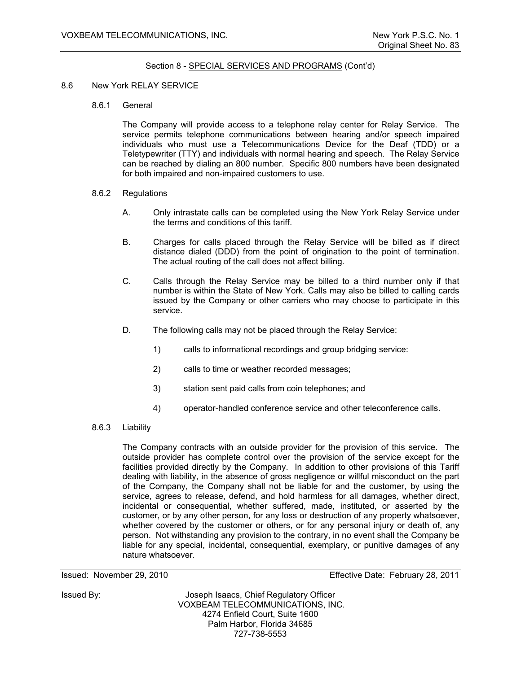#### 8.6 New York RELAY SERVICE

8.6.1 General

The Company will provide access to a telephone relay center for Relay Service. The service permits telephone communications between hearing and/or speech impaired individuals who must use a Telecommunications Device for the Deaf (TDD) or a Teletypewriter (TTY) and individuals with normal hearing and speech. The Relay Service can be reached by dialing an 800 number. Specific 800 numbers have been designated for both impaired and non-impaired customers to use.

- 8.6.2 Regulations
	- A. Only intrastate calls can be completed using the New York Relay Service under the terms and conditions of this tariff.
	- B. Charges for calls placed through the Relay Service will be billed as if direct distance dialed (DDD) from the point of origination to the point of termination. The actual routing of the call does not affect billing.
	- C. Calls through the Relay Service may be billed to a third number only if that number is within the State of New York. Calls may also be billed to calling cards issued by the Company or other carriers who may choose to participate in this service.
	- D. The following calls may not be placed through the Relay Service:
		- 1) calls to informational recordings and group bridging service:
		- 2) calls to time or weather recorded messages;
		- 3) station sent paid calls from coin telephones; and
		- 4) operator-handled conference service and other teleconference calls.
- 8.6.3 Liability

The Company contracts with an outside provider for the provision of this service. The outside provider has complete control over the provision of the service except for the facilities provided directly by the Company. In addition to other provisions of this Tariff dealing with liability, in the absence of gross negligence or willful misconduct on the part of the Company, the Company shall not be liable for and the customer, by using the service, agrees to release, defend, and hold harmless for all damages, whether direct, incidental or consequential, whether suffered, made, instituted, or asserted by the customer, or by any other person, for any loss or destruction of any property whatsoever, whether covered by the customer or others, or for any personal injury or death of, any person. Not withstanding any provision to the contrary, in no event shall the Company be liable for any special, incidental, consequential, exemplary, or punitive damages of any nature whatsoever.

Issued: November 29, 2010 Effective Date: February 28, 2011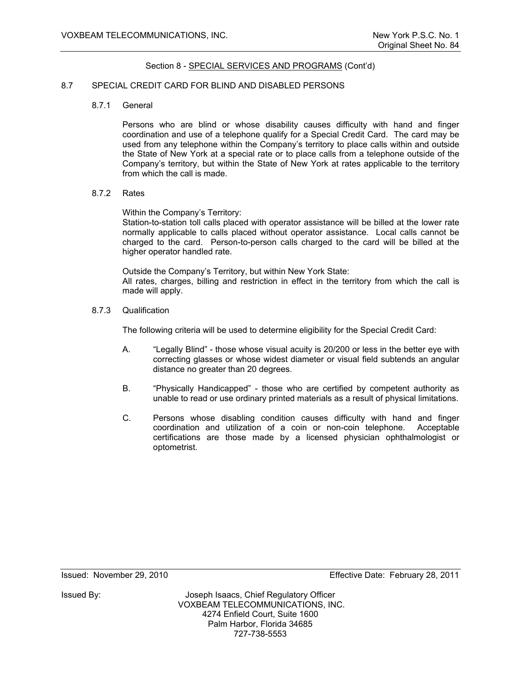#### 8.7 SPECIAL CREDIT CARD FOR BLIND AND DISABLED PERSONS

8.7.1 General

Persons who are blind or whose disability causes difficulty with hand and finger coordination and use of a telephone qualify for a Special Credit Card. The card may be used from any telephone within the Company's territory to place calls within and outside the State of New York at a special rate or to place calls from a telephone outside of the Company's territory, but within the State of New York at rates applicable to the territory from which the call is made.

#### 8.7.2 Rates

Within the Company's Territory:

Station-to-station toll calls placed with operator assistance will be billed at the lower rate normally applicable to calls placed without operator assistance. Local calls cannot be charged to the card. Person-to-person calls charged to the card will be billed at the higher operator handled rate.

Outside the Company's Territory, but within New York State: All rates, charges, billing and restriction in effect in the territory from which the call is made will apply.

8.7.3 Qualification

The following criteria will be used to determine eligibility for the Special Credit Card:

- A. "Legally Blind" those whose visual acuity is 20/200 or less in the better eye with correcting glasses or whose widest diameter or visual field subtends an angular distance no greater than 20 degrees.
- B. "Physically Handicapped" those who are certified by competent authority as unable to read or use ordinary printed materials as a result of physical limitations.
- C. Persons whose disabling condition causes difficulty with hand and finger coordination and utilization of a coin or non-coin telephone. Acceptable certifications are those made by a licensed physician ophthalmologist or optometrist.

Issued: November 29, 2010 Effective Date: February 28, 2011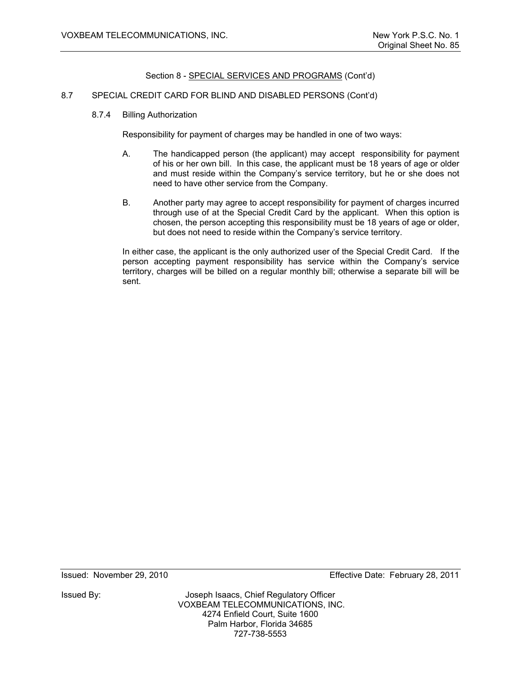# 8.7 SPECIAL CREDIT CARD FOR BLIND AND DISABLED PERSONS (Cont'd)

8.7.4 Billing Authorization

Responsibility for payment of charges may be handled in one of two ways:

- A. The handicapped person (the applicant) may accept responsibility for payment of his or her own bill. In this case, the applicant must be 18 years of age or older and must reside within the Company's service territory, but he or she does not need to have other service from the Company.
- B. Another party may agree to accept responsibility for payment of charges incurred through use of at the Special Credit Card by the applicant. When this option is chosen, the person accepting this responsibility must be 18 years of age or older, but does not need to reside within the Company's service territory.

 In either case, the applicant is the only authorized user of the Special Credit Card. If the person accepting payment responsibility has service within the Company's service territory, charges will be billed on a regular monthly bill; otherwise a separate bill will be sent.

Issued: November 29, 2010 Effective Date: February 28, 2011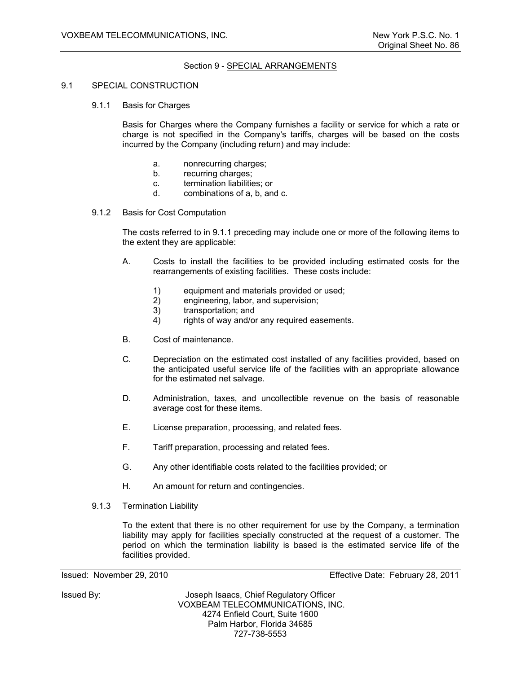# Section 9 - SPECIAL ARRANGEMENTS

#### 9.1 SPECIAL CONSTRUCTION

9.1.1 Basis for Charges

Basis for Charges where the Company furnishes a facility or service for which a rate or charge is not specified in the Company's tariffs, charges will be based on the costs incurred by the Company (including return) and may include:

- a. nonrecurring charges;
- b. recurring charges;
- c. termination liabilities; or
- d. combinations of a, b, and c.
- 9.1.2 Basis for Cost Computation

The costs referred to in 9.1.1 preceding may include one or more of the following items to the extent they are applicable:

- A. Costs to install the facilities to be provided including estimated costs for the rearrangements of existing facilities. These costs include:
	- 1) equipment and materials provided or used;<br>2) engineering. labor. and supervision:
	- engineering, labor, and supervision;
	- 3) transportation; and
	- 4) rights of way and/or any required easements.
- B. Cost of maintenance.
- C. Depreciation on the estimated cost installed of any facilities provided, based on the anticipated useful service life of the facilities with an appropriate allowance for the estimated net salvage.
- D. Administration, taxes, and uncollectible revenue on the basis of reasonable average cost for these items.
- E. License preparation, processing, and related fees.
- F. Tariff preparation, processing and related fees.
- G. Any other identifiable costs related to the facilities provided; or
- H. An amount for return and contingencies.
- 9.1.3 Termination Liability

To the extent that there is no other requirement for use by the Company, a termination liability may apply for facilities specially constructed at the request of a customer. The period on which the termination liability is based is the estimated service life of the facilities provided.

Issued: November 29, 2010 Effective Date: February 28, 2011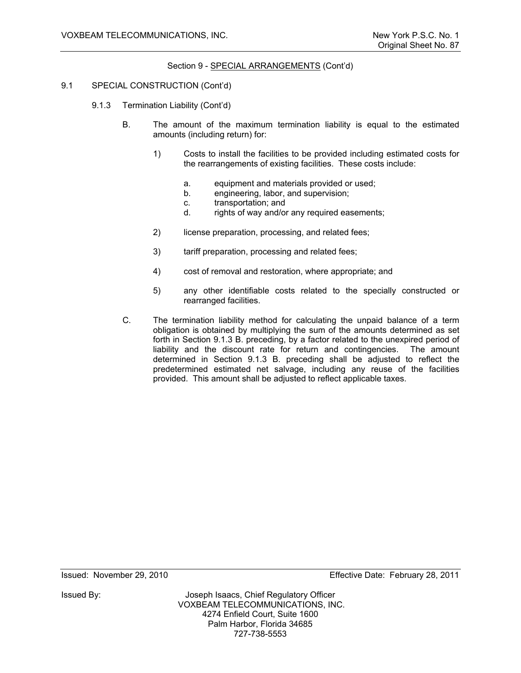### Section 9 - SPECIAL ARRANGEMENTS (Cont'd)

#### 9.1 SPECIAL CONSTRUCTION (Cont'd)

- 9.1.3 Termination Liability (Cont'd)
	- B. The amount of the maximum termination liability is equal to the estimated amounts (including return) for:
		- 1) Costs to install the facilities to be provided including estimated costs for the rearrangements of existing facilities. These costs include:
			- a. equipment and materials provided or used;
			- b. engineering, labor, and supervision;
			- c. transportation; and
			- d. rights of way and/or any required easements;
		- 2) license preparation, processing, and related fees;
		- 3) tariff preparation, processing and related fees;
		- 4) cost of removal and restoration, where appropriate; and
		- 5) any other identifiable costs related to the specially constructed or rearranged facilities.
	- C. The termination liability method for calculating the unpaid balance of a term obligation is obtained by multiplying the sum of the amounts determined as set forth in Section 9.1.3 B. preceding, by a factor related to the unexpired period of liability and the discount rate for return and contingencies. The amount determined in Section 9.1.3 B. preceding shall be adjusted to reflect the predetermined estimated net salvage, including any reuse of the facilities provided. This amount shall be adjusted to reflect applicable taxes.

Issued: November 29, 2010 Effective Date: February 28, 2011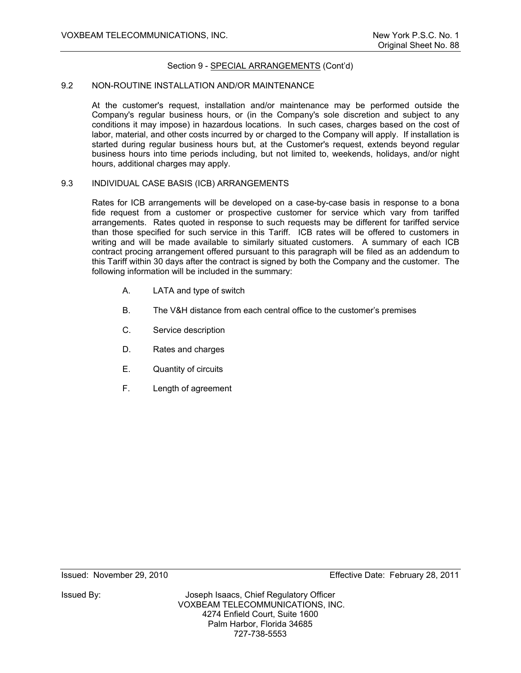#### Section 9 - SPECIAL ARRANGEMENTS (Cont'd)

#### 9.2 NON-ROUTINE INSTALLATION AND/OR MAINTENANCE

At the customer's request, installation and/or maintenance may be performed outside the Company's regular business hours, or (in the Company's sole discretion and subject to any conditions it may impose) in hazardous locations. In such cases, charges based on the cost of labor, material, and other costs incurred by or charged to the Company will apply. If installation is started during regular business hours but, at the Customer's request, extends beyond regular business hours into time periods including, but not limited to, weekends, holidays, and/or night hours, additional charges may apply.

#### 9.3 INDIVIDUAL CASE BASIS (ICB) ARRANGEMENTS

Rates for ICB arrangements will be developed on a case-by-case basis in response to a bona fide request from a customer or prospective customer for service which vary from tariffed arrangements. Rates quoted in response to such requests may be different for tariffed service than those specified for such service in this Tariff. ICB rates will be offered to customers in writing and will be made available to similarly situated customers. A summary of each ICB contract procing arrangement offered pursuant to this paragraph will be filed as an addendum to this Tariff within 30 days after the contract is signed by both the Company and the customer. The following information will be included in the summary:

- A. LATA and type of switch
- B. The V&H distance from each central office to the customer's premises
- C. Service description
- D. Rates and charges
- E. Quantity of circuits
- F. Length of agreement

Issued: November 29, 2010 Effective Date: February 28, 2011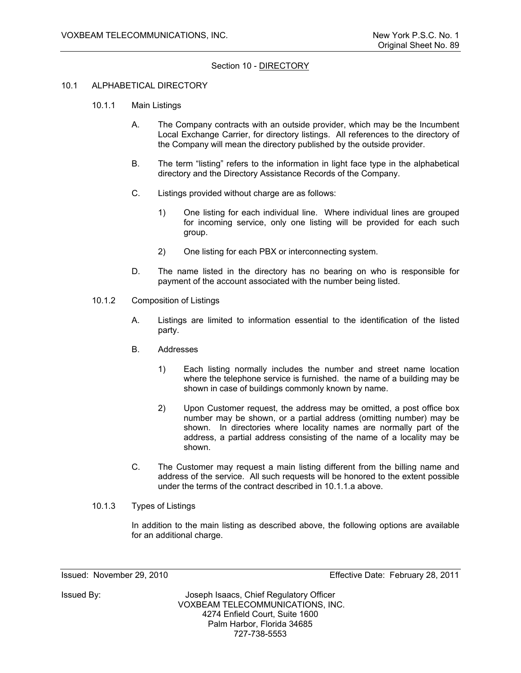# Section 10 - DIRECTORY

#### 10.1 ALPHABETICAL DIRECTORY

- 10.1.1 Main Listings
	- A. The Company contracts with an outside provider, which may be the Incumbent Local Exchange Carrier, for directory listings. All references to the directory of the Company will mean the directory published by the outside provider.
	- B. The term "listing" refers to the information in light face type in the alphabetical directory and the Directory Assistance Records of the Company.
	- C. Listings provided without charge are as follows:
		- 1) One listing for each individual line. Where individual lines are grouped for incoming service, only one listing will be provided for each such group.
		- 2) One listing for each PBX or interconnecting system.
	- D. The name listed in the directory has no bearing on who is responsible for payment of the account associated with the number being listed.
- 10.1.2 Composition of Listings
	- A. Listings are limited to information essential to the identification of the listed party.
	- B. Addresses
		- 1) Each listing normally includes the number and street name location where the telephone service is furnished. the name of a building may be shown in case of buildings commonly known by name.
		- 2) Upon Customer request, the address may be omitted, a post office box number may be shown, or a partial address (omitting number) may be shown. In directories where locality names are normally part of the address, a partial address consisting of the name of a locality may be shown.
	- C. The Customer may request a main listing different from the billing name and address of the service. All such requests will be honored to the extent possible under the terms of the contract described in 10.1.1.a above.
- 10.1.3 Types of Listings

In addition to the main listing as described above, the following options are available for an additional charge.

727-738-5553

Issued: November 29, 2010 Effective Date: February 28, 2011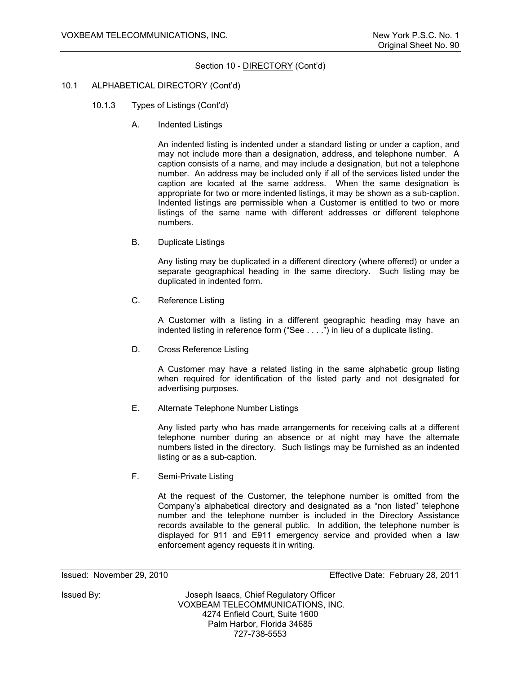#### Section 10 - **DIRECTORY** (Cont'd)

#### 10.1 ALPHABETICAL DIRECTORY (Cont'd)

- 10.1.3 Types of Listings (Cont'd)
	- A. Indented Listings

An indented listing is indented under a standard listing or under a caption, and may not include more than a designation, address, and telephone number. A caption consists of a name, and may include a designation, but not a telephone number. An address may be included only if all of the services listed under the caption are located at the same address. When the same designation is appropriate for two or more indented listings, it may be shown as a sub-caption. Indented listings are permissible when a Customer is entitled to two or more listings of the same name with different addresses or different telephone numbers.

B. Duplicate Listings

Any listing may be duplicated in a different directory (where offered) or under a separate geographical heading in the same directory. Such listing may be duplicated in indented form.

C. Reference Listing

A Customer with a listing in a different geographic heading may have an indented listing in reference form ("See . . . .") in lieu of a duplicate listing.

D. Cross Reference Listing

A Customer may have a related listing in the same alphabetic group listing when required for identification of the listed party and not designated for advertising purposes.

E. Alternate Telephone Number Listings

Any listed party who has made arrangements for receiving calls at a different telephone number during an absence or at night may have the alternate numbers listed in the directory. Such listings may be furnished as an indented listing or as a sub-caption.

F. Semi-Private Listing

At the request of the Customer, the telephone number is omitted from the Company's alphabetical directory and designated as a "non listed" telephone number and the telephone number is included in the Directory Assistance records available to the general public. In addition, the telephone number is displayed for 911 and E911 emergency service and provided when a law enforcement agency requests it in writing.

Issued: November 29, 2010 Effective Date: February 28, 2011

Issued By: Joseph Isaacs, Chief Regulatory Officer VOXBEAM TELECOMMUNICATIONS, INC. 4274 Enfield Court, Suite 1600 Palm Harbor, Florida 34685

727-738-5553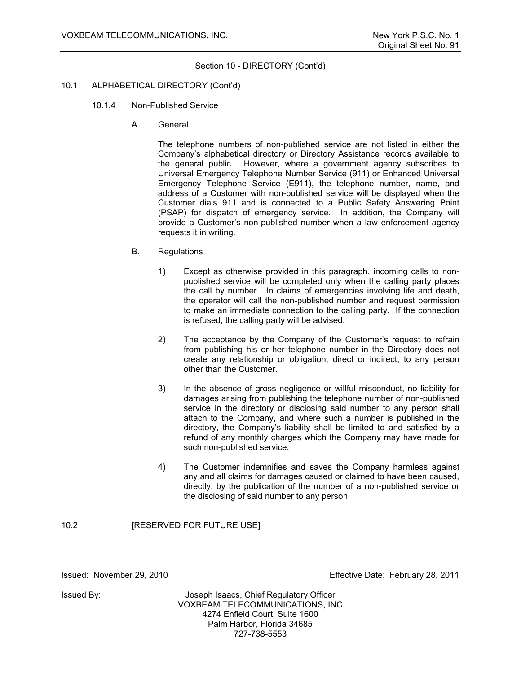#### Section 10 - **DIRECTORY** (Cont'd)

#### 10.1 ALPHABETICAL DIRECTORY (Cont'd)

- 10.1.4 Non-Published Service
	- A. General

The telephone numbers of non-published service are not listed in either the Company's alphabetical directory or Directory Assistance records available to the general public. However, where a government agency subscribes to Universal Emergency Telephone Number Service (911) or Enhanced Universal Emergency Telephone Service (E911), the telephone number, name, and address of a Customer with non-published service will be displayed when the Customer dials 911 and is connected to a Public Safety Answering Point (PSAP) for dispatch of emergency service. In addition, the Company will provide a Customer's non-published number when a law enforcement agency requests it in writing.

- B. Regulations
	- 1) Except as otherwise provided in this paragraph, incoming calls to nonpublished service will be completed only when the calling party places the call by number. In claims of emergencies involving life and death, the operator will call the non-published number and request permission to make an immediate connection to the calling party. If the connection is refused, the calling party will be advised.
	- 2) The acceptance by the Company of the Customer's request to refrain from publishing his or her telephone number in the Directory does not create any relationship or obligation, direct or indirect, to any person other than the Customer.
	- 3) In the absence of gross negligence or willful misconduct, no liability for damages arising from publishing the telephone number of non-published service in the directory or disclosing said number to any person shall attach to the Company, and where such a number is published in the directory, the Company's liability shall be limited to and satisfied by a refund of any monthly charges which the Company may have made for such non-published service.
	- 4) The Customer indemnifies and saves the Company harmless against any and all claims for damages caused or claimed to have been caused, directly, by the publication of the number of a non-published service or the disclosing of said number to any person.

#### 10.2 **[RESERVED FOR FUTURE USE]**

Issued: November 29, 2010 Effective Date: February 28, 2011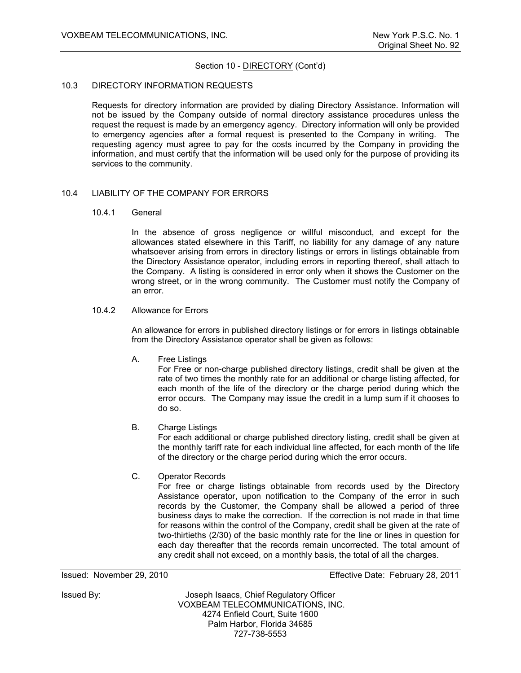# Section 10 - DIRECTORY (Cont'd)

#### 10.3 DIRECTORY INFORMATION REQUESTS

Requests for directory information are provided by dialing Directory Assistance. Information will not be issued by the Company outside of normal directory assistance procedures unless the request the request is made by an emergency agency. Directory information will only be provided to emergency agencies after a formal request is presented to the Company in writing. The requesting agency must agree to pay for the costs incurred by the Company in providing the information, and must certify that the information will be used only for the purpose of providing its services to the community.

#### 10.4 LIABILITY OF THE COMPANY FOR ERRORS

#### 10.4.1 General

In the absence of gross negligence or willful misconduct, and except for the allowances stated elsewhere in this Tariff, no liability for any damage of any nature whatsoever arising from errors in directory listings or errors in listings obtainable from the Directory Assistance operator, including errors in reporting thereof, shall attach to the Company. A listing is considered in error only when it shows the Customer on the wrong street, or in the wrong community. The Customer must notify the Company of an error.

# 10.4.2 Allowance for Errors

An allowance for errors in published directory listings or for errors in listings obtainable from the Directory Assistance operator shall be given as follows:

A. Free Listings

For Free or non-charge published directory listings, credit shall be given at the rate of two times the monthly rate for an additional or charge listing affected, for each month of the life of the directory or the charge period during which the error occurs. The Company may issue the credit in a lump sum if it chooses to do so.

B. Charge Listings

For each additional or charge published directory listing, credit shall be given at the monthly tariff rate for each individual line affected, for each month of the life of the directory or the charge period during which the error occurs.

C. Operator Records

For free or charge listings obtainable from records used by the Directory Assistance operator, upon notification to the Company of the error in such records by the Customer, the Company shall be allowed a period of three business days to make the correction. If the correction is not made in that time for reasons within the control of the Company, credit shall be given at the rate of two-thirtieths (2/30) of the basic monthly rate for the line or lines in question for each day thereafter that the records remain uncorrected. The total amount of any credit shall not exceed, on a monthly basis, the total of all the charges.

Issued: November 29, 2010 Effective Date: February 28, 2011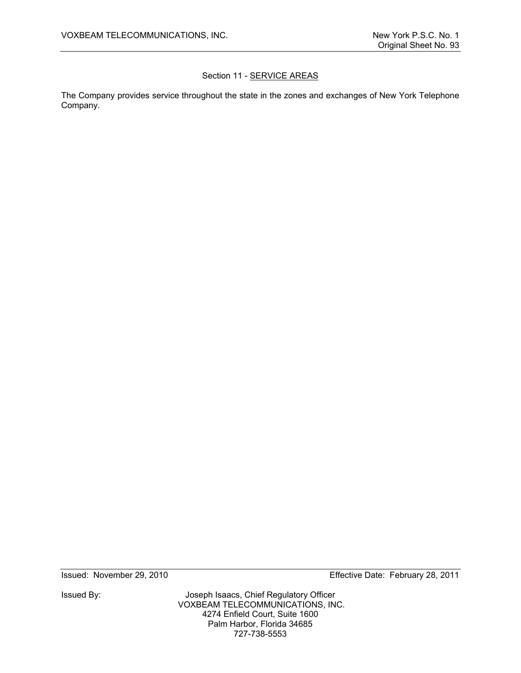# Section 11 - SERVICE AREAS

The Company provides service throughout the state in the zones and exchanges of New York Telephone Company.

Issued By: Joseph Isaacs, Chief Regulatory Officer VOXBEAM TELECOMMUNICATIONS, INC. 4274 Enfield Court, Suite 1600 Palm Harbor, Florida 34685 727-738-5553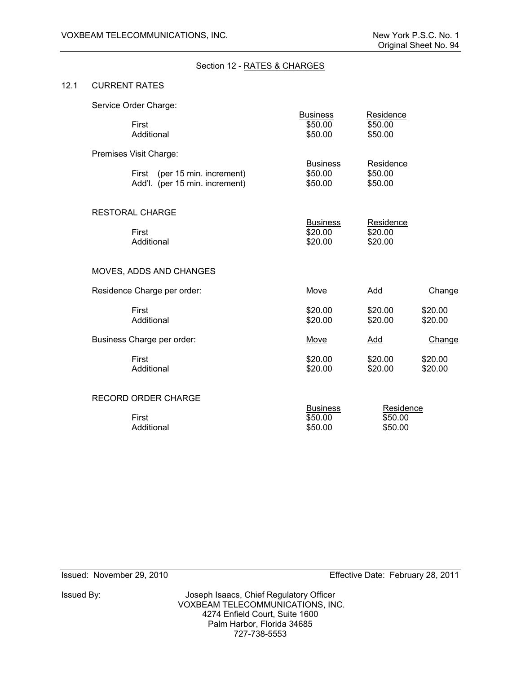# Section 12 - RATES & CHARGES

#### 12.1 CURRENT RATES

| Service Order Charge: |  |
|-----------------------|--|
|-----------------------|--|

| First<br>Additional                                                                       | <b>Business</b><br>\$50.00<br>\$50.00 | Residence<br>\$50.00<br>\$50.00 |                    |
|-------------------------------------------------------------------------------------------|---------------------------------------|---------------------------------|--------------------|
| Premises Visit Charge:<br>First (per 15 min. increment)<br>Add'l. (per 15 min. increment) | <b>Business</b><br>\$50.00<br>\$50.00 | Residence<br>\$50.00<br>\$50.00 |                    |
| <b>RESTORAL CHARGE</b><br>First<br>Additional                                             | <b>Business</b><br>\$20.00<br>\$20.00 | Residence<br>\$20.00<br>\$20.00 |                    |
| MOVES, ADDS AND CHANGES                                                                   |                                       |                                 |                    |
| Residence Charge per order:                                                               | Move                                  | Add                             | Change             |
| First<br>Additional                                                                       | \$20.00<br>\$20.00                    | \$20.00<br>\$20.00              | \$20.00<br>\$20.00 |
| Business Charge per order:                                                                | Move                                  | <b>Add</b>                      | Change             |
| First<br>Additional                                                                       | \$20.00<br>\$20.00                    | \$20.00<br>\$20.00              | \$20.00<br>\$20.00 |
| <b>RECORD ORDER CHARGE</b><br>First<br>Additional                                         | <b>Business</b><br>\$50.00<br>\$50.00 | Residence<br>\$50.00<br>\$50.00 |                    |
|                                                                                           |                                       |                                 |                    |

Issued By: Joseph Isaacs, Chief Regulatory Officer VOXBEAM TELECOMMUNICATIONS, INC. 4274 Enfield Court, Suite 1600 Palm Harbor, Florida 34685 727-738-5553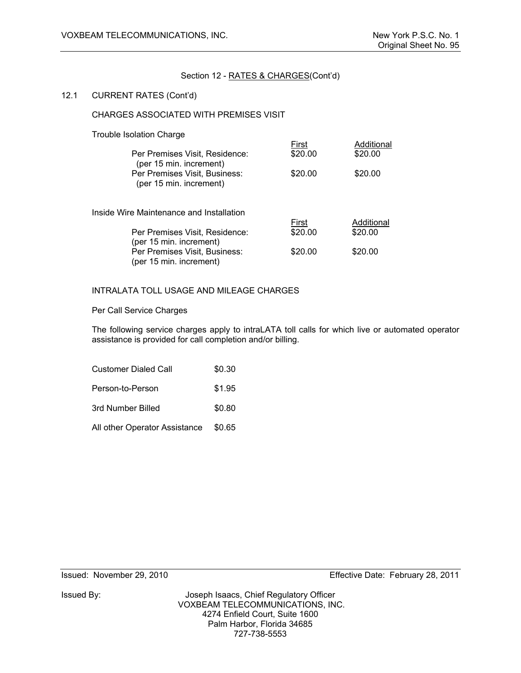# 12.1 CURRENT RATES (Cont'd)

#### CHARGES ASSOCIATED WITH PREMISES VISIT

#### Trouble Isolation Charge

| Per Premises Visit, Residence:<br>(per 15 min. increment) | First<br>\$20.00 | Additional<br>\$20.00 |
|-----------------------------------------------------------|------------------|-----------------------|
| Per Premises Visit, Business:<br>(per 15 min. increment)  | \$20.00          | \$20.00               |
|                                                           |                  |                       |
| Inside Wire Maintenance and Installation                  | First            | Additional            |
| Per Premises Visit, Residence:<br>(per 15 min. increment) | \$20.00          | \$20.00               |

# INTRALATA TOLL USAGE AND MILEAGE CHARGES

#### Per Call Service Charges

The following service charges apply to intraLATA toll calls for which live or automated operator assistance is provided for call completion and/or billing.

| <b>Customer Dialed Call</b>   | \$0.30 |
|-------------------------------|--------|
| Person-to-Person              | \$1.95 |
| 3rd Number Billed             | \$0.80 |
| All other Operator Assistance | \$0.65 |

Issued By: Joseph Isaacs, Chief Regulatory Officer VOXBEAM TELECOMMUNICATIONS, INC. 4274 Enfield Court, Suite 1600 Palm Harbor, Florida 34685 727-738-5553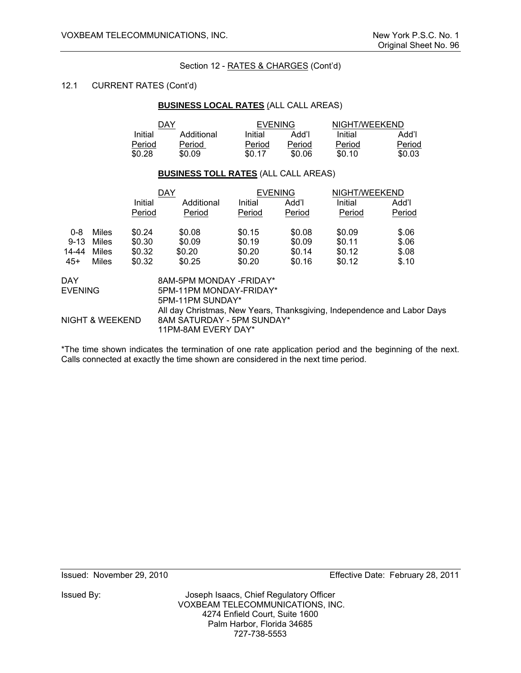## 12.1 CURRENT RATES (Cont'd)

#### **BUSINESS LOCAL RATES** (ALL CALL AREAS)

|         | DAY        |         | <b>EVENING</b> |         | NIGHT/WEEKEND |
|---------|------------|---------|----------------|---------|---------------|
| Initial | Additional | Initial | Add'l          | Initial | "Add          |
| Period  | Period     | Period  | Period         | Period  | Period        |
| \$0.28  | \$0.09     | \$0.17  | \$0.06         | \$0.10  | \$0.03        |

# **BUSINESS TOLL RATES** (ALL CALL AREAS)

|                |                 |         | <b>DAY</b>                                                              |         | <b>EVENING</b> | NIGHT/WEEKEND |        |  |
|----------------|-----------------|---------|-------------------------------------------------------------------------|---------|----------------|---------------|--------|--|
|                |                 | Initial | Additional                                                              | Initial | Add'l          | Initial       | Add'l  |  |
|                |                 | Period  | Period                                                                  | Period  | Period         | Period        | Period |  |
| $0 - 8$        | Miles           | \$0.24  | \$0.08                                                                  | \$0.15  | \$0.08         | \$0.09        | \$.06  |  |
| $9 - 13$       | Miles           | \$0.30  | \$0.09                                                                  | \$0.19  | \$0.09         | \$0.11        | \$.06  |  |
| 14-44          | Miles           | \$0.32  | \$0.20                                                                  | \$0.20  | \$0.14         | \$0.12        | \$.08  |  |
| $45+$          | Miles           | \$0.32  | \$0.25                                                                  | \$0.20  | \$0.16         | \$0.12        | \$.10  |  |
| DAY            |                 |         | 8AM-5PM MONDAY - FRIDAY*                                                |         |                |               |        |  |
| <b>EVENING</b> |                 |         | 5PM-11PM MONDAY-FRIDAY*                                                 |         |                |               |        |  |
|                |                 |         | 5PM-11PM SUNDAY*                                                        |         |                |               |        |  |
|                |                 |         | All day Christmas, New Years, Thanksgiving, Independence and Labor Days |         |                |               |        |  |
|                | NIGHT & WEEKEND |         | 8AM SATURDAY - 5PM SUNDAY*                                              |         |                |               |        |  |
|                |                 |         | 11PM-8AM EVERY DAY*                                                     |         |                |               |        |  |

\*The time shown indicates the termination of one rate application period and the beginning of the next. Calls connected at exactly the time shown are considered in the next time period.

Issued: November 29, 2010 Effective Date: February 28, 2011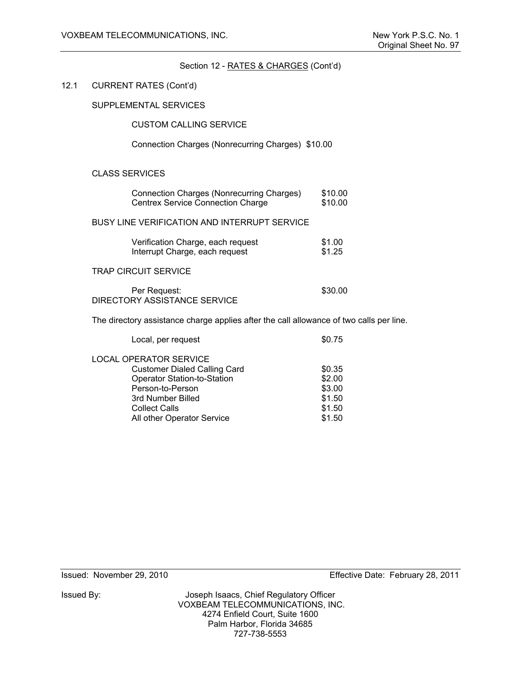# Section 12 - RATES & CHARGES (Cont'd) 12.1 CURRENT RATES (Cont'd) SUPPLEMENTAL SERVICES CUSTOM CALLING SERVICE Connection Charges (Nonrecurring Charges) \$10.00 CLASS SERVICES Connection Charges (Nonrecurring Charges) \$10.00 Centrex Service Connection Charge \$10.00 BUSY LINE VERIFICATION AND INTERRUPT SERVICE Verification Charge, each request \$1.00 Interrupt Charge, each request \$1.25 TRAP CIRCUIT SERVICE Per Request:  $$30.00$  DIRECTORY ASSISTANCE SERVICE The directory assistance charge applies after the call allowance of two calls per line. Local, per request  $$0.75$ LOCAL OPERATOR SERVICE

Customer Dialed Calling Card  $$0.35$ Operator Station-to-Station **\$2.00** Person-to-Person \$3.00 3rd Number Billed \$1.50 Collect Calls **\$1.50** All other Operator Service **\$1.50** 

Issued By: Joseph Isaacs, Chief Regulatory Officer VOXBEAM TELECOMMUNICATIONS, INC. 4274 Enfield Court, Suite 1600 Palm Harbor, Florida 34685 727-738-5553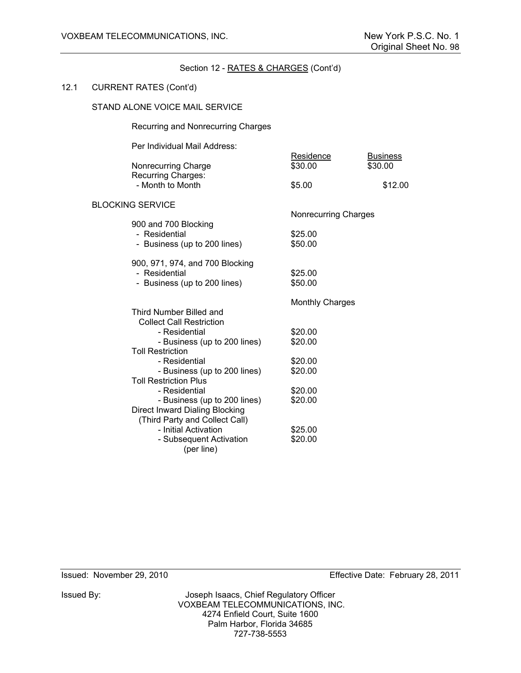# Section 12 - RATES & CHARGES (Cont'd) 12.1 CURRENT RATES (Cont'd) STAND ALONE VOICE MAIL SERVICE Recurring and Nonrecurring Charges Per Individual Mail Address: Residence Business Nonrecurring Charge  $$30.00$  \$30.00 Recurring Charges: - Month to Month  $$5.00$  \$12.00 BLOCKING SERVICE Nonrecurring Charges 900 and 700 Blocking - Residential \$25.00<br>- Business (up to 200 lines) \$50.00 - Business (up to 200 lines) 900, 971, 974, and 700 Blocking - Residential 625.00 - Business (up to 200 lines) \$50.00 Monthly Charges Third Number Billed and Collect Call Restriction - Residential \$20.00 - Business (up to 200 lines) \$20.00 Toll Restriction - Residential \$20.00 - Business (up to 200 lines) \$20.00 Toll Restriction Plus - Residential 620.00 - Business (up to 200 lines) \$20.00 Direct Inward Dialing Blocking (Third Party and Collect Call) - Initial Activation **\$25.00**<br>- Subsequent Activation **\$20.00** - Subsequent Activation

(per line)

Issued By: Joseph Isaacs, Chief Regulatory Officer VOXBEAM TELECOMMUNICATIONS, INC. 4274 Enfield Court, Suite 1600 Palm Harbor, Florida 34685 727-738-5553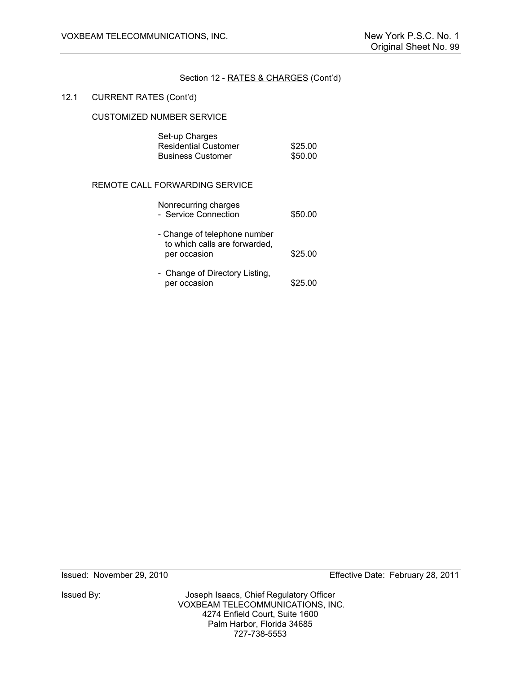#### 12.1 CURRENT RATES (Cont'd)

# CUSTOMIZED NUMBER SERVICE

| Set-up Charges              |         |
|-----------------------------|---------|
| <b>Residential Customer</b> | \$25.00 |
| <b>Business Customer</b>    | \$50.00 |

# REMOTE CALL FORWARDING SERVICE

| Nonrecurring charges<br>- Service Connection                                  | \$50.00 |
|-------------------------------------------------------------------------------|---------|
| - Change of telephone number<br>to which calls are forwarded,<br>per occasion | \$25.00 |
| - Change of Directory Listing,<br>per occasion                                | \$25.00 |

Issued By: Joseph Isaacs, Chief Regulatory Officer VOXBEAM TELECOMMUNICATIONS, INC. 4274 Enfield Court, Suite 1600 Palm Harbor, Florida 34685 727-738-5553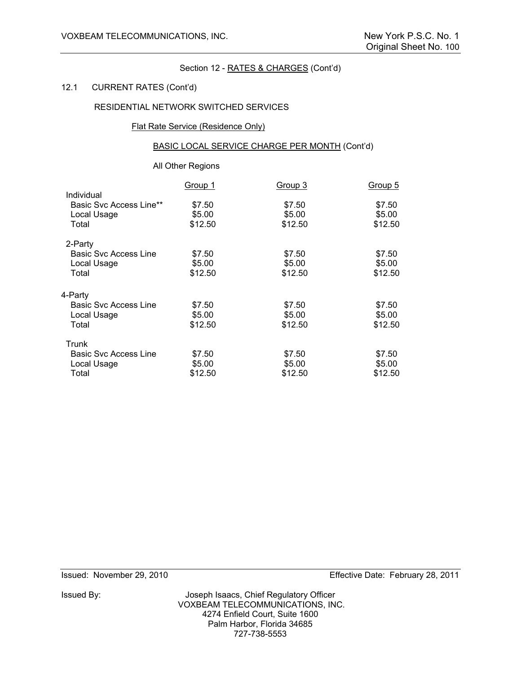#### 12.1 CURRENT RATES (Cont'd)

# RESIDENTIAL NETWORK SWITCHED SERVICES

#### Flat Rate Service (Residence Only)

# BASIC LOCAL SERVICE CHARGE PER MONTH (Cont'd)

# All Other Regions

| \$7.50  |
|---------|
|         |
|         |
| \$5.00  |
| \$12.50 |
|         |
| \$7.50  |
| \$5.00  |
| \$12.50 |
|         |
| \$7.50  |
| \$5.00  |
| \$12.50 |
|         |
| \$7.50  |
| \$5.00  |
| \$12.50 |
|         |

Issued By: Joseph Isaacs, Chief Regulatory Officer VOXBEAM TELECOMMUNICATIONS, INC. 4274 Enfield Court, Suite 1600 Palm Harbor, Florida 34685 727-738-5553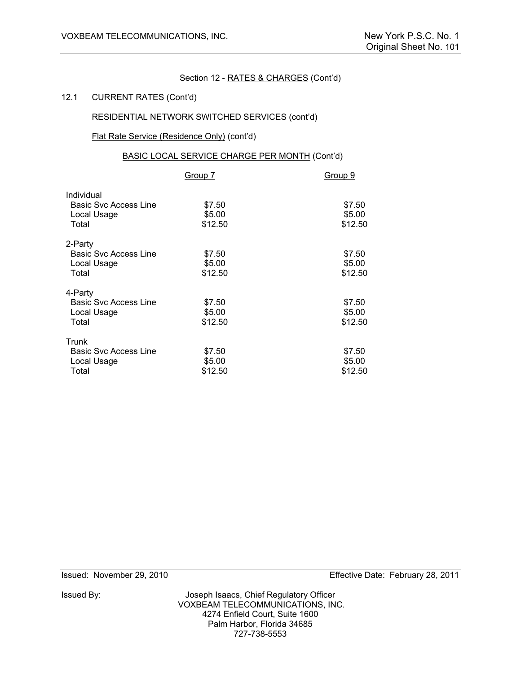#### 12.1 CURRENT RATES (Cont'd)

# RESIDENTIAL NETWORK SWITCHED SERVICES (cont'd)

# Flat Rate Service (Residence Only) (cont'd)

# BASIC LOCAL SERVICE CHARGE PER MONTH (Cont'd)

|                                                                    | Group 7                     | Group 9                     |
|--------------------------------------------------------------------|-----------------------------|-----------------------------|
| Individual<br><b>Basic Svc Access Line</b><br>Local Usage<br>Total | \$7.50<br>\$5.00<br>\$12.50 | \$7.50<br>\$5.00<br>\$12.50 |
| 2-Party<br><b>Basic Svc Access Line</b><br>Local Usage<br>Total    | \$7.50<br>\$5.00<br>\$12.50 | \$7.50<br>\$5.00<br>\$12.50 |
| 4-Party<br><b>Basic Svc Access Line</b><br>Local Usage<br>Total    | \$7.50<br>\$5.00<br>\$12.50 | \$7.50<br>\$5.00<br>\$12.50 |
| Trunk<br><b>Basic Svc Access Line</b><br>Local Usage<br>Total      | \$7.50<br>\$5.00<br>\$12.50 | \$7.50<br>\$5.00<br>\$12.50 |

Issued By: Joseph Isaacs, Chief Regulatory Officer VOXBEAM TELECOMMUNICATIONS, INC. 4274 Enfield Court, Suite 1600 Palm Harbor, Florida 34685 727-738-5553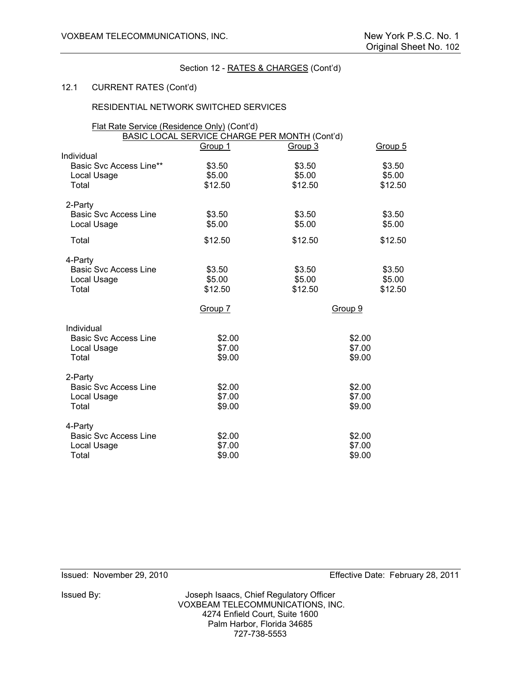# 12.1 CURRENT RATES (Cont'd)

# RESIDENTIAL NETWORK SWITCHED SERVICES

| Flat Rate Service (Residence Only) (Cont'd) |         | BASIC LOCAL SERVICE CHARGE PER MONTH (Cont'd) |         |
|---------------------------------------------|---------|-----------------------------------------------|---------|
|                                             | Group 1 | Group 3                                       | Group 5 |
| Individual                                  |         |                                               |         |
| Basic Svc Access Line**                     | \$3.50  | \$3.50                                        | \$3.50  |
| Local Usage                                 | \$5.00  | \$5.00                                        | \$5.00  |
| Total                                       | \$12.50 | \$12.50                                       | \$12.50 |
| 2-Party                                     |         |                                               |         |
| <b>Basic Svc Access Line</b>                | \$3.50  | \$3.50                                        | \$3.50  |
| Local Usage                                 | \$5.00  | \$5.00                                        | \$5.00  |
| Total                                       | \$12.50 | \$12.50                                       | \$12.50 |
| 4-Party                                     |         |                                               |         |
| <b>Basic Svc Access Line</b>                | \$3.50  | \$3.50                                        | \$3.50  |
| Local Usage                                 | \$5.00  | \$5.00                                        | \$5.00  |
| Total                                       | \$12.50 | \$12.50                                       | \$12.50 |
|                                             | Group 7 |                                               | Group 9 |
| Individual                                  |         |                                               |         |
| <b>Basic Svc Access Line</b>                | \$2.00  |                                               | \$2.00  |
| Local Usage                                 | \$7.00  |                                               | \$7.00  |
| Total                                       | \$9.00  |                                               | \$9.00  |
| 2-Party                                     |         |                                               |         |
| <b>Basic Svc Access Line</b>                | \$2.00  |                                               | \$2.00  |
| Local Usage                                 | \$7.00  |                                               | \$7.00  |
| Total                                       | \$9.00  |                                               | \$9.00  |
| 4-Party                                     |         |                                               |         |
| <b>Basic Svc Access Line</b>                | \$2.00  |                                               | \$2.00  |
| Local Usage                                 | \$7.00  |                                               | \$7.00  |
| Total                                       | \$9.00  |                                               | \$9.00  |

Issued By: Joseph Isaacs, Chief Regulatory Officer VOXBEAM TELECOMMUNICATIONS, INC. 4274 Enfield Court, Suite 1600 Palm Harbor, Florida 34685 727-738-5553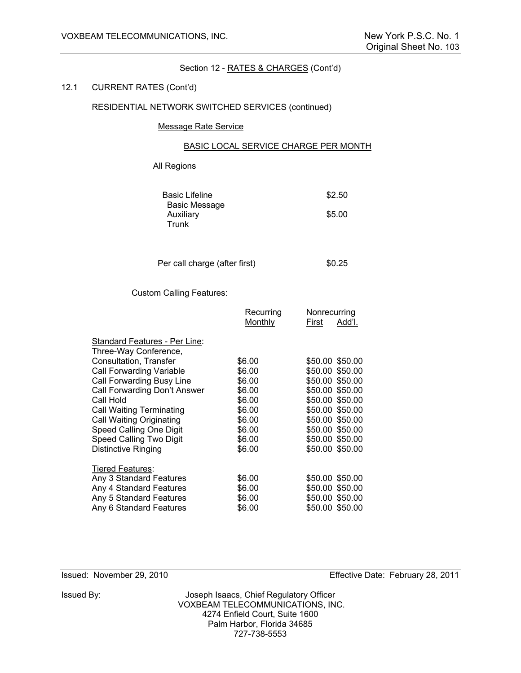#### 12.1 CURRENT RATES (Cont'd)

# RESIDENTIAL NETWORK SWITCHED SERVICES (continued)

# Message Rate Service

#### BASIC LOCAL SERVICE CHARGE PER MONTH

# All Regions

| <b>Basic Lifeline</b> | \$2.50 |
|-----------------------|--------|
| Basic Message         |        |
| Auxiliary             | \$5.00 |
| Trunk                 |        |

Per call charge (after first) \$0.25

# Custom Calling Features:

|                                                                                                          | Recurring                            | Nonrecurring                                                             |
|----------------------------------------------------------------------------------------------------------|--------------------------------------|--------------------------------------------------------------------------|
|                                                                                                          | Monthly                              | Add'l.<br>First                                                          |
| Standard Features - Per Line:<br>Three-Way Conference,                                                   |                                      |                                                                          |
| Consultation, Transfer                                                                                   | \$6.00                               | \$50.00 \$50.00                                                          |
| Call Forwarding Variable                                                                                 | \$6.00                               | \$50.00 \$50.00                                                          |
| Call Forwarding Busy Line                                                                                | \$6.00                               | \$50.00 \$50.00                                                          |
| Call Forwarding Don't Answer                                                                             | \$6.00                               | \$50.00 \$50.00                                                          |
| Call Hold                                                                                                | \$6.00                               | \$50.00 \$50.00                                                          |
| <b>Call Waiting Terminating</b>                                                                          | \$6.00                               | \$50.00 \$50.00                                                          |
| Call Waiting Originating                                                                                 | \$6.00                               | \$50.00 \$50.00                                                          |
| Speed Calling One Digit                                                                                  | \$6.00                               | \$50.00 \$50.00                                                          |
| Speed Calling Two Digit                                                                                  | \$6.00                               | \$50.00 \$50.00                                                          |
| Distinctive Ringing                                                                                      | \$6.00                               | \$50.00 \$50.00                                                          |
| <b>Tiered Features:</b>                                                                                  |                                      |                                                                          |
| Any 3 Standard Features<br>Any 4 Standard Features<br>Any 5 Standard Features<br>Any 6 Standard Features | \$6.00<br>\$6.00<br>\$6.00<br>\$6.00 | \$50.00 \$50.00<br>\$50.00 \$50.00<br>\$50.00 \$50.00<br>\$50.00 \$50.00 |
|                                                                                                          |                                      |                                                                          |

Issued: November 29, 2010 Effective Date: February 28, 2011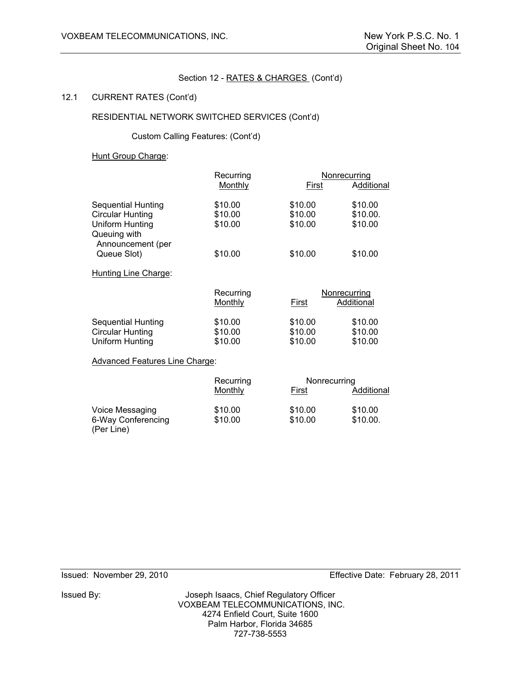#### 12.1 CURRENT RATES (Cont'd)

# RESIDENTIAL NETWORK SWITCHED SERVICES (Cont'd)

Custom Calling Features: (Cont'd)

#### Hunt Group Charge:

|                                                                         | Recurring                     |                               | Nonrecurring                  |
|-------------------------------------------------------------------------|-------------------------------|-------------------------------|-------------------------------|
|                                                                         | Monthly                       | First                         | Additional                    |
| <b>Sequential Hunting</b>                                               | \$10.00                       | \$10.00                       | \$10.00                       |
| Circular Hunting                                                        | \$10.00                       | \$10.00                       | \$10.00.                      |
| Uniform Hunting<br>Queuing with<br>Announcement (per                    | \$10.00                       | \$10.00                       | \$10.00                       |
| Queue Slot)                                                             | \$10.00                       | \$10.00                       | \$10.00                       |
| Hunting Line Charge:                                                    |                               |                               |                               |
|                                                                         | Recurring                     |                               | Nonrecurring                  |
|                                                                         | <b>Monthly</b>                | First                         | Additional                    |
| <b>Sequential Hunting</b><br><b>Circular Hunting</b><br>Uniform Hunting | \$10.00<br>\$10.00<br>\$10.00 | \$10.00<br>\$10.00<br>\$10.00 | \$10.00<br>\$10.00<br>\$10.00 |
| <b>Advanced Features Line Charge:</b>                                   |                               |                               |                               |
|                                                                         | Recurring                     | Nonrecurring                  |                               |
|                                                                         | Monthly                       | First                         | Additional                    |
| Voice Messaging<br>6-Way Conferencing                                   | \$10.00<br>\$10.00            | \$10.00<br>\$10.00            | \$10.00<br>\$10.00.           |

(Per Line)

Issued By: Joseph Isaacs, Chief Regulatory Officer VOXBEAM TELECOMMUNICATIONS, INC. 4274 Enfield Court, Suite 1600 Palm Harbor, Florida 34685 727-738-5553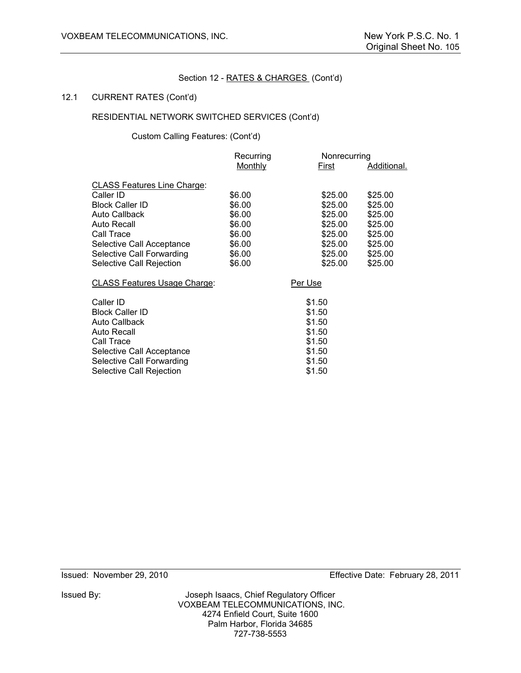#### 12.1 CURRENT RATES (Cont'd)

# RESIDENTIAL NETWORK SWITCHED SERVICES (Cont'd)

Custom Calling Features: (Cont'd)

| Recurring      |         |                         |
|----------------|---------|-------------------------|
| <b>Monthly</b> | First   | Additional.             |
|                |         |                         |
|                |         | \$25.00                 |
| \$6.00         | \$25.00 | \$25.00                 |
| \$6.00         | \$25.00 | \$25.00                 |
| \$6.00         | \$25.00 | \$25.00                 |
| \$6.00         | \$25.00 | \$25.00                 |
| \$6.00         | \$25.00 | \$25.00                 |
| \$6.00         | \$25.00 | \$25.00                 |
| \$6.00         | \$25.00 | \$25.00                 |
|                | Per Use |                         |
|                | \$1.50  |                         |
|                | \$1.50  |                         |
|                | \$1.50  |                         |
|                | \$1.50  |                         |
|                | \$1.50  |                         |
|                | \$1.50  |                         |
|                | \$1.50  |                         |
|                | \$1.50  |                         |
|                | \$6.00  | Nonrecurring<br>\$25.00 |

Issued By: Joseph Isaacs, Chief Regulatory Officer VOXBEAM TELECOMMUNICATIONS, INC. 4274 Enfield Court, Suite 1600 Palm Harbor, Florida 34685 727-738-5553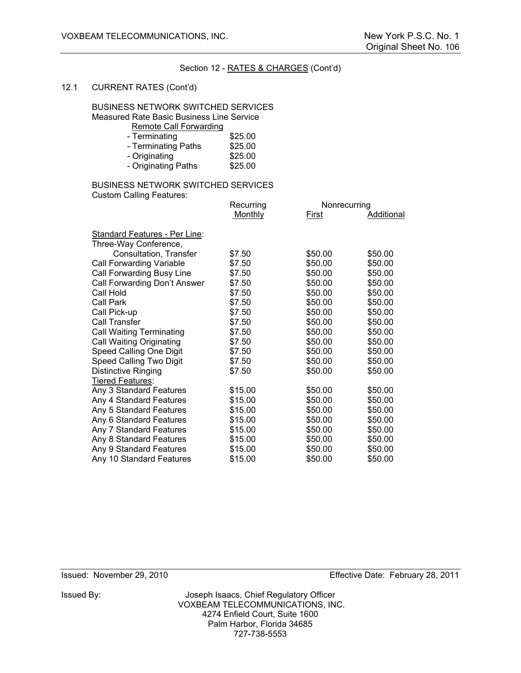#### 12.1 CURRENT RATES (Cont'd)

#### BUSINESS NETWORK SWITCHED SERVICES

Measured Rate Basic Business Line Service

| Remote Call Forwarding |  |
|------------------------|--|
|                        |  |

| - Terminating       | \$25.00 |
|---------------------|---------|
| - Terminating Paths | \$25.00 |
| - Originating       | \$25.00 |
| - Originating Paths | \$25.00 |
|                     |         |

# BUSINESS NETWORK SWITCHED SERVICES Custom Calling Features:

|                                      | Recurring |         | Nonrecurring |  |
|--------------------------------------|-----------|---------|--------------|--|
|                                      | Monthly   | First   | Additional   |  |
| <b>Standard Features - Per Line:</b> |           |         |              |  |
| Three-Way Conference,                |           |         |              |  |
| Consultation, Transfer               | \$7.50    | \$50.00 | \$50.00      |  |
| Call Forwarding Variable             | \$7.50    | \$50.00 | \$50.00      |  |
| Call Forwarding Busy Line            | \$7.50    | \$50.00 | \$50.00      |  |
| Call Forwarding Don't Answer         | \$7.50    | \$50.00 | \$50.00      |  |
| Call Hold                            | \$7.50    | \$50.00 | \$50.00      |  |
| Call Park                            | \$7.50    | \$50.00 | \$50.00      |  |
| Call Pick-up                         | \$7.50    | \$50.00 | \$50.00      |  |
| Call Transfer                        | \$7.50    | \$50.00 | \$50.00      |  |
| <b>Call Waiting Terminating</b>      | \$7.50    | \$50.00 | \$50.00      |  |
| <b>Call Waiting Originating</b>      | \$7.50    | \$50.00 | \$50.00      |  |
| Speed Calling One Digit              | \$7.50    | \$50.00 | \$50.00      |  |
| Speed Calling Two Digit              | \$7.50    | \$50.00 | \$50.00      |  |
| <b>Distinctive Ringing</b>           | \$7.50    | \$50.00 | \$50.00      |  |
| <b>Tiered Features:</b>              |           |         |              |  |
| Any 3 Standard Features              | \$15.00   | \$50.00 | \$50.00      |  |
| Any 4 Standard Features              | \$15.00   | \$50.00 | \$50.00      |  |
| Any 5 Standard Features              | \$15.00   | \$50.00 | \$50.00      |  |
| Any 6 Standard Features              | \$15.00   | \$50.00 | \$50.00      |  |
| Any 7 Standard Features              | \$15.00   | \$50.00 | \$50.00      |  |
| Any 8 Standard Features              | \$15.00   | \$50.00 | \$50.00      |  |
| Any 9 Standard Features              | \$15.00   | \$50.00 | \$50.00      |  |
| Any 10 Standard Features             | \$15.00   | \$50.00 | \$50.00      |  |

Issued By: Joseph Isaacs, Chief Regulatory Officer VOXBEAM TELECOMMUNICATIONS, INC. 4274 Enfield Court, Suite 1600 Palm Harbor, Florida 34685 727-738-5553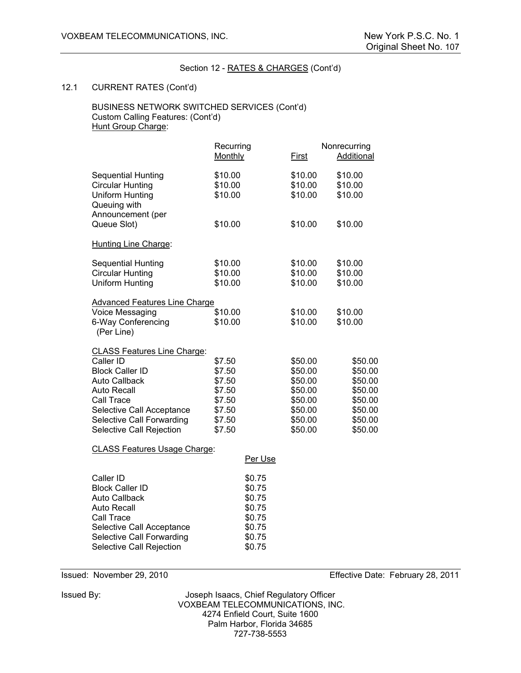#### 12.1 CURRENT RATES (Cont'd)

#### BUSINESS NETWORK SWITCHED SERVICES (Cont'd) Custom Calling Features: (Cont'd) Hunt Group Charge:

|                                                                                                       | Recurring |         | Nonrecurring      |
|-------------------------------------------------------------------------------------------------------|-----------|---------|-------------------|
|                                                                                                       | Monthly   | First   | <b>Additional</b> |
| <b>Sequential Hunting</b>                                                                             | \$10.00   | \$10.00 | \$10.00           |
| <b>Circular Hunting</b>                                                                               | \$10.00   | \$10.00 | \$10.00           |
| <b>Uniform Hunting</b>                                                                                | \$10.00   | \$10.00 | \$10.00           |
| Queuing with                                                                                          |           |         |                   |
| Announcement (per                                                                                     |           |         |                   |
| Queue Slot)                                                                                           | \$10.00   | \$10.00 | \$10.00           |
| Hunting Line Charge:                                                                                  |           |         |                   |
| <b>Sequential Hunting</b>                                                                             | \$10.00   | \$10.00 | \$10.00           |
| <b>Circular Hunting</b>                                                                               | \$10.00   | \$10.00 | \$10.00           |
| Uniform Hunting                                                                                       | \$10.00   | \$10.00 | \$10.00           |
| <b>Advanced Features Line Charge</b>                                                                  |           |         |                   |
| Voice Messaging                                                                                       | \$10.00   | \$10.00 | \$10.00           |
| 6-Way Conferencing                                                                                    | \$10.00   | \$10.00 | \$10.00           |
| (Per Line)                                                                                            |           |         |                   |
| <b>CLASS Features Line Charge:</b>                                                                    |           |         |                   |
| Caller ID                                                                                             | \$7.50    | \$50.00 | \$50.00           |
| <b>Block Caller ID</b>                                                                                | \$7.50    | \$50.00 | \$50.00           |
| <b>Auto Callback</b>                                                                                  | \$7.50    | \$50.00 | \$50.00           |
| <b>Auto Recall</b>                                                                                    | \$7.50    | \$50.00 | \$50.00           |
| Call Trace                                                                                            | \$7.50    | \$50.00 | \$50.00           |
| Selective Call Acceptance                                                                             | \$7.50    | \$50.00 | \$50.00           |
| Selective Call Forwarding                                                                             | \$7.50    | \$50.00 | \$50.00           |
| Selective Call Rejection                                                                              | \$7.50    | \$50.00 | \$50.00           |
| $\Omega$ , $\Lambda$ , $\Omega$ , $\Gamma$ , $\Lambda$ , $\ldots$ , $\Lambda$ , $\Lambda$ , $\Lambda$ |           |         |                   |

#### CLASS Features Usage Charge:

| Caller ID                 | \$0.75 |
|---------------------------|--------|
| <b>Block Caller ID</b>    | \$0.75 |
| <b>Auto Callback</b>      | \$0.75 |
| <b>Auto Recall</b>        | \$0.75 |
| Call Trace                | \$0.75 |
| Selective Call Acceptance | \$0.75 |
| Selective Call Forwarding | \$0.75 |
| Selective Call Rejection  | \$0.75 |

Issued: November 29, 2010 Effective Date: February 28, 2011

Issued By: Joseph Isaacs, Chief Regulatory Officer VOXBEAM TELECOMMUNICATIONS, INC. 4274 Enfield Court, Suite 1600 Palm Harbor, Florida 34685 727-738-5553

Per Use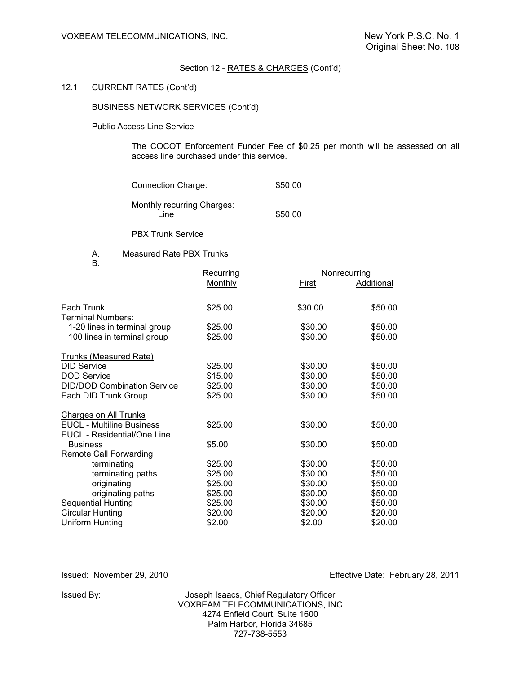#### 12.1 CURRENT RATES (Cont'd)

BUSINESS NETWORK SERVICES (Cont'd)

Public Access Line Service

 The COCOT Enforcement Funder Fee of \$0.25 per month will be assessed on all access line purchased under this service.

| <b>Connection Charge:</b>          | \$50.00 |
|------------------------------------|---------|
| Monthly recurring Charges:<br>Line | \$50.00 |

PBX Trunk Service

A. Measured Rate PBX Trunks

B.

| D.                                                              | Recurring |         | Nonrecurring |  |
|-----------------------------------------------------------------|-----------|---------|--------------|--|
|                                                                 | Monthly   | First   | Additional   |  |
| Each Trunk<br>Terminal Numbers:                                 | \$25.00   | \$30.00 | \$50.00      |  |
| 1-20 lines in terminal group                                    | \$25.00   | \$30.00 | \$50.00      |  |
| 100 lines in terminal group                                     | \$25.00   | \$30.00 | \$50.00      |  |
| <b>Trunks (Measured Rate)</b>                                   |           |         |              |  |
| <b>DID Service</b>                                              | \$25.00   | \$30.00 | \$50.00      |  |
| <b>DOD Service</b>                                              | \$15.00   | \$30.00 | \$50.00      |  |
| <b>DID/DOD Combination Service</b>                              | \$25.00   | \$30.00 | \$50.00      |  |
| Each DID Trunk Group                                            | \$25.00   | \$30.00 | \$50.00      |  |
| <b>Charges on All Trunks</b>                                    |           |         |              |  |
| <b>EUCL - Multiline Business</b><br>EUCL - Residential/One Line | \$25.00   | \$30.00 | \$50.00      |  |
| <b>Business</b>                                                 | \$5.00    | \$30.00 | \$50.00      |  |
| <b>Remote Call Forwarding</b>                                   |           |         |              |  |
| terminating                                                     | \$25.00   | \$30.00 | \$50.00      |  |
| terminating paths                                               | \$25.00   | \$30.00 | \$50.00      |  |
| originating                                                     | \$25.00   | \$30.00 | \$50.00      |  |
| originating paths                                               | \$25.00   | \$30.00 | \$50.00      |  |
| <b>Sequential Hunting</b>                                       | \$25.00   | \$30.00 | \$50.00      |  |
| <b>Circular Hunting</b>                                         | \$20.00   | \$20.00 | \$20.00      |  |
| Uniform Hunting                                                 | \$2.00    | \$2.00  | \$20.00      |  |
|                                                                 |           |         |              |  |

Issued: November 29, 2010 Effective Date: February 28, 2011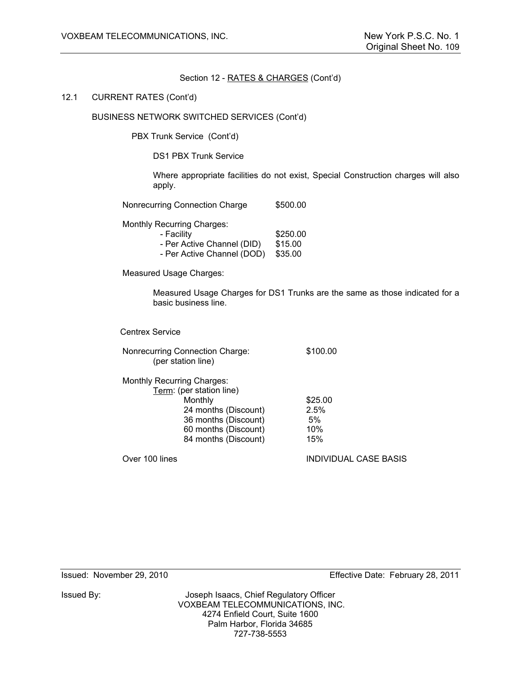#### 12.1 CURRENT RATES (Cont'd)

## BUSINESS NETWORK SWITCHED SERVICES (Cont'd)

PBX Trunk Service (Cont'd)

DS1 PBX Trunk Service

Where appropriate facilities do not exist, Special Construction charges will also apply.

Nonrecurring Connection Charge \$500.00

Monthly Recurring Charges:

| - Facility                         | \$250.00 |
|------------------------------------|----------|
| - Per Active Channel (DID)         | \$15.00  |
| - Per Active Channel (DOD) \$35.00 |          |

Measured Usage Charges:

Measured Usage Charges for DS1 Trunks are the same as those indicated for a basic business line.

Centrex Service

| Nonrecurring Connection Charge: | \$100.00 |
|---------------------------------|----------|
| (per station line)              |          |

| <b>Monthly Recurring Charges:</b> |                      |         |
|-----------------------------------|----------------------|---------|
| Term: (per station line)          |                      |         |
| Monthly                           |                      | \$25.00 |
|                                   | 24 months (Discount) | 2.5%    |
|                                   | 36 months (Discount) | 5%      |
|                                   | 60 months (Discount) | 10%     |
|                                   | 84 months (Discount) | 15%     |
|                                   |                      |         |

Over 100 lines INDIVIDUAL CASE BASIS

Issued By: Joseph Isaacs, Chief Regulatory Officer VOXBEAM TELECOMMUNICATIONS, INC. 4274 Enfield Court, Suite 1600 Palm Harbor, Florida 34685 727-738-5553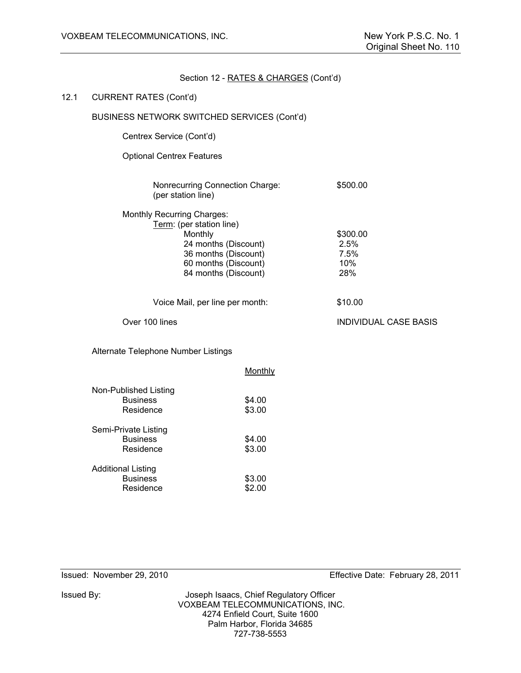### 12.1 CURRENT RATES (Cont'd)

# BUSINESS NETWORK SWITCHED SERVICES (Cont'd)

Centrex Service (Cont'd)

Optional Centrex Features

| Nonrecurring Connection Charge: | \$500.00 |
|---------------------------------|----------|
| (per station line)              |          |

| Term: (per station line) |          |
|--------------------------|----------|
| Monthly                  | \$300.00 |
| 24 months (Discount)     | 2.5%     |
| 36 months (Discount)     | 7.5%     |
| 60 months (Discount)     | 10%      |
| 84 months (Discount)     | 28%      |

Voice Mail, per line per month: \$10.00

Over 100 lines INDIVIDUAL CASE BASIS

Alternate Telephone Number Listings

|                           | Monthly |
|---------------------------|---------|
| Non-Published Listing     |         |
| <b>Business</b>           | \$4.00  |
| Residence                 | \$3.00  |
| Semi-Private Listing      |         |
| <b>Business</b>           | \$4.00  |
| Residence                 | \$3.00  |
| <b>Additional Listing</b> |         |
| <b>Business</b>           | \$3.00  |
| Residence                 | \$2.00  |
|                           |         |

Issued By: Joseph Isaacs, Chief Regulatory Officer VOXBEAM TELECOMMUNICATIONS, INC. 4274 Enfield Court, Suite 1600 Palm Harbor, Florida 34685 727-738-5553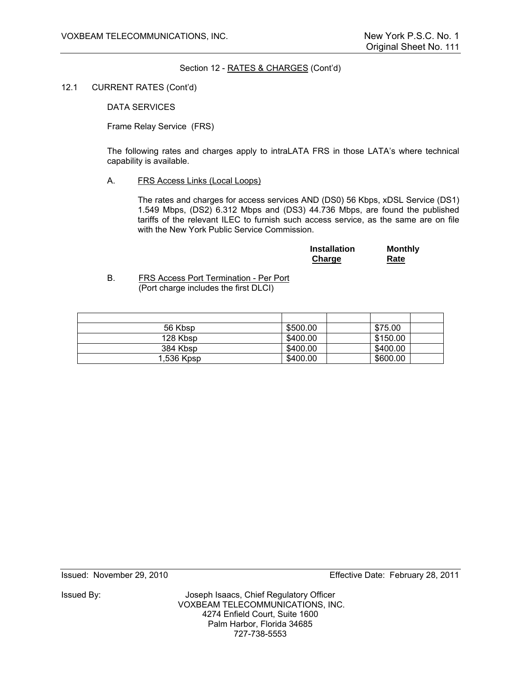12.1 CURRENT RATES (Cont'd)

DATA SERVICES

Frame Relay Service (FRS)

The following rates and charges apply to intraLATA FRS in those LATA's where technical capability is available.

A. FRS Access Links (Local Loops)

The rates and charges for access services AND (DS0) 56 Kbps, xDSL Service (DS1) 1.549 Mbps, (DS2) 6.312 Mbps and (DS3) 44.736 Mbps, are found the published tariffs of the relevant ILEC to furnish such access service, as the same are on file with the New York Public Service Commission.

| <b>Installation</b> | <b>Monthly</b> |
|---------------------|----------------|
| <b>Charge</b>       | Rate           |

B. FRS Access Port Termination - Per Port (Port charge includes the first DLCI)

| 56 Kbsp    | \$500.00 | \$75.00  |  |
|------------|----------|----------|--|
| 128 Kbsp   | \$400.00 | \$150.00 |  |
| 384 Kbsp   | \$400.00 | \$400.00 |  |
| 1,536 Kpsp | \$400.00 | \$600.00 |  |

Issued By: Joseph Isaacs, Chief Regulatory Officer VOXBEAM TELECOMMUNICATIONS, INC. 4274 Enfield Court, Suite 1600 Palm Harbor, Florida 34685 727-738-5553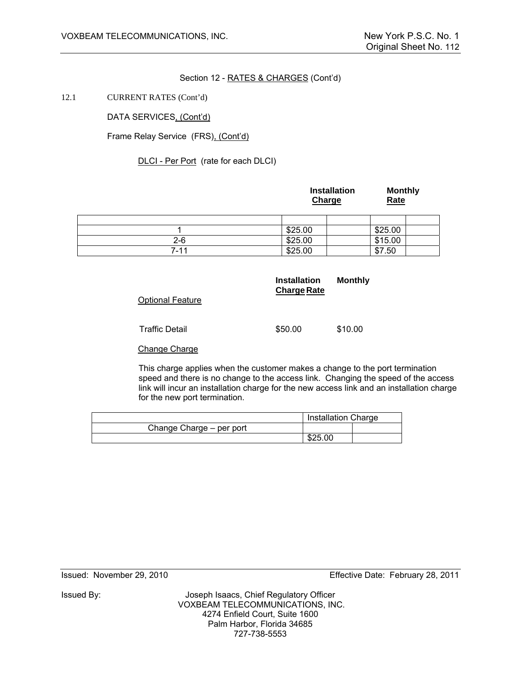12.1 CURRENT RATES (Cont'd)

DATA SERVICES, (Cont'd)

Frame Relay Service (FRS), (Cont'd)

DLCI - Per Port (rate for each DLCI)

|          | Installation<br>Charge | <b>Monthly</b><br>Rate |
|----------|------------------------|------------------------|
|          |                        |                        |
|          | \$25.00                | \$25.00                |
| $2 - 6$  | \$25.00                | \$15.00                |
| $7 - 11$ | \$25.00                | \$7.50                 |

|                         | <b>Installation</b><br><b>Charge Rate</b> | <b>Monthly</b> |
|-------------------------|-------------------------------------------|----------------|
| <b>Optional Feature</b> |                                           |                |
| <b>Traffic Detail</b>   | \$50.00                                   | \$10.00        |
| Change Charge           |                                           |                |

This charge applies when the customer makes a change to the port termination speed and there is no change to the access link. Changing the speed of the access link will incur an installation charge for the new access link and an installation charge for the new port termination.

|                          | <b>Installation Charge</b> |  |
|--------------------------|----------------------------|--|
| Change Charge – per port |                            |  |
|                          | \$25.00                    |  |

Issued: November 29, 2010 Effective Date: February 28, 2011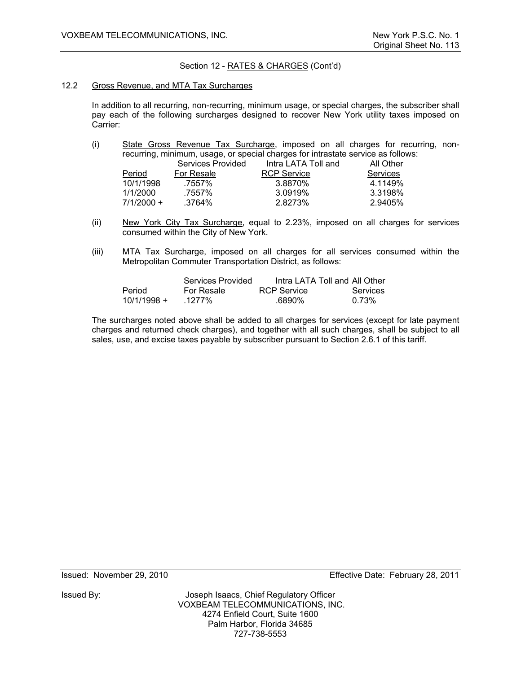### 12.2 Gross Revenue, and MTA Tax Surcharges

In addition to all recurring, non-recurring, minimum usage, or special charges, the subscriber shall pay each of the following surcharges designed to recover New York utility taxes imposed on Carrier:

 (i) State Gross Revenue Tax Surcharge, imposed on all charges for recurring, nonrecurring, minimum, usage, or special charges for intrastate service as follows:

|              | Services Provided | Intra LATA Toll and | All Other       |
|--------------|-------------------|---------------------|-----------------|
| Period       |                   | <b>RCP Service</b>  | <b>Services</b> |
| 10/1/1998    | .7557%            | 3.8870%             | 4.1149%         |
| 1/1/2000     | .7557%            | 3.0919%             | 3.3198%         |
| $7/1/2000 +$ | .3764%            | 2.8273%             | 2.9405%         |
|              |                   | For Resale          |                 |

- (ii) New York City Tax Surcharge, equal to 2.23%, imposed on all charges for services consumed within the City of New York.
- (iii) MTA Tax Surcharge, imposed on all charges for all services consumed within the Metropolitan Commuter Transportation District, as follows:

|               | Services Provided | Intra LATA Toll and All Other |                 |
|---------------|-------------------|-------------------------------|-----------------|
| Period        | For Resale        | <b>RCP Service</b>            | <b>Services</b> |
| $10/1/1998 +$ | .1277%            | .6890%                        | 0.73%           |

The surcharges noted above shall be added to all charges for services (except for late payment charges and returned check charges), and together with all such charges, shall be subject to all sales, use, and excise taxes payable by subscriber pursuant to Section 2.6.1 of this tariff.

Issued: November 29, 2010 Effective Date: February 28, 2011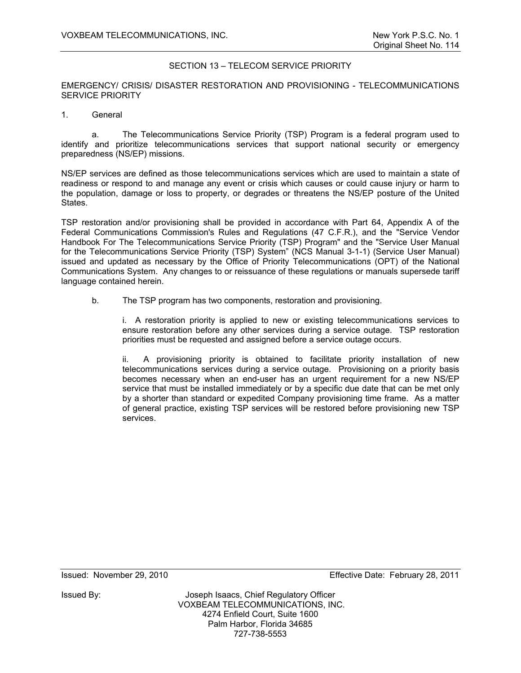## SECTION 13 – TELECOM SERVICE PRIORITY

EMERGENCY/ CRISIS/ DISASTER RESTORATION AND PROVISIONING - TELECOMMUNICATIONS SERVICE PRIORITY

1. General

a. The Telecommunications Service Priority (TSP) Program is a federal program used to identify and prioritize telecommunications services that support national security or emergency preparedness (NS/EP) missions.

NS/EP services are defined as those telecommunications services which are used to maintain a state of readiness or respond to and manage any event or crisis which causes or could cause injury or harm to the population, damage or loss to property, or degrades or threatens the NS/EP posture of the United States.

TSP restoration and/or provisioning shall be provided in accordance with Part 64, Appendix A of the Federal Communications Commission's Rules and Regulations (47 C.F.R.), and the "Service Vendor Handbook For The Telecommunications Service Priority (TSP) Program" and the "Service User Manual for the Telecommunications Service Priority (TSP) System" (NCS Manual 3-1-1) (Service User Manual) issued and updated as necessary by the Office of Priority Telecommunications (OPT) of the National Communications System. Any changes to or reissuance of these regulations or manuals supersede tariff language contained herein.

b. The TSP program has two components, restoration and provisioning.

i. A restoration priority is applied to new or existing telecommunications services to ensure restoration before any other services during a service outage. TSP restoration priorities must be requested and assigned before a service outage occurs.

ii. A provisioning priority is obtained to facilitate priority installation of new telecommunications services during a service outage. Provisioning on a priority basis becomes necessary when an end-user has an urgent requirement for a new NS/EP service that must be installed immediately or by a specific due date that can be met only by a shorter than standard or expedited Company provisioning time frame. As a matter of general practice, existing TSP services will be restored before provisioning new TSP services.

Issued: November 29, 2010 Effective Date: February 28, 2011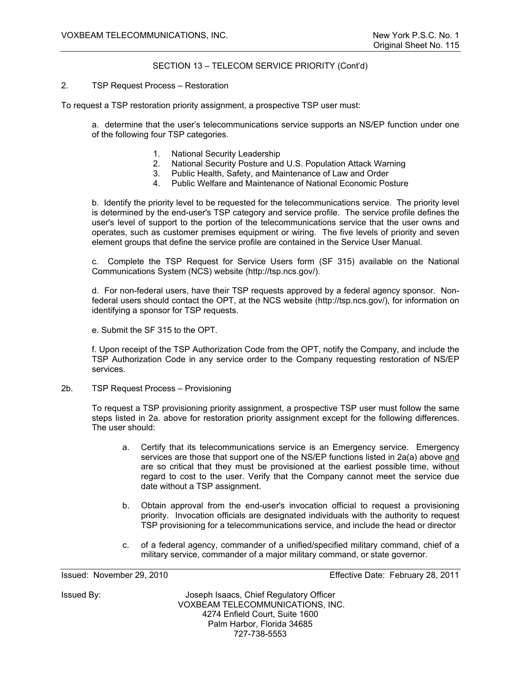# SECTION 13 – TELECOM SERVICE PRIORITY (Cont'd)

### 2. TSP Request Process – Restoration

To request a TSP restoration priority assignment, a prospective TSP user must:

a. determine that the user's telecommunications service supports an NS/EP function under one of the following four TSP categories.

- 1. National Security Leadership
- 2. National Security Posture and U.S. Population Attack Warning
- 3. Public Health, Safety, and Maintenance of Law and Order
- 4. Public Welfare and Maintenance of National Economic Posture

b. Identify the priority level to be requested for the telecommunications service. The priority level is determined by the end-user's TSP category and service profile. The service profile defines the user's level of support to the portion of the telecommunications service that the user owns and operates, such as customer premises equipment or wiring. The five levels of priority and seven element groups that define the service profile are contained in the Service User Manual.

c. Complete the TSP Request for Service Users form (SF 315) available on the National Communications System (NCS) website (http://tsp.ncs.gov/).

d. For non-federal users, have their TSP requests approved by a federal agency sponsor. Nonfederal users should contact the OPT, at the NCS website (http://tsp.ncs.gov/), for information on identifying a sponsor for TSP requests.

e. Submit the SF 315 to the OPT.

f. Upon receipt of the TSP Authorization Code from the OPT, notify the Company, and include the TSP Authorization Code in any service order to the Company requesting restoration of NS/EP services.

2b. TSP Request Process – Provisioning

To request a TSP provisioning priority assignment, a prospective TSP user must follow the same steps listed in 2a. above for restoration priority assignment except for the following differences. The user should:

- a. Certify that its telecommunications service is an Emergency service. Emergency services are those that support one of the NS/EP functions listed in 2a(a) above and are so critical that they must be provisioned at the earliest possible time, without regard to cost to the user. Verify that the Company cannot meet the service due date without a TSP assignment.
- b. Obtain approval from the end-user's invocation official to request a provisioning priority. Invocation officials are designated individuals with the authority to request TSP provisioning for a telecommunications service, and include the head or director
- c. of a federal agency, commander of a unified/specified military command, chief of a military service, commander of a major military command, or state governor.

Issued: November 29, 2010 Effective Date: February 28, 2011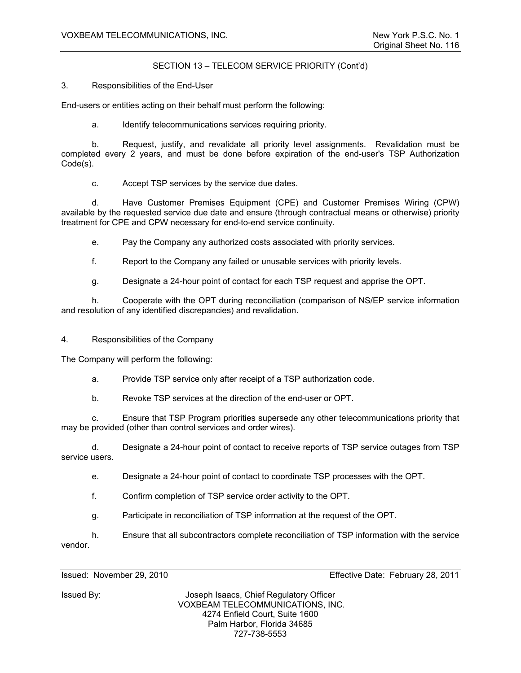# SECTION 13 – TELECOM SERVICE PRIORITY (Cont'd)

3. Responsibilities of the End-User

End-users or entities acting on their behalf must perform the following:

a. Identify telecommunications services requiring priority.

 b. Request, justify, and revalidate all priority level assignments. Revalidation must be completed every 2 years, and must be done before expiration of the end-user's TSP Authorization Code(s).

c. Accept TSP services by the service due dates.

 d. Have Customer Premises Equipment (CPE) and Customer Premises Wiring (CPW) available by the requested service due date and ensure (through contractual means or otherwise) priority treatment for CPE and CPW necessary for end-to-end service continuity.

e. Pay the Company any authorized costs associated with priority services.

f. Report to the Company any failed or unusable services with priority levels.

g. Designate a 24-hour point of contact for each TSP request and apprise the OPT.

 h. Cooperate with the OPT during reconciliation (comparison of NS/EP service information and resolution of any identified discrepancies) and revalidation.

4. Responsibilities of the Company

The Company will perform the following:

a. Provide TSP service only after receipt of a TSP authorization code.

b. Revoke TSP services at the direction of the end-user or OPT.

 c. Ensure that TSP Program priorities supersede any other telecommunications priority that may be provided (other than control services and order wires).

 d. Designate a 24-hour point of contact to receive reports of TSP service outages from TSP service users.

e. Designate a 24-hour point of contact to coordinate TSP processes with the OPT.

f. Confirm completion of TSP service order activity to the OPT.

g. Participate in reconciliation of TSP information at the request of the OPT.

 h. Ensure that all subcontractors complete reconciliation of TSP information with the service vendor.

Issued: November 29, 2010 Effective Date: February 28, 2011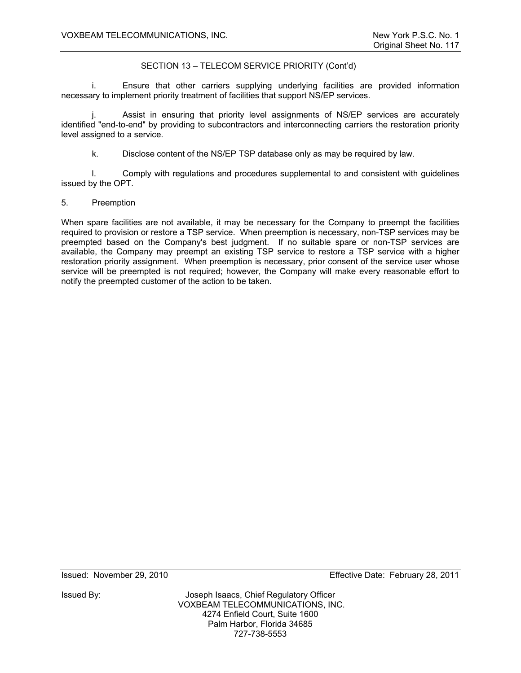# SECTION 13 – TELECOM SERVICE PRIORITY (Cont'd)

i. Ensure that other carriers supplying underlying facilities are provided information necessary to implement priority treatment of facilities that support NS/EP services.

j. Assist in ensuring that priority level assignments of NS/EP services are accurately identified "end-to-end" by providing to subcontractors and interconnecting carriers the restoration priority level assigned to a service.

k. Disclose content of the NS/EP TSP database only as may be required by law.

 l. Comply with regulations and procedures supplemental to and consistent with guidelines issued by the OPT.

## 5. Preemption

When spare facilities are not available, it may be necessary for the Company to preempt the facilities required to provision or restore a TSP service. When preemption is necessary, non-TSP services may be preempted based on the Company's best judgment. If no suitable spare or non-TSP services are available, the Company may preempt an existing TSP service to restore a TSP service with a higher restoration priority assignment. When preemption is necessary, prior consent of the service user whose service will be preempted is not required; however, the Company will make every reasonable effort to notify the preempted customer of the action to be taken.

Issued: November 29, 2010 Effective Date: February 28, 2011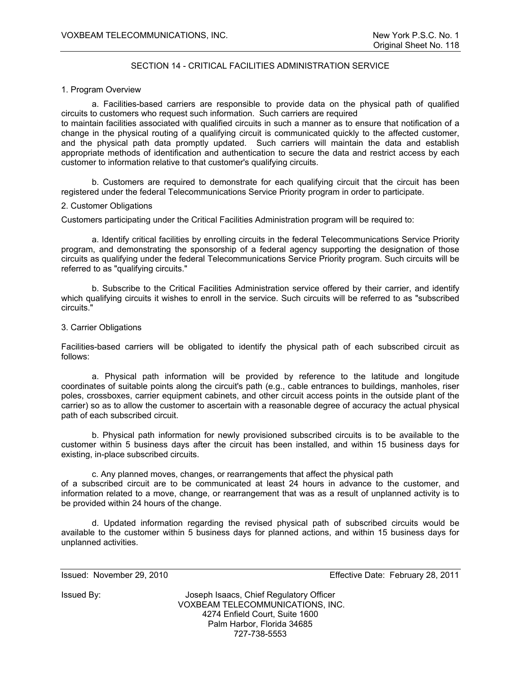# SECTION 14 - CRITICAL FACILITIES ADMINISTRATION SERVICE

### 1. Program Overview

a. Facilities-based carriers are responsible to provide data on the physical path of qualified circuits to customers who request such information. Such carriers are required

to maintain facilities associated with qualified circuits in such a manner as to ensure that notification of a change in the physical routing of a qualifying circuit is communicated quickly to the affected customer, and the physical path data promptly updated. Such carriers will maintain the data and establish appropriate methods of identification and authentication to secure the data and restrict access by each customer to information relative to that customer's qualifying circuits.

b. Customers are required to demonstrate for each qualifying circuit that the circuit has been registered under the federal Telecommunications Service Priority program in order to participate.

### 2. Customer Obligations

Customers participating under the Critical Facilities Administration program will be required to:

a. Identify critical facilities by enrolling circuits in the federal Telecommunications Service Priority program, and demonstrating the sponsorship of a federal agency supporting the designation of those circuits as qualifying under the federal Telecommunications Service Priority program. Such circuits will be referred to as "qualifying circuits."

b. Subscribe to the Critical Facilities Administration service offered by their carrier, and identify which qualifying circuits it wishes to enroll in the service. Such circuits will be referred to as "subscribed circuits."

### 3. Carrier Obligations

Facilities-based carriers will be obligated to identify the physical path of each subscribed circuit as follows:

a. Physical path information will be provided by reference to the latitude and longitude coordinates of suitable points along the circuit's path (e.g., cable entrances to buildings, manholes, riser poles, crossboxes, carrier equipment cabinets, and other circuit access points in the outside plant of the carrier) so as to allow the customer to ascertain with a reasonable degree of accuracy the actual physical path of each subscribed circuit.

b. Physical path information for newly provisioned subscribed circuits is to be available to the customer within 5 business days after the circuit has been installed, and within 15 business days for existing, in-place subscribed circuits.

c. Any planned moves, changes, or rearrangements that affect the physical path of a subscribed circuit are to be communicated at least 24 hours in advance to the customer, and information related to a move, change, or rearrangement that was as a result of unplanned activity is to be provided within 24 hours of the change.

d. Updated information regarding the revised physical path of subscribed circuits would be available to the customer within 5 business days for planned actions, and within 15 business days for unplanned activities.

Issued: November 29, 2010 Effective Date: February 28, 2011